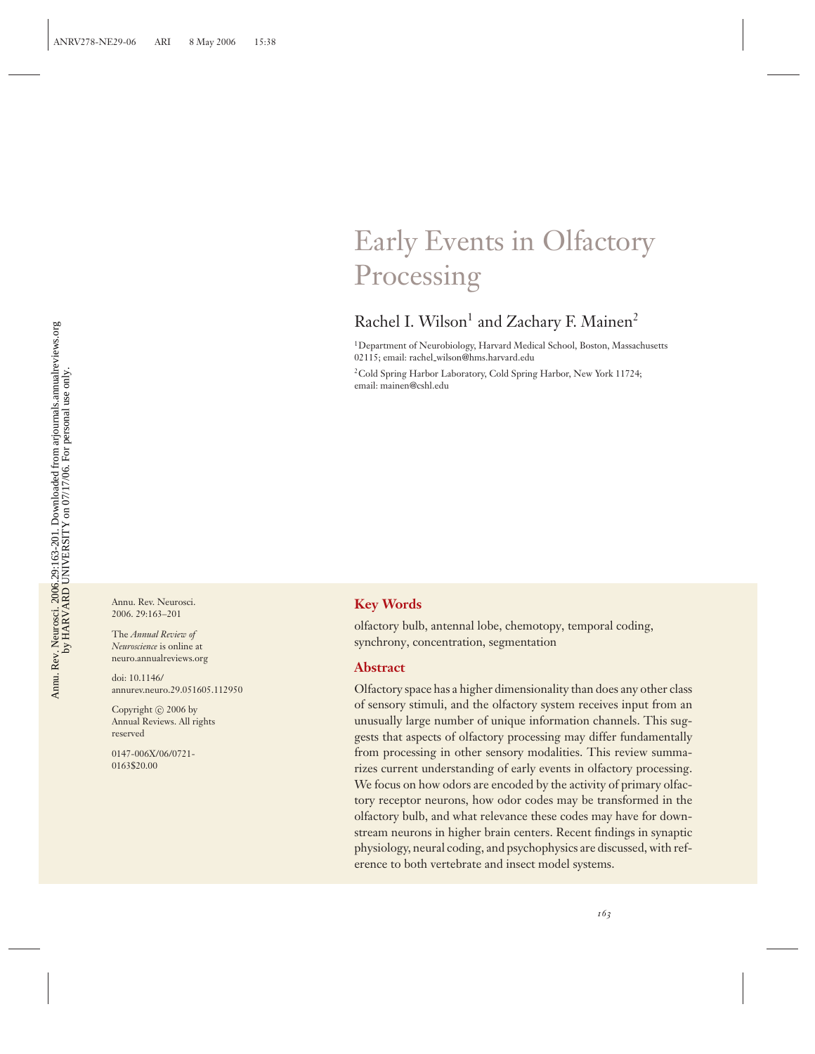# Early Events in Olfactory Processing

# Rachel I. Wilson<sup>1</sup> and Zachary F. Mainen<sup>2</sup>

<sup>1</sup>Department of Neurobiology, Harvard Medical School, Boston, Massachusetts 02115; email: rachel wilson@hms.harvard.edu

<sup>2</sup>Cold Spring Harbor Laboratory, Cold Spring Harbor, New York 11724; email: mainen@cshl.edu

Annu. Rev. Neurosci. 2006. 29:163–201

The *Annual Review of Neuroscience* is online at neuro.annualreviews.org

doi: 10.1146/ annurev.neuro.29.051605.112950

Copyright © 2006 by Annual Reviews. All rights reserved

0147-006X/06/0721- 0163\$20.00

## **Key Words**

olfactory bulb, antennal lobe, chemotopy, temporal coding, synchrony, concentration, segmentation

#### **Abstract**

Olfactory space has a higher dimensionality than does any other class of sensory stimuli, and the olfactory system receives input from an unusually large number of unique information channels. This suggests that aspects of olfactory processing may differ fundamentally from processing in other sensory modalities. This review summarizes current understanding of early events in olfactory processing. We focus on how odors are encoded by the activity of primary olfactory receptor neurons, how odor codes may be transformed in the olfactory bulb, and what relevance these codes may have for downstream neurons in higher brain centers. Recent findings in synaptic physiology, neural coding, and psychophysics are discussed, with reference to both vertebrate and insect model systems.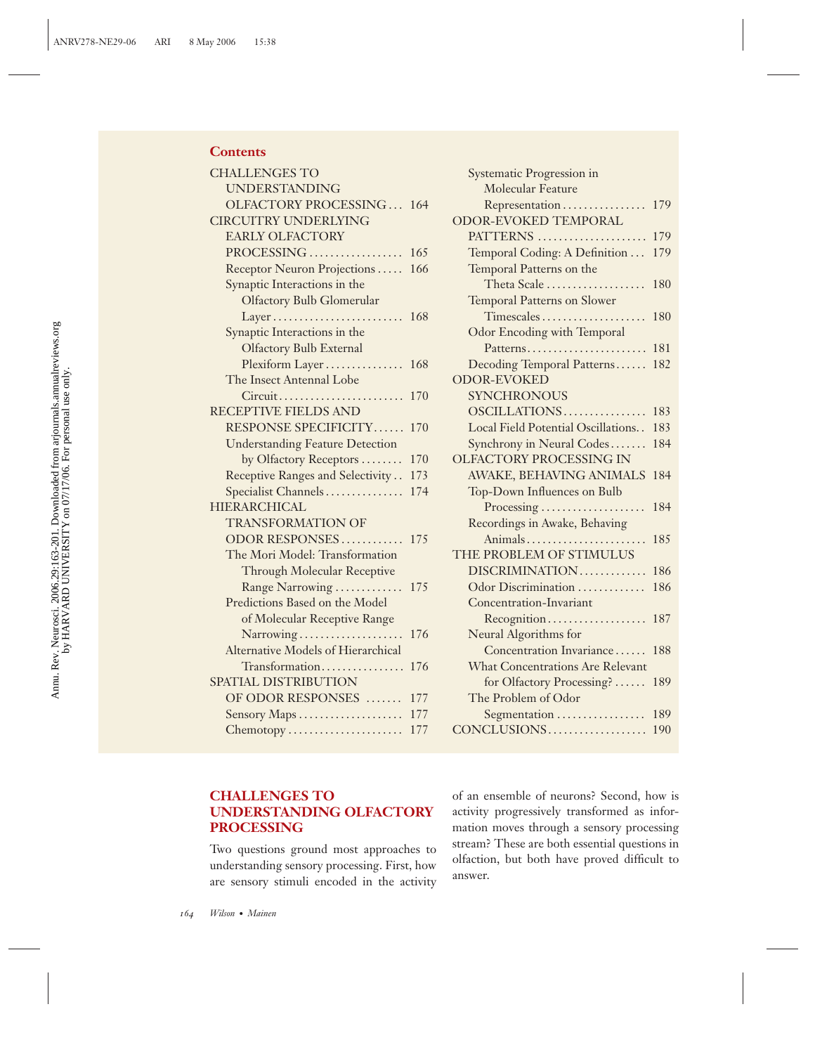## **Contents**

| CHALLENGES TO                          |     |
|----------------------------------------|-----|
| <b>UNDERSTANDING</b>                   |     |
| <b>OLFACTORY PROCESSING</b>            | 164 |
| <b>CIRCUITRY UNDERLYING</b>            |     |
| <b>EARLY OLFACTORY</b>                 |     |
| PROCESSING                             | 165 |
| Receptor Neuron Projections            | 166 |
| Synaptic Interactions in the           |     |
| <b>Olfactory Bulb Glomerular</b>       |     |
| Layer                                  | 168 |
| Synaptic Interactions in the           |     |
| <b>Olfactory Bulb External</b>         |     |
| Plexiform Layer                        | 168 |
| The Insect Antennal Lobe               |     |
| Circuit                                | 170 |
| RECEPTIVE FIELDS AND                   |     |
| RESPONSE SPECIFICITY                   | 170 |
| <b>Understanding Feature Detection</b> |     |
| by Olfactory Receptors                 | 170 |
| Receptive Ranges and Selectivity       | 173 |
| Specialist Channels                    | 174 |
| <b>HIERARCHICAL</b>                    |     |
| <b>TRANSFORMATION OF</b>               |     |
| ODOR RESPONSES                         | 175 |
| The Mori Model: Transformation         |     |
| <b>Through Molecular Receptive</b>     |     |
| Range Narrowing                        | 175 |
| Predictions Based on the Model         |     |
| of Molecular Receptive Range           |     |
| Narrowing                              | 176 |
| Alternative Models of Hierarchical     |     |
| Transformation                         | 176 |
| SPATIAL DISTRIBUTION                   |     |
| OF ODOR RESPONSES                      | 177 |
| Sensory Maps                           | 177 |
| Chemotopy                              | 177 |

| Systematic Progression in               |     |
|-----------------------------------------|-----|
| Molecular Feature                       |     |
| Representation                          | 179 |
| <b>ODOR-EVOKED TEMPORAL</b>             |     |
| PATTERNS                                | 179 |
| Temporal Coding: A Definition           | 179 |
| Temporal Patterns on the                |     |
| Theta Scale                             | 180 |
| Temporal Patterns on Slower             |     |
| Timescales                              | 180 |
| <b>Odor Encoding with Temporal</b>      |     |
| Patterns                                | 181 |
| Decoding Temporal Patterns              | 182 |
| <b>ODOR-EVOKED</b>                      |     |
| <b>SYNCHRONOUS</b>                      |     |
| OSCILLATIONS                            | 183 |
| Local Field Potential Oscillations      | 183 |
| Synchrony in Neural Codes               | 184 |
| <b>OLFACTORY PROCESSING IN</b>          |     |
| <b>AWAKE, BEHAVING ANIMALS</b>          | 184 |
| Top-Down Influences on Bulb             |     |
| Processing                              | 184 |
| Recordings in Awake, Behaving           |     |
| Animals                                 | 185 |
| THE PROBLEM OF STIMULUS                 |     |
| DISCRIMINATION                          | 186 |
| Odor Discrimination                     | 186 |
| <b>Concentration-Invariant</b>          |     |
| Recognition                             | 187 |
| Neural Algorithms for                   |     |
| Concentration Invariance                | 188 |
| <b>What Concentrations Are Relevant</b> |     |
| for Olfactory Processing?               | 189 |
| The Problem of Odor                     |     |
| Segmentation                            | 189 |
| CONCLUSIONS                             | 190 |

# **CHALLENGES TO UNDERSTANDING OLFACTORY PROCESSING**

Two questions ground most approaches to understanding sensory processing. First, how are sensory stimuli encoded in the activity of an ensemble of neurons? Second, how is activity progressively transformed as information moves through a sensory processing stream? These are both essential questions in olfaction, but both have proved difficult to answer.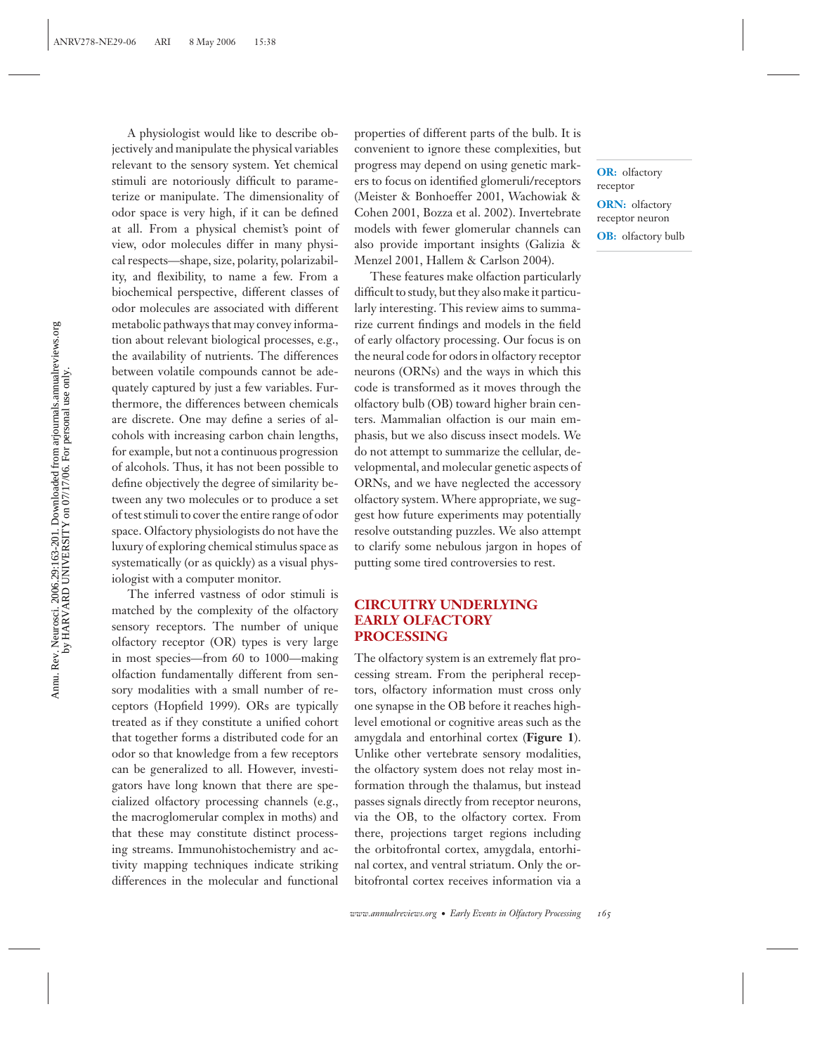A physiologist would like to describe objectively and manipulate the physical variables relevant to the sensory system. Yet chemical stimuli are notoriously difficult to parameterize or manipulate. The dimensionality of odor space is very high, if it can be defined at all. From a physical chemist's point of view, odor molecules differ in many physical respects—shape, size, polarity, polarizability, and flexibility, to name a few. From a biochemical perspective, different classes of odor molecules are associated with different metabolic pathways that may convey information about relevant biological processes, e.g., the availability of nutrients. The differences between volatile compounds cannot be adequately captured by just a few variables. Furthermore, the differences between chemicals are discrete. One may define a series of alcohols with increasing carbon chain lengths, for example, but not a continuous progression of alcohols. Thus, it has not been possible to define objectively the degree of similarity between any two molecules or to produce a set of test stimuli to cover the entire range of odor space. Olfactory physiologists do not have the luxury of exploring chemical stimulus space as systematically (or as quickly) as a visual physiologist with a computer monitor.

The inferred vastness of odor stimuli is matched by the complexity of the olfactory sensory receptors. The number of unique olfactory receptor (OR) types is very large in most species—from 60 to 1000—making olfaction fundamentally different from sensory modalities with a small number of receptors (Hopfield 1999). ORs are typically treated as if they constitute a unified cohort that together forms a distributed code for an odor so that knowledge from a few receptors can be generalized to all. However, investigators have long known that there are specialized olfactory processing channels (e.g., the macroglomerular complex in moths) and that these may constitute distinct processing streams. Immunohistochemistry and activity mapping techniques indicate striking differences in the molecular and functional

properties of different parts of the bulb. It is convenient to ignore these complexities, but progress may depend on using genetic markers to focus on identified glomeruli/receptors (Meister & Bonhoeffer 2001, Wachowiak & Cohen 2001, Bozza et al. 2002). Invertebrate models with fewer glomerular channels can also provide important insights (Galizia & Menzel 2001, Hallem & Carlson 2004).

**OR:** olfactory receptor **ORN:** olfactory receptor neuron **OB:** olfactory bulb

These features make olfaction particularly difficult to study, but they also make it particularly interesting. This review aims to summarize current findings and models in the field of early olfactory processing. Our focus is on the neural code for odors in olfactory receptor neurons (ORNs) and the ways in which this code is transformed as it moves through the olfactory bulb (OB) toward higher brain centers. Mammalian olfaction is our main emphasis, but we also discuss insect models. We do not attempt to summarize the cellular, developmental, and molecular genetic aspects of ORNs, and we have neglected the accessory olfactory system. Where appropriate, we suggest how future experiments may potentially resolve outstanding puzzles. We also attempt to clarify some nebulous jargon in hopes of putting some tired controversies to rest.

## **CIRCUITRY UNDERLYING EARLY OLFACTORY PROCESSING**

The olfactory system is an extremely flat processing stream. From the peripheral receptors, olfactory information must cross only one synapse in the OB before it reaches highlevel emotional or cognitive areas such as the amygdala and entorhinal cortex (**Figure 1**). Unlike other vertebrate sensory modalities, the olfactory system does not relay most information through the thalamus, but instead passes signals directly from receptor neurons, via the OB, to the olfactory cortex. From there, projections target regions including the orbitofrontal cortex, amygdala, entorhinal cortex, and ventral striatum. Only the orbitofrontal cortex receives information via a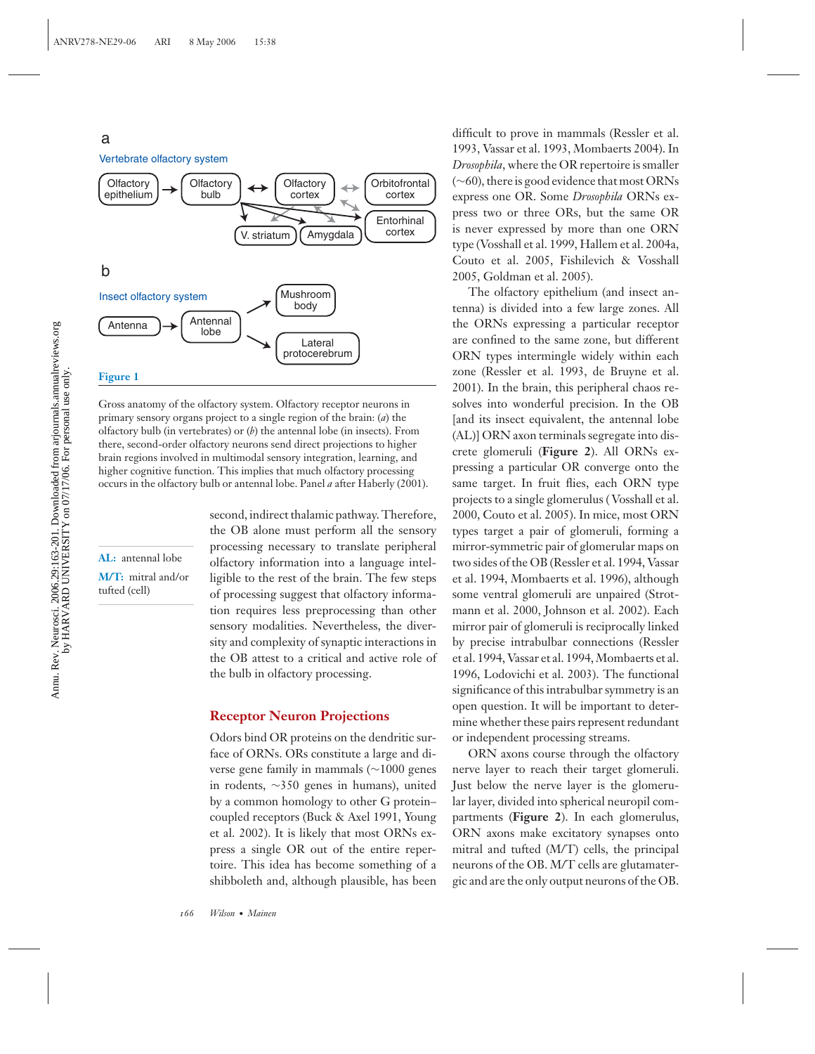#### a

#### Vertebrate olfactory system



#### **Figure 1**

Gross anatomy of the olfactory system. Olfactory receptor neurons in primary sensory organs project to a single region of the brain: (*a*) the olfactory bulb (in vertebrates) or (*b*) the antennal lobe (in insects). From there, second-order olfactory neurons send direct projections to higher brain regions involved in multimodal sensory integration, learning, and higher cognitive function. This implies that much olfactory processing occurs in the olfactory bulb or antennal lobe. Panel *a* after Haberly (2001).

**AL:** antennal lobe **M/T:** mitral and/or tufted (cell)

second, indirect thalamic pathway. Therefore, the OB alone must perform all the sensory processing necessary to translate peripheral olfactory information into a language intelligible to the rest of the brain. The few steps of processing suggest that olfactory information requires less preprocessing than other sensory modalities. Nevertheless, the diversity and complexity of synaptic interactions in the OB attest to a critical and active role of the bulb in olfactory processing.

#### **Receptor Neuron Projections**

Odors bind OR proteins on the dendritic surface of ORNs. ORs constitute a large and diverse gene family in mammals (∼1000 genes in rodents, ∼350 genes in humans), united by a common homology to other G protein– coupled receptors (Buck & Axel 1991, Young et al. 2002). It is likely that most ORNs express a single OR out of the entire repertoire. This idea has become something of a shibboleth and, although plausible, has been

difficult to prove in mammals (Ressler et al. 1993, Vassar et al. 1993, Mombaerts 2004). In *Drosophila*, where the OR repertoire is smaller (∼60), there is good evidence that most ORNs express one OR. Some *Drosophila* ORNs express two or three ORs, but the same OR is never expressed by more than one ORN type (Vosshall et al. 1999, Hallem et al. 2004a, Couto et al. 2005, Fishilevich & Vosshall 2005, Goldman et al. 2005).

The olfactory epithelium (and insect antenna) is divided into a few large zones. All the ORNs expressing a particular receptor are confined to the same zone, but different ORN types intermingle widely within each zone (Ressler et al. 1993, de Bruyne et al. 2001). In the brain, this peripheral chaos resolves into wonderful precision. In the OB [and its insect equivalent, the antennal lobe (AL)] ORN axon terminals segregate into discrete glomeruli (**Figure 2**). All ORNs expressing a particular OR converge onto the same target. In fruit flies, each ORN type projects to a single glomerulus ( Vosshall et al. 2000, Couto et al. 2005). In mice, most ORN types target a pair of glomeruli, forming a mirror-symmetric pair of glomerular maps on two sides of the OB (Ressler et al. 1994, Vassar et al. 1994, Mombaerts et al. 1996), although some ventral glomeruli are unpaired (Strotmann et al. 2000, Johnson et al. 2002). Each mirror pair of glomeruli is reciprocally linked by precise intrabulbar connections (Ressler et al. 1994, Vassar et al. 1994, Mombaerts et al. 1996, Lodovichi et al. 2003). The functional significance of this intrabulbar symmetry is an open question. It will be important to determine whether these pairs represent redundant or independent processing streams.

ORN axons course through the olfactory nerve layer to reach their target glomeruli. Just below the nerve layer is the glomerular layer, divided into spherical neuropil compartments (**Figure 2**). In each glomerulus, ORN axons make excitatory synapses onto mitral and tufted (M/T) cells, the principal neurons of the OB. M/T cells are glutamatergic and are the only output neurons of the OB.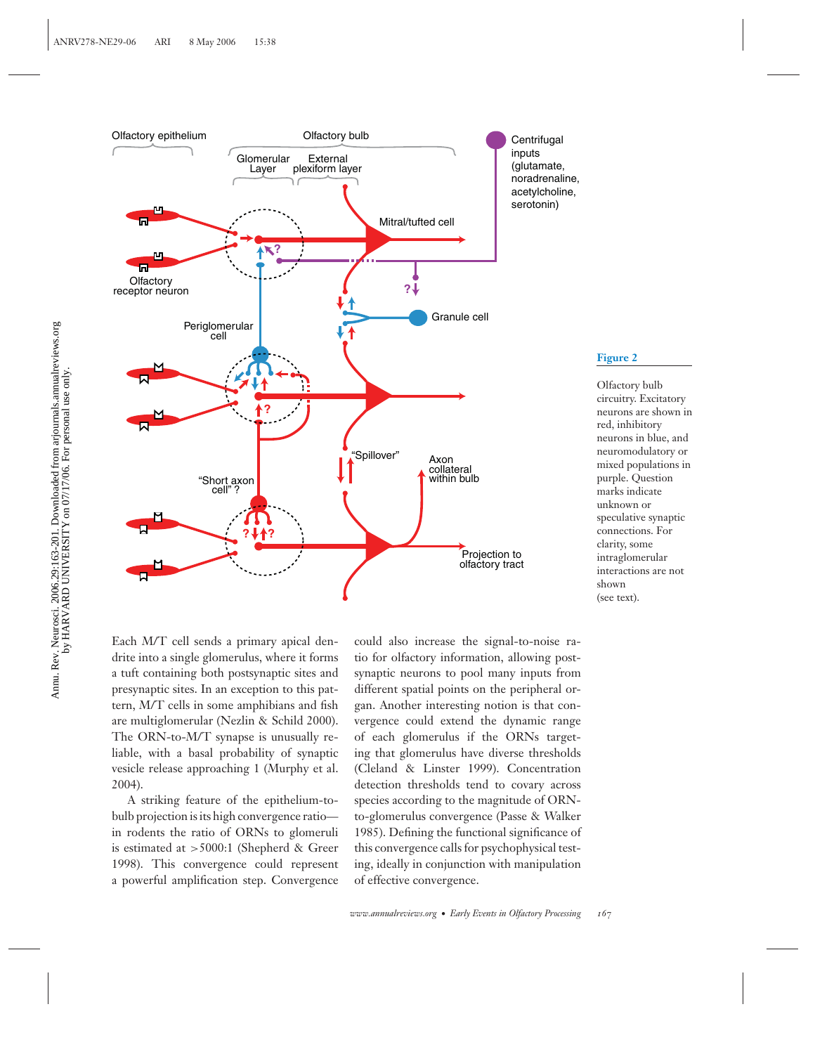

**Centrifugal** inputs (glutamate, noradrenaline, acetylcholine, serotonin)

#### **Figure 2**

Olfactory bulb circuitry. Excitatory neurons are shown in red, inhibitory neurons in blue, and neuromodulatory or mixed populations in purple. Question marks indicate unknown or speculative synaptic connections. For clarity, some intraglomerular interactions are not shown (see text).

Each M/T cell sends a primary apical dendrite into a single glomerulus, where it forms a tuft containing both postsynaptic sites and presynaptic sites. In an exception to this pattern, M/T cells in some amphibians and fish are multiglomerular (Nezlin & Schild 2000). The ORN-to-M/T synapse is unusually reliable, with a basal probability of synaptic vesicle release approaching 1 (Murphy et al. 2004).

A striking feature of the epithelium-tobulb projection is its high convergence ratio in rodents the ratio of ORNs to glomeruli is estimated at >5000:1 (Shepherd & Greer 1998). This convergence could represent a powerful amplification step. Convergence could also increase the signal-to-noise ratio for olfactory information, allowing postsynaptic neurons to pool many inputs from different spatial points on the peripheral organ. Another interesting notion is that convergence could extend the dynamic range of each glomerulus if the ORNs targeting that glomerulus have diverse thresholds (Cleland & Linster 1999). Concentration detection thresholds tend to covary across species according to the magnitude of ORNto-glomerulus convergence (Passe & Walker 1985). Defining the functional significance of this convergence calls for psychophysical testing, ideally in conjunction with manipulation of effective convergence.

Annu. Rev. Neurosci. 2006.29:163-201. Downloaded from arjournals.annualreviews.org<br>by HARVARD UNIVERSITY on 07/17/06. For personal use only. Annu. Rev. Neurosci. 2006.29:163-201. Downloaded from arjournals.annualreviews.org by HARVARD UNIVERSITY on 07/17/06. For personal use only.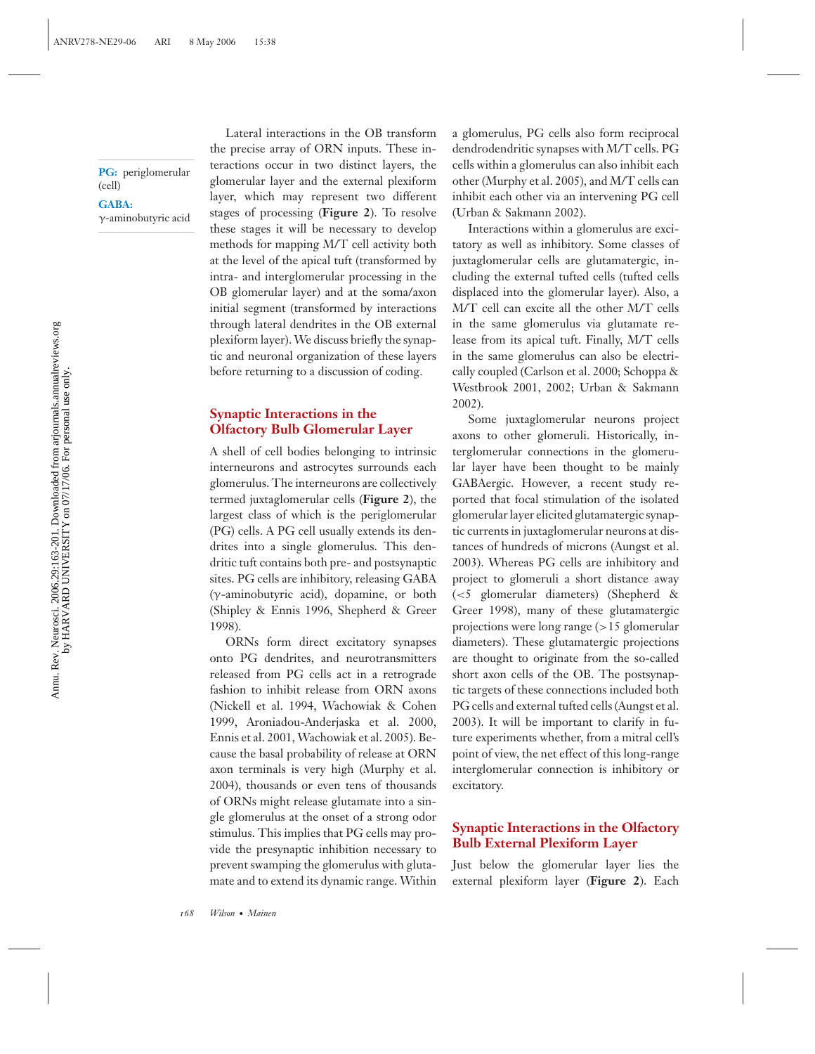**PG:** periglomerular (cell)

**GABA:** γ-aminobutyric acid

Lateral interactions in the OB transform the precise array of ORN inputs. These interactions occur in two distinct layers, the glomerular layer and the external plexiform layer, which may represent two different stages of processing (**Figure 2**). To resolve these stages it will be necessary to develop methods for mapping M/T cell activity both at the level of the apical tuft (transformed by intra- and interglomerular processing in the OB glomerular layer) and at the soma/axon initial segment (transformed by interactions through lateral dendrites in the OB external plexiform layer). We discuss briefly the synaptic and neuronal organization of these layers before returning to a discussion of coding.

## **Synaptic Interactions in the Olfactory Bulb Glomerular Layer**

A shell of cell bodies belonging to intrinsic interneurons and astrocytes surrounds each glomerulus. The interneurons are collectively termed juxtaglomerular cells (**Figure 2**), the largest class of which is the periglomerular (PG) cells. A PG cell usually extends its dendrites into a single glomerulus. This dendritic tuft contains both pre- and postsynaptic sites. PG cells are inhibitory, releasing GABA (γ-aminobutyric acid), dopamine, or both (Shipley & Ennis 1996, Shepherd & Greer 1998).

ORNs form direct excitatory synapses onto PG dendrites, and neurotransmitters released from PG cells act in a retrograde fashion to inhibit release from ORN axons (Nickell et al. 1994, Wachowiak & Cohen 1999, Aroniadou-Anderjaska et al. 2000, Ennis et al. 2001, Wachowiak et al. 2005). Because the basal probability of release at ORN axon terminals is very high (Murphy et al. 2004), thousands or even tens of thousands of ORNs might release glutamate into a single glomerulus at the onset of a strong odor stimulus. This implies that PG cells may provide the presynaptic inhibition necessary to prevent swamping the glomerulus with glutamate and to extend its dynamic range. Within

a glomerulus, PG cells also form reciprocal dendrodendritic synapses with M/T cells. PG cells within a glomerulus can also inhibit each other (Murphy et al. 2005), and M/T cells can inhibit each other via an intervening PG cell (Urban & Sakmann 2002).

Interactions within a glomerulus are excitatory as well as inhibitory. Some classes of juxtaglomerular cells are glutamatergic, including the external tufted cells (tufted cells displaced into the glomerular layer). Also, a M/T cell can excite all the other M/T cells in the same glomerulus via glutamate release from its apical tuft. Finally, M/T cells in the same glomerulus can also be electrically coupled (Carlson et al. 2000; Schoppa & Westbrook 2001, 2002; Urban & Sakmann 2002).

Some juxtaglomerular neurons project axons to other glomeruli. Historically, interglomerular connections in the glomerular layer have been thought to be mainly GABAergic. However, a recent study reported that focal stimulation of the isolated glomerular layer elicited glutamatergic synaptic currents in juxtaglomerular neurons at distances of hundreds of microns (Aungst et al. 2003). Whereas PG cells are inhibitory and project to glomeruli a short distance away (<5 glomerular diameters) (Shepherd & Greer 1998), many of these glutamatergic projections were long range (>15 glomerular diameters). These glutamatergic projections are thought to originate from the so-called short axon cells of the OB. The postsynaptic targets of these connections included both PG cells and external tufted cells (Aungst et al. 2003). It will be important to clarify in future experiments whether, from a mitral cell's point of view, the net effect of this long-range interglomerular connection is inhibitory or excitatory.

## **Synaptic Interactions in the Olfactory Bulb External Plexiform Layer**

Just below the glomerular layer lies the external plexiform layer (**Figure 2**). Each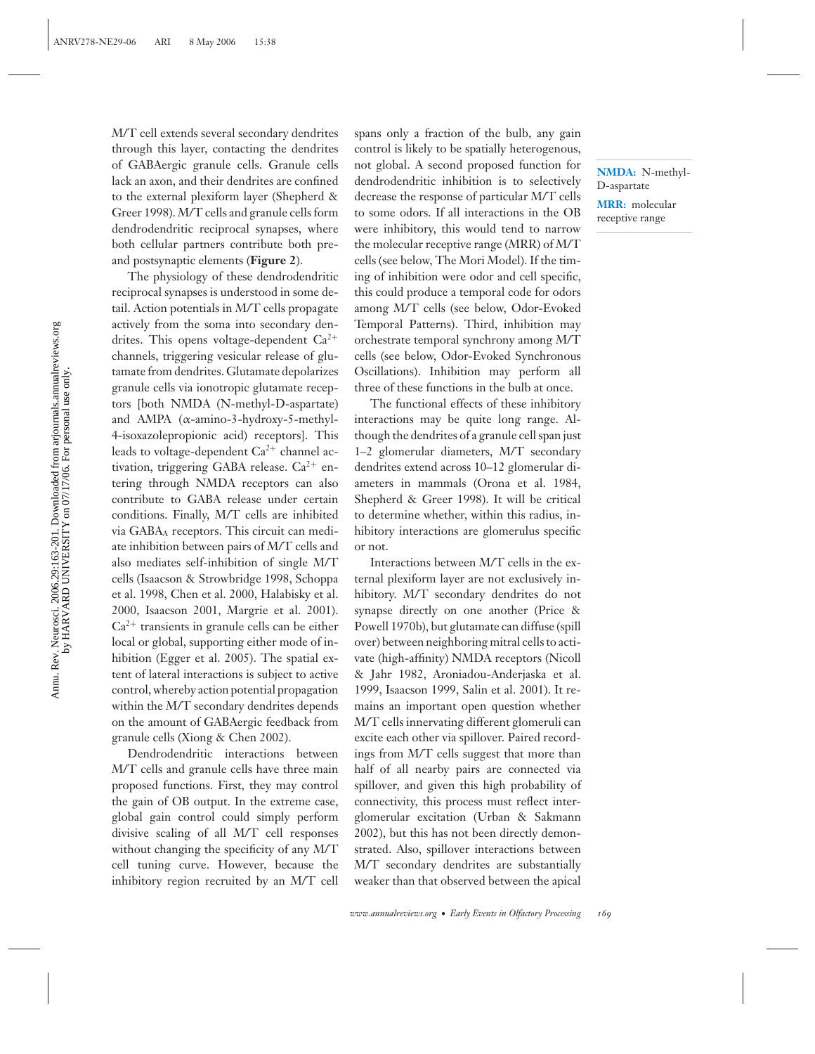M/T cell extends several secondary dendrites through this layer, contacting the dendrites of GABAergic granule cells. Granule cells lack an axon, and their dendrites are confined to the external plexiform layer (Shepherd & Greer 1998). M/T cells and granule cells form dendrodendritic reciprocal synapses, where both cellular partners contribute both preand postsynaptic elements (**Figure 2**).

The physiology of these dendrodendritic reciprocal synapses is understood in some detail. Action potentials in M/T cells propagate actively from the soma into secondary dendrites. This opens voltage-dependent  $Ca^{2+}$ channels, triggering vesicular release of glutamate from dendrites. Glutamate depolarizes granule cells via ionotropic glutamate receptors [both NMDA (N-methyl-D-aspartate) and AMPA (α-amino-3-hydroxy-5-methyl-4-isoxazolepropionic acid) receptors]. This leads to voltage-dependent Ca<sup>2+</sup> channel activation, triggering GABA release.  $Ca^{2+}$  entering through NMDA receptors can also contribute to GABA release under certain conditions. Finally, M/T cells are inhibited via GABAA receptors. This circuit can mediate inhibition between pairs of M/T cells and also mediates self-inhibition of single M/T cells (Isaacson & Strowbridge 1998, Schoppa et al. 1998, Chen et al. 2000, Halabisky et al. 2000, Isaacson 2001, Margrie et al. 2001).  $Ca<sup>2+</sup>$  transients in granule cells can be either local or global, supporting either mode of inhibition (Egger et al. 2005). The spatial extent of lateral interactions is subject to active control, whereby action potential propagation within the M/T secondary dendrites depends on the amount of GABAergic feedback from granule cells (Xiong & Chen 2002).

Dendrodendritic interactions between M/T cells and granule cells have three main proposed functions. First, they may control the gain of OB output. In the extreme case, global gain control could simply perform divisive scaling of all M/T cell responses without changing the specificity of any M/T cell tuning curve. However, because the inhibitory region recruited by an M/T cell spans only a fraction of the bulb, any gain control is likely to be spatially heterogenous, not global. A second proposed function for dendrodendritic inhibition is to selectively decrease the response of particular M/T cells to some odors. If all interactions in the OB were inhibitory, this would tend to narrow the molecular receptive range (MRR) of M/T cells (see below, The Mori Model). If the timing of inhibition were odor and cell specific, this could produce a temporal code for odors among M/T cells (see below, Odor-Evoked Temporal Patterns). Third, inhibition may orchestrate temporal synchrony among M/T cells (see below, Odor-Evoked Synchronous Oscillations). Inhibition may perform all three of these functions in the bulb at once.

The functional effects of these inhibitory interactions may be quite long range. Although the dendrites of a granule cell span just 1–2 glomerular diameters, M/T secondary dendrites extend across 10–12 glomerular diameters in mammals (Orona et al. 1984, Shepherd & Greer 1998). It will be critical to determine whether, within this radius, inhibitory interactions are glomerulus specific or not.

Interactions between M/T cells in the external plexiform layer are not exclusively inhibitory. M/T secondary dendrites do not synapse directly on one another (Price & Powell 1970b), but glutamate can diffuse (spill over) between neighboring mitral cells to activate (high-affinity) NMDA receptors (Nicoll & Jahr 1982, Aroniadou-Anderjaska et al. 1999, Isaacson 1999, Salin et al. 2001). It remains an important open question whether M/T cells innervating different glomeruli can excite each other via spillover. Paired recordings from M/T cells suggest that more than half of all nearby pairs are connected via spillover, and given this high probability of connectivity, this process must reflect interglomerular excitation (Urban & Sakmann 2002), but this has not been directly demonstrated. Also, spillover interactions between M/T secondary dendrites are substantially weaker than that observed between the apical

**NMDA:** N-methyl-D-aspartate **MRR:** molecular

receptive range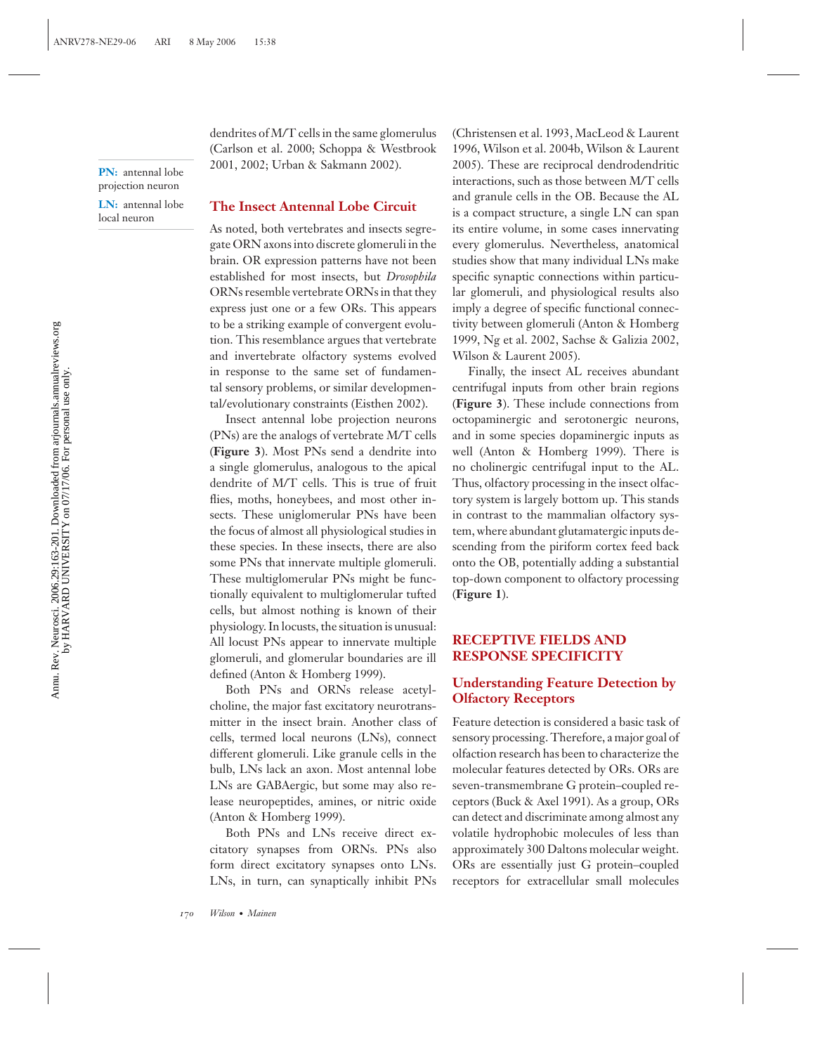**PN:** antennal lobe projection neuron

**LN:** antennal lobe local neuron

dendrites of M/T cells in the same glomerulus (Carlson et al. 2000; Schoppa & Westbrook 2001, 2002; Urban & Sakmann 2002).

#### **The Insect Antennal Lobe Circuit**

As noted, both vertebrates and insects segregate ORN axons into discrete glomeruli in the brain. OR expression patterns have not been established for most insects, but *Drosophila* ORNs resemble vertebrate ORNs in that they express just one or a few ORs. This appears to be a striking example of convergent evolution. This resemblance argues that vertebrate and invertebrate olfactory systems evolved in response to the same set of fundamental sensory problems, or similar developmental/evolutionary constraints (Eisthen 2002).

Insect antennal lobe projection neurons (PNs) are the analogs of vertebrate M/T cells (**Figure 3**). Most PNs send a dendrite into a single glomerulus, analogous to the apical dendrite of M/T cells. This is true of fruit flies, moths, honeybees, and most other insects. These uniglomerular PNs have been the focus of almost all physiological studies in these species. In these insects, there are also some PNs that innervate multiple glomeruli. These multiglomerular PNs might be functionally equivalent to multiglomerular tufted cells, but almost nothing is known of their physiology. In locusts, the situation is unusual: All locust PNs appear to innervate multiple glomeruli, and glomerular boundaries are ill defined (Anton & Homberg 1999).

Both PNs and ORNs release acetylcholine, the major fast excitatory neurotransmitter in the insect brain. Another class of cells, termed local neurons (LNs), connect different glomeruli. Like granule cells in the bulb, LNs lack an axon. Most antennal lobe LNs are GABAergic, but some may also release neuropeptides, amines, or nitric oxide (Anton & Homberg 1999).

Both PNs and LNs receive direct excitatory synapses from ORNs. PNs also form direct excitatory synapses onto LNs. LNs, in turn, can synaptically inhibit PNs

(Christensen et al. 1993, MacLeod & Laurent 1996, Wilson et al. 2004b, Wilson & Laurent 2005). These are reciprocal dendrodendritic interactions, such as those between M/T cells and granule cells in the OB. Because the AL is a compact structure, a single LN can span its entire volume, in some cases innervating every glomerulus. Nevertheless, anatomical studies show that many individual LNs make specific synaptic connections within particular glomeruli, and physiological results also imply a degree of specific functional connectivity between glomeruli (Anton & Homberg 1999, Ng et al. 2002, Sachse & Galizia 2002, Wilson & Laurent 2005).

Finally, the insect AL receives abundant centrifugal inputs from other brain regions (**Figure 3**). These include connections from octopaminergic and serotonergic neurons, and in some species dopaminergic inputs as well (Anton & Homberg 1999). There is no cholinergic centrifugal input to the AL. Thus, olfactory processing in the insect olfactory system is largely bottom up. This stands in contrast to the mammalian olfactory system, where abundant glutamatergic inputs descending from the piriform cortex feed back onto the OB, potentially adding a substantial top-down component to olfactory processing (**Figure 1**).

## **RECEPTIVE FIELDS AND RESPONSE SPECIFICITY**

## **Understanding Feature Detection by Olfactory Receptors**

Feature detection is considered a basic task of sensory processing. Therefore, a major goal of olfaction research has been to characterize the molecular features detected by ORs. ORs are seven-transmembrane G protein–coupled receptors (Buck & Axel 1991). As a group, ORs can detect and discriminate among almost any volatile hydrophobic molecules of less than approximately 300 Daltons molecular weight. ORs are essentially just G protein–coupled receptors for extracellular small molecules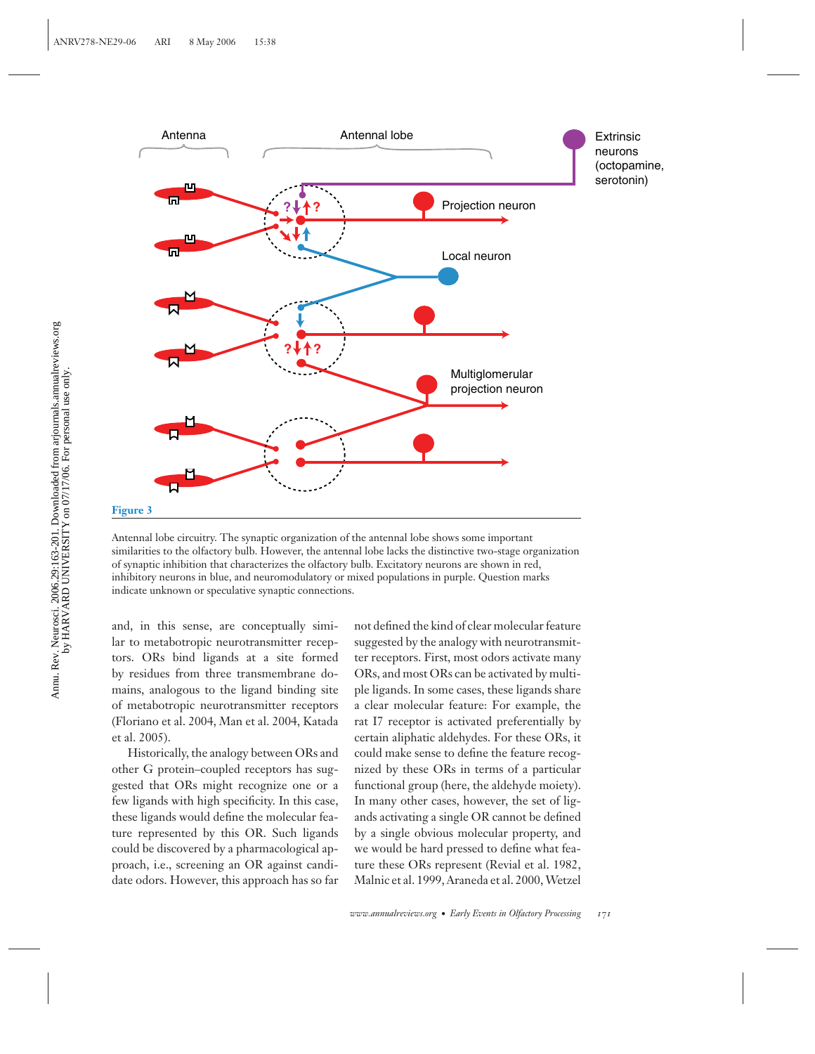

Antennal lobe circuitry. The synaptic organization of the antennal lobe shows some important similarities to the olfactory bulb. However, the antennal lobe lacks the distinctive two-stage organization of synaptic inhibition that characterizes the olfactory bulb. Excitatory neurons are shown in red, inhibitory neurons in blue, and neuromodulatory or mixed populations in purple. Question marks indicate unknown or speculative synaptic connections.

and, in this sense, are conceptually similar to metabotropic neurotransmitter receptors. ORs bind ligands at a site formed by residues from three transmembrane domains, analogous to the ligand binding site of metabotropic neurotransmitter receptors (Floriano et al. 2004, Man et al. 2004, Katada et al. 2005).

Historically, the analogy between ORs and other G protein–coupled receptors has suggested that ORs might recognize one or a few ligands with high specificity. In this case, these ligands would define the molecular feature represented by this OR. Such ligands could be discovered by a pharmacological approach, i.e., screening an OR against candidate odors. However, this approach has so far not defined the kind of clear molecular feature suggested by the analogy with neurotransmitter receptors. First, most odors activate many ORs, and most ORs can be activated by multiple ligands. In some cases, these ligands share a clear molecular feature: For example, the rat I7 receptor is activated preferentially by certain aliphatic aldehydes. For these ORs, it could make sense to define the feature recognized by these ORs in terms of a particular functional group (here, the aldehyde moiety). In many other cases, however, the set of ligands activating a single OR cannot be defined by a single obvious molecular property, and we would be hard pressed to define what feature these ORs represent (Revial et al. 1982, Malnic et al. 1999, Araneda et al. 2000, Wetzel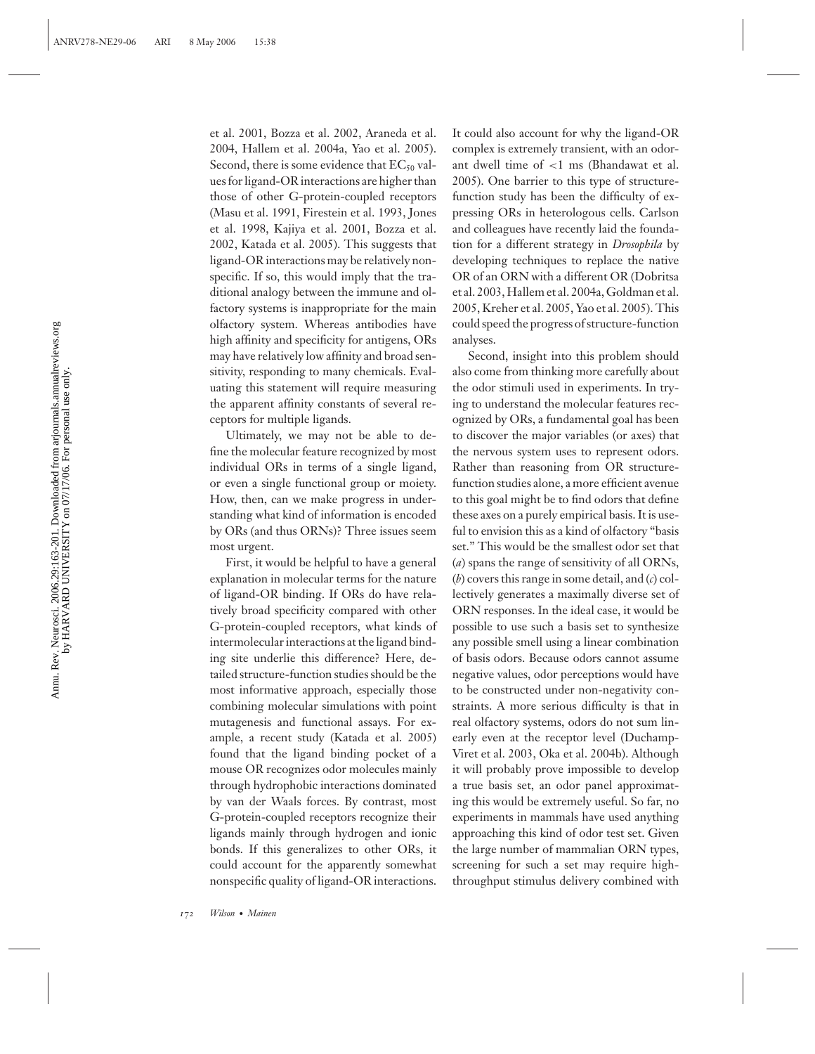et al. 2001, Bozza et al. 2002, Araneda et al. 2004, Hallem et al. 2004a, Yao et al. 2005). Second, there is some evidence that  $EC_{50}$  values for ligand-OR interactions are higher than those of other G-protein-coupled receptors (Masu et al. 1991, Firestein et al. 1993, Jones et al. 1998, Kajiya et al. 2001, Bozza et al. 2002, Katada et al. 2005). This suggests that ligand-OR interactions may be relatively nonspecific. If so, this would imply that the traditional analogy between the immune and olfactory systems is inappropriate for the main olfactory system. Whereas antibodies have high affinity and specificity for antigens, ORs may have relatively low affinity and broad sensitivity, responding to many chemicals. Evaluating this statement will require measuring the apparent affinity constants of several receptors for multiple ligands.

Ultimately, we may not be able to define the molecular feature recognized by most individual ORs in terms of a single ligand, or even a single functional group or moiety. How, then, can we make progress in understanding what kind of information is encoded by ORs (and thus ORNs)? Three issues seem most urgent.

First, it would be helpful to have a general explanation in molecular terms for the nature of ligand-OR binding. If ORs do have relatively broad specificity compared with other G-protein-coupled receptors, what kinds of intermolecular interactions at the ligand binding site underlie this difference? Here, detailed structure-function studies should be the most informative approach, especially those combining molecular simulations with point mutagenesis and functional assays. For example, a recent study (Katada et al. 2005) found that the ligand binding pocket of a mouse OR recognizes odor molecules mainly through hydrophobic interactions dominated by van der Waals forces. By contrast, most G-protein-coupled receptors recognize their ligands mainly through hydrogen and ionic bonds. If this generalizes to other ORs, it could account for the apparently somewhat nonspecific quality of ligand-OR interactions.

It could also account for why the ligand-OR complex is extremely transient, with an odorant dwell time of <1 ms (Bhandawat et al. 2005). One barrier to this type of structurefunction study has been the difficulty of expressing ORs in heterologous cells. Carlson and colleagues have recently laid the foundation for a different strategy in *Drosophila* by developing techniques to replace the native OR of an ORN with a different OR (Dobritsa et al. 2003, Hallem et al. 2004a, Goldman et al. 2005, Kreher et al. 2005, Yao et al. 2005). This could speed the progress of structure-function analyses.

Second, insight into this problem should also come from thinking more carefully about the odor stimuli used in experiments. In trying to understand the molecular features recognized by ORs, a fundamental goal has been to discover the major variables (or axes) that the nervous system uses to represent odors. Rather than reasoning from OR structurefunction studies alone, a more efficient avenue to this goal might be to find odors that define these axes on a purely empirical basis. It is useful to envision this as a kind of olfactory "basis set." This would be the smallest odor set that (*a*) spans the range of sensitivity of all ORNs, (*b*) covers this range in some detail, and (*c*) collectively generates a maximally diverse set of ORN responses. In the ideal case, it would be possible to use such a basis set to synthesize any possible smell using a linear combination of basis odors. Because odors cannot assume negative values, odor perceptions would have to be constructed under non-negativity constraints. A more serious difficulty is that in real olfactory systems, odors do not sum linearly even at the receptor level (Duchamp-Viret et al. 2003, Oka et al. 2004b). Although it will probably prove impossible to develop a true basis set, an odor panel approximating this would be extremely useful. So far, no experiments in mammals have used anything approaching this kind of odor test set. Given the large number of mammalian ORN types, screening for such a set may require highthroughput stimulus delivery combined with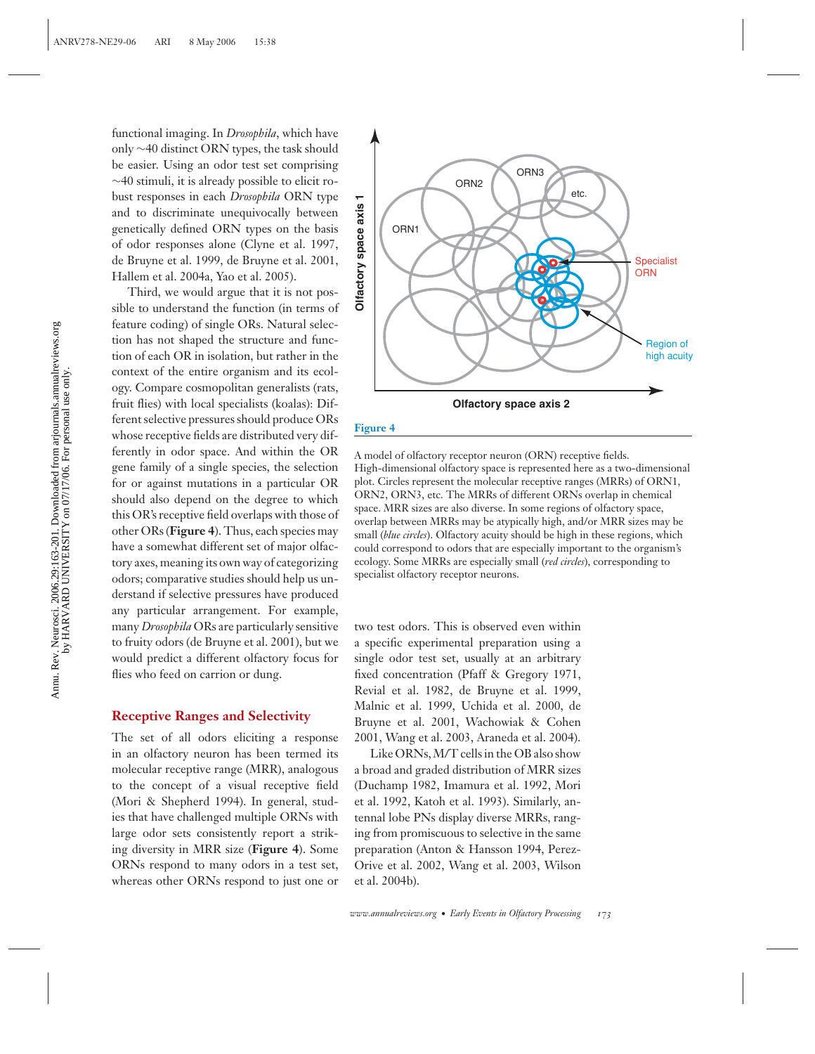functional imaging. In *Drosophila*, which have only ∼40 distinct ORN types, the task should be easier. Using an odor test set comprising ∼40 stimuli, it is already possible to elicit robust responses in each *Drosophila* ORN type and to discriminate unequivocally between genetically defined ORN types on the basis of odor responses alone (Clyne et al. 1997, de Bruyne et al. 1999, de Bruyne et al. 2001, Hallem et al. 2004a, Yao et al. 2005).

Third, we would argue that it is not possible to understand the function (in terms of feature coding) of single ORs. Natural selection has not shaped the structure and function of each OR in isolation, but rather in the context of the entire organism and its ecology. Compare cosmopolitan generalists (rats, fruit flies) with local specialists (koalas): Different selective pressures should produce ORs whose receptive fields are distributed very differently in odor space. And within the OR gene family of a single species, the selection for or against mutations in a particular OR should also depend on the degree to which this OR's receptive field overlaps with those of other ORs (**Figure 4**). Thus, each species may have a somewhat different set of major olfactory axes, meaning its own way of categorizing odors; comparative studies should help us understand if selective pressures have produced any particular arrangement. For example, many *Drosophila* ORs are particularly sensitive to fruity odors (de Bruyne et al. 2001), but we would predict a different olfactory focus for flies who feed on carrion or dung.

#### **Receptive Ranges and Selectivity**

The set of all odors eliciting a response in an olfactory neuron has been termed its molecular receptive range (MRR), analogous to the concept of a visual receptive field (Mori & Shepherd 1994). In general, studies that have challenged multiple ORNs with large odor sets consistently report a striking diversity in MRR size (**Figure 4**). Some ORNs respond to many odors in a test set, whereas other ORNs respond to just one or



## **Figure 4**

A model of olfactory receptor neuron (ORN) receptive fields. High-dimensional olfactory space is represented here as a two-dimensional plot. Circles represent the molecular receptive ranges (MRRs) of ORN1, ORN2, ORN3, etc. The MRRs of different ORNs overlap in chemical space. MRR sizes are also diverse. In some regions of olfactory space, overlap between MRRs may be atypically high, and/or MRR sizes may be small (*blue circles*). Olfactory acuity should be high in these regions, which could correspond to odors that are especially important to the organism's ecology. Some MRRs are especially small (*red circles*), corresponding to specialist olfactory receptor neurons.

two test odors. This is observed even within a specific experimental preparation using a single odor test set, usually at an arbitrary fixed concentration (Pfaff & Gregory 1971, Revial et al. 1982, de Bruyne et al. 1999, Malnic et al. 1999, Uchida et al. 2000, de Bruyne et al. 2001, Wachowiak & Cohen 2001, Wang et al. 2003, Araneda et al. 2004).

Like ORNs, M/T cells in the OB also show a broad and graded distribution of MRR sizes (Duchamp 1982, Imamura et al. 1992, Mori et al. 1992, Katoh et al. 1993). Similarly, antennal lobe PNs display diverse MRRs, ranging from promiscuous to selective in the same preparation (Anton & Hansson 1994, Perez-Orive et al. 2002, Wang et al. 2003, Wilson et al. 2004b).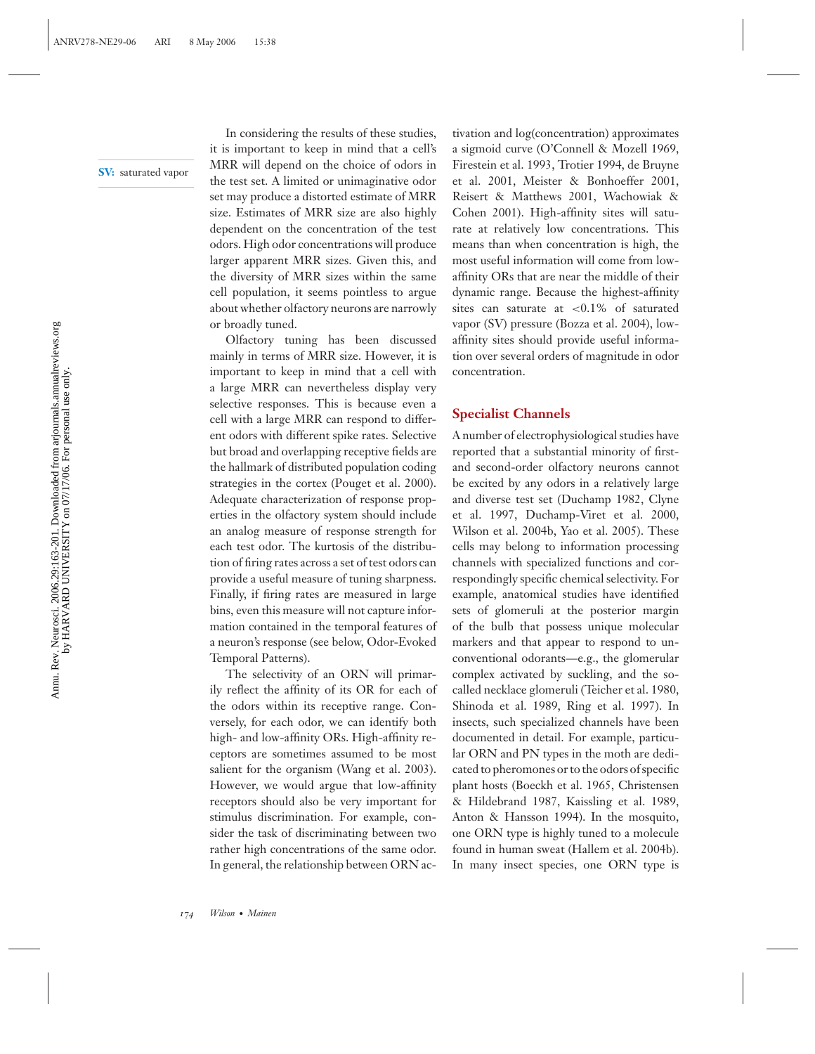#### **SV:** saturated vapor

In considering the results of these studies, it is important to keep in mind that a cell's MRR will depend on the choice of odors in the test set. A limited or unimaginative odor set may produce a distorted estimate of MRR size. Estimates of MRR size are also highly dependent on the concentration of the test odors. High odor concentrations will produce larger apparent MRR sizes. Given this, and the diversity of MRR sizes within the same cell population, it seems pointless to argue about whether olfactory neurons are narrowly or broadly tuned.

Olfactory tuning has been discussed mainly in terms of MRR size. However, it is important to keep in mind that a cell with a large MRR can nevertheless display very selective responses. This is because even a cell with a large MRR can respond to different odors with different spike rates. Selective but broad and overlapping receptive fields are the hallmark of distributed population coding strategies in the cortex (Pouget et al. 2000). Adequate characterization of response properties in the olfactory system should include an analog measure of response strength for each test odor. The kurtosis of the distribution of firing rates across a set of test odors can provide a useful measure of tuning sharpness. Finally, if firing rates are measured in large bins, even this measure will not capture information contained in the temporal features of a neuron's response (see below, Odor-Evoked Temporal Patterns).

The selectivity of an ORN will primarily reflect the affinity of its OR for each of the odors within its receptive range. Conversely, for each odor, we can identify both high- and low-affinity ORs. High-affinity receptors are sometimes assumed to be most salient for the organism (Wang et al. 2003). However, we would argue that low-affinity receptors should also be very important for stimulus discrimination. For example, consider the task of discriminating between two rather high concentrations of the same odor. In general, the relationship between ORN activation and log(concentration) approximates a sigmoid curve (O'Connell & Mozell 1969, Firestein et al. 1993, Trotier 1994, de Bruyne et al. 2001, Meister & Bonhoeffer 2001, Reisert & Matthews 2001, Wachowiak & Cohen 2001). High-affinity sites will saturate at relatively low concentrations. This means than when concentration is high, the most useful information will come from lowaffinity ORs that are near the middle of their dynamic range. Because the highest-affinity sites can saturate at  $< 0.1\%$  of saturated vapor (SV) pressure (Bozza et al. 2004), lowaffinity sites should provide useful information over several orders of magnitude in odor concentration.

## **Specialist Channels**

A number of electrophysiological studies have reported that a substantial minority of firstand second-order olfactory neurons cannot be excited by any odors in a relatively large and diverse test set (Duchamp 1982, Clyne et al. 1997, Duchamp-Viret et al. 2000, Wilson et al. 2004b, Yao et al. 2005). These cells may belong to information processing channels with specialized functions and correspondingly specific chemical selectivity. For example, anatomical studies have identified sets of glomeruli at the posterior margin of the bulb that possess unique molecular markers and that appear to respond to unconventional odorants—e.g., the glomerular complex activated by suckling, and the socalled necklace glomeruli (Teicher et al. 1980, Shinoda et al. 1989, Ring et al. 1997). In insects, such specialized channels have been documented in detail. For example, particular ORN and PN types in the moth are dedicated to pheromones or to the odors of specific plant hosts (Boeckh et al. 1965, Christensen & Hildebrand 1987, Kaissling et al. 1989, Anton & Hansson 1994). In the mosquito, one ORN type is highly tuned to a molecule found in human sweat (Hallem et al. 2004b). In many insect species, one ORN type is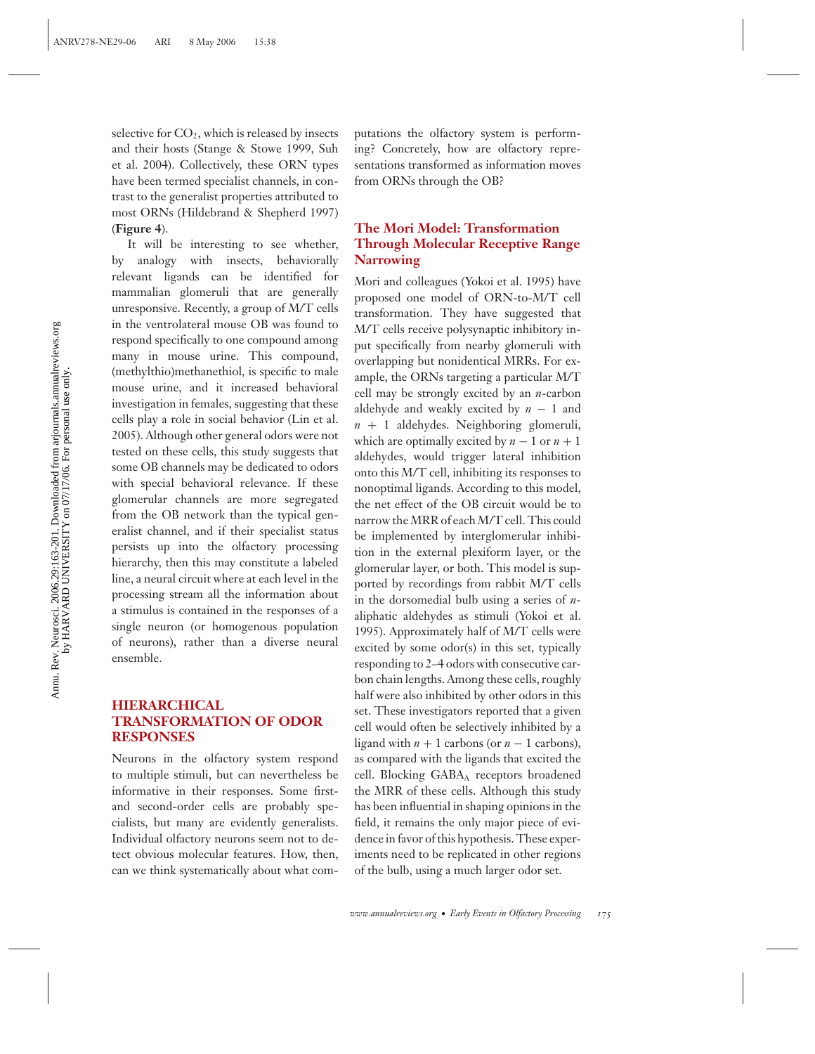selective for  $CO<sub>2</sub>$ , which is released by insects and their hosts (Stange & Stowe 1999, Suh et al. 2004). Collectively, these ORN types have been termed specialist channels, in contrast to the generalist properties attributed to most ORNs (Hildebrand & Shepherd 1997) (**Figure 4**).

It will be interesting to see whether, by analogy with insects, behaviorally relevant ligands can be identified for mammalian glomeruli that are generally unresponsive. Recently, a group of M/T cells in the ventrolateral mouse OB was found to respond specifically to one compound among many in mouse urine. This compound, (methylthio)methanethiol, is specific to male mouse urine, and it increased behavioral investigation in females, suggesting that these cells play a role in social behavior (Lin et al. 2005). Although other general odors were not tested on these cells, this study suggests that some OB channels may be dedicated to odors with special behavioral relevance. If these glomerular channels are more segregated from the OB network than the typical generalist channel, and if their specialist status persists up into the olfactory processing hierarchy, then this may constitute a labeled line, a neural circuit where at each level in the processing stream all the information about a stimulus is contained in the responses of a single neuron (or homogenous population of neurons), rather than a diverse neural ensemble.

## **HIERARCHICAL TRANSFORMATION OF ODOR RESPONSES**

Neurons in the olfactory system respond to multiple stimuli, but can nevertheless be informative in their responses. Some firstand second-order cells are probably specialists, but many are evidently generalists. Individual olfactory neurons seem not to detect obvious molecular features. How, then, can we think systematically about what com-

putations the olfactory system is performing? Concretely, how are olfactory representations transformed as information moves from ORNs through the OB?

# **The Mori Model: Transformation Through Molecular Receptive Range Narrowing**

Mori and colleagues (Yokoi et al. 1995) have proposed one model of ORN-to-M/T cell transformation. They have suggested that M/T cells receive polysynaptic inhibitory input specifically from nearby glomeruli with overlapping but nonidentical MRRs. For example, the ORNs targeting a particular M/T cell may be strongly excited by an *n*-carbon aldehyde and weakly excited by *n* − 1 and *n* + 1 aldehydes. Neighboring glomeruli, which are optimally excited by  $n - 1$  or  $n + 1$ aldehydes, would trigger lateral inhibition onto this M/T cell, inhibiting its responses to nonoptimal ligands. According to this model, the net effect of the OB circuit would be to narrow the MRR of each M/T cell. This could be implemented by interglomerular inhibition in the external plexiform layer, or the glomerular layer, or both. This model is supported by recordings from rabbit M/T cells in the dorsomedial bulb using a series of *n*aliphatic aldehydes as stimuli (Yokoi et al. 1995). Approximately half of M/T cells were excited by some odor(s) in this set, typically responding to 2–4 odors with consecutive carbon chain lengths. Among these cells, roughly half were also inhibited by other odors in this set. These investigators reported that a given cell would often be selectively inhibited by a ligand with  $n + 1$  carbons (or  $n - 1$  carbons), as compared with the ligands that excited the cell. Blocking GABAA receptors broadened the MRR of these cells. Although this study has been influential in shaping opinions in the field, it remains the only major piece of evidence in favor of this hypothesis. These experiments need to be replicated in other regions of the bulb, using a much larger odor set.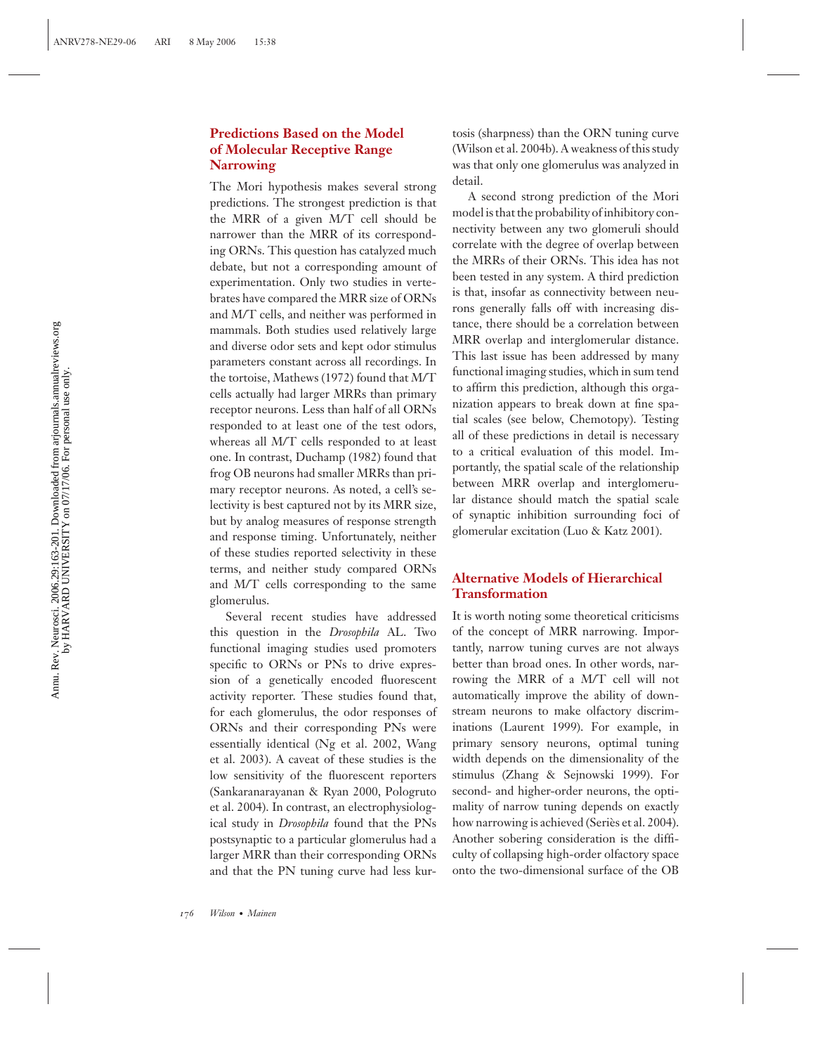## **Predictions Based on the Model of Molecular Receptive Range Narrowing**

The Mori hypothesis makes several strong predictions. The strongest prediction is that the MRR of a given M/T cell should be narrower than the MRR of its corresponding ORNs. This question has catalyzed much debate, but not a corresponding amount of experimentation. Only two studies in vertebrates have compared the MRR size of ORNs and M/T cells, and neither was performed in mammals. Both studies used relatively large and diverse odor sets and kept odor stimulus parameters constant across all recordings. In the tortoise, Mathews (1972) found that M/T cells actually had larger MRRs than primary receptor neurons. Less than half of all ORNs responded to at least one of the test odors, whereas all M/T cells responded to at least one. In contrast, Duchamp (1982) found that frog OB neurons had smaller MRRs than primary receptor neurons. As noted, a cell's selectivity is best captured not by its MRR size, but by analog measures of response strength and response timing. Unfortunately, neither of these studies reported selectivity in these terms, and neither study compared ORNs and M/T cells corresponding to the same glomerulus.

Several recent studies have addressed this question in the *Drosophila* AL. Two functional imaging studies used promoters specific to ORNs or PNs to drive expression of a genetically encoded fluorescent activity reporter. These studies found that, for each glomerulus, the odor responses of ORNs and their corresponding PNs were essentially identical (Ng et al. 2002, Wang et al. 2003). A caveat of these studies is the low sensitivity of the fluorescent reporters (Sankaranarayanan & Ryan 2000, Pologruto et al. 2004). In contrast, an electrophysiological study in *Drosophila* found that the PNs postsynaptic to a particular glomerulus had a larger MRR than their corresponding ORNs and that the PN tuning curve had less kurtosis (sharpness) than the ORN tuning curve (Wilson et al. 2004b). A weakness of this study was that only one glomerulus was analyzed in detail.

A second strong prediction of the Mori model is that the probability of inhibitory connectivity between any two glomeruli should correlate with the degree of overlap between the MRRs of their ORNs. This idea has not been tested in any system. A third prediction is that, insofar as connectivity between neurons generally falls off with increasing distance, there should be a correlation between MRR overlap and interglomerular distance. This last issue has been addressed by many functional imaging studies, which in sum tend to affirm this prediction, although this organization appears to break down at fine spatial scales (see below, Chemotopy). Testing all of these predictions in detail is necessary to a critical evaluation of this model. Importantly, the spatial scale of the relationship between MRR overlap and interglomerular distance should match the spatial scale of synaptic inhibition surrounding foci of glomerular excitation (Luo & Katz 2001).

# **Alternative Models of Hierarchical Transformation**

It is worth noting some theoretical criticisms of the concept of MRR narrowing. Importantly, narrow tuning curves are not always better than broad ones. In other words, narrowing the MRR of a M/T cell will not automatically improve the ability of downstream neurons to make olfactory discriminations (Laurent 1999). For example, in primary sensory neurons, optimal tuning width depends on the dimensionality of the stimulus (Zhang & Sejnowski 1999). For second- and higher-order neurons, the optimality of narrow tuning depends on exactly how narrowing is achieved (Seriès et al. 2004). Another sobering consideration is the difficulty of collapsing high-order olfactory space onto the two-dimensional surface of the OB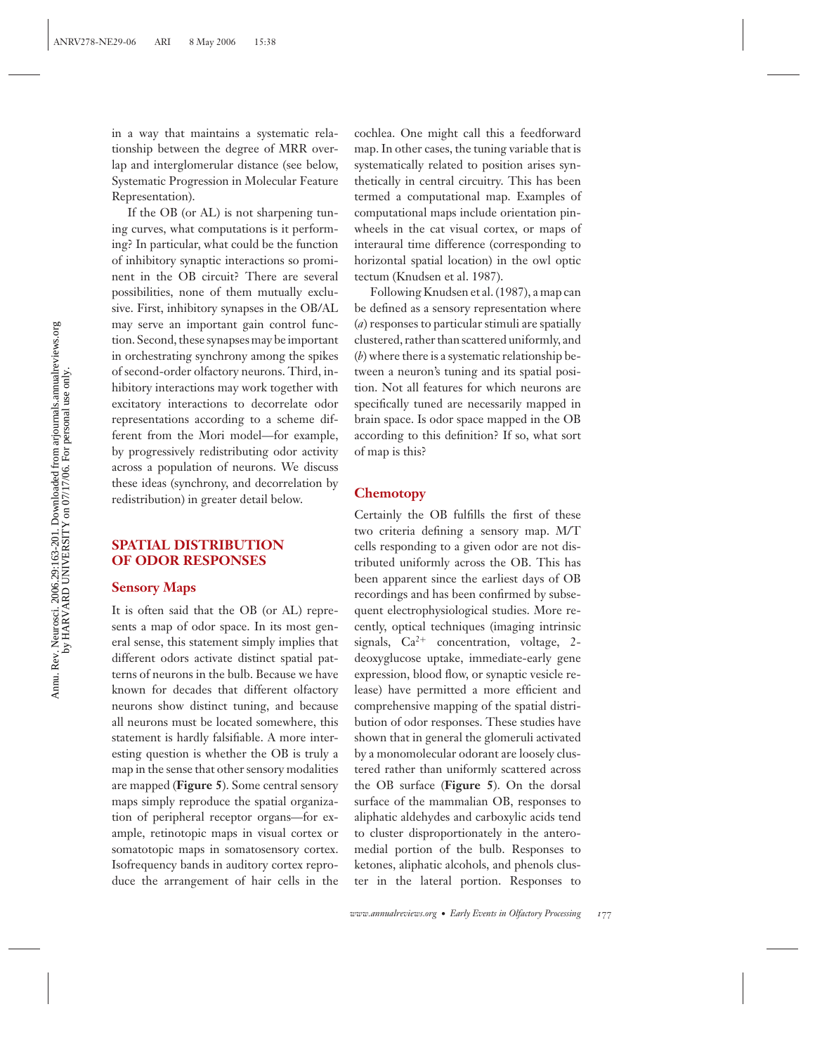in a way that maintains a systematic relationship between the degree of MRR overlap and interglomerular distance (see below, Systematic Progression in Molecular Feature Representation).

If the OB (or AL) is not sharpening tuning curves, what computations is it performing? In particular, what could be the function of inhibitory synaptic interactions so prominent in the OB circuit? There are several possibilities, none of them mutually exclusive. First, inhibitory synapses in the OB/AL may serve an important gain control function. Second, these synapses may be important in orchestrating synchrony among the spikes of second-order olfactory neurons. Third, inhibitory interactions may work together with excitatory interactions to decorrelate odor representations according to a scheme different from the Mori model—for example, by progressively redistributing odor activity across a population of neurons. We discuss these ideas (synchrony, and decorrelation by redistribution) in greater detail below.

## **SPATIAL DISTRIBUTION OF ODOR RESPONSES**

#### **Sensory Maps**

It is often said that the OB (or AL) represents a map of odor space. In its most general sense, this statement simply implies that different odors activate distinct spatial patterns of neurons in the bulb. Because we have known for decades that different olfactory neurons show distinct tuning, and because all neurons must be located somewhere, this statement is hardly falsifiable. A more interesting question is whether the OB is truly a map in the sense that other sensory modalities are mapped (**Figure 5**). Some central sensory maps simply reproduce the spatial organization of peripheral receptor organs—for example, retinotopic maps in visual cortex or somatotopic maps in somatosensory cortex. Isofrequency bands in auditory cortex reproduce the arrangement of hair cells in the cochlea. One might call this a feedforward map. In other cases, the tuning variable that is systematically related to position arises synthetically in central circuitry. This has been termed a computational map. Examples of computational maps include orientation pinwheels in the cat visual cortex, or maps of interaural time difference (corresponding to horizontal spatial location) in the owl optic tectum (Knudsen et al. 1987).

Following Knudsen et al. (1987), a map can be defined as a sensory representation where (*a*) responses to particular stimuli are spatially clustered, rather than scattered uniformly, and (*b*) where there is a systematic relationship between a neuron's tuning and its spatial position. Not all features for which neurons are specifically tuned are necessarily mapped in brain space. Is odor space mapped in the OB according to this definition? If so, what sort of map is this?

#### **Chemotopy**

Certainly the OB fulfills the first of these two criteria defining a sensory map. M/T cells responding to a given odor are not distributed uniformly across the OB. This has been apparent since the earliest days of OB recordings and has been confirmed by subsequent electrophysiological studies. More recently, optical techniques (imaging intrinsic signals,  $Ca^{2+}$  concentration, voltage, 2deoxyglucose uptake, immediate-early gene expression, blood flow, or synaptic vesicle release) have permitted a more efficient and comprehensive mapping of the spatial distribution of odor responses. These studies have shown that in general the glomeruli activated by a monomolecular odorant are loosely clustered rather than uniformly scattered across the OB surface (**Figure 5**). On the dorsal surface of the mammalian OB, responses to aliphatic aldehydes and carboxylic acids tend to cluster disproportionately in the anteromedial portion of the bulb. Responses to ketones, aliphatic alcohols, and phenols cluster in the lateral portion. Responses to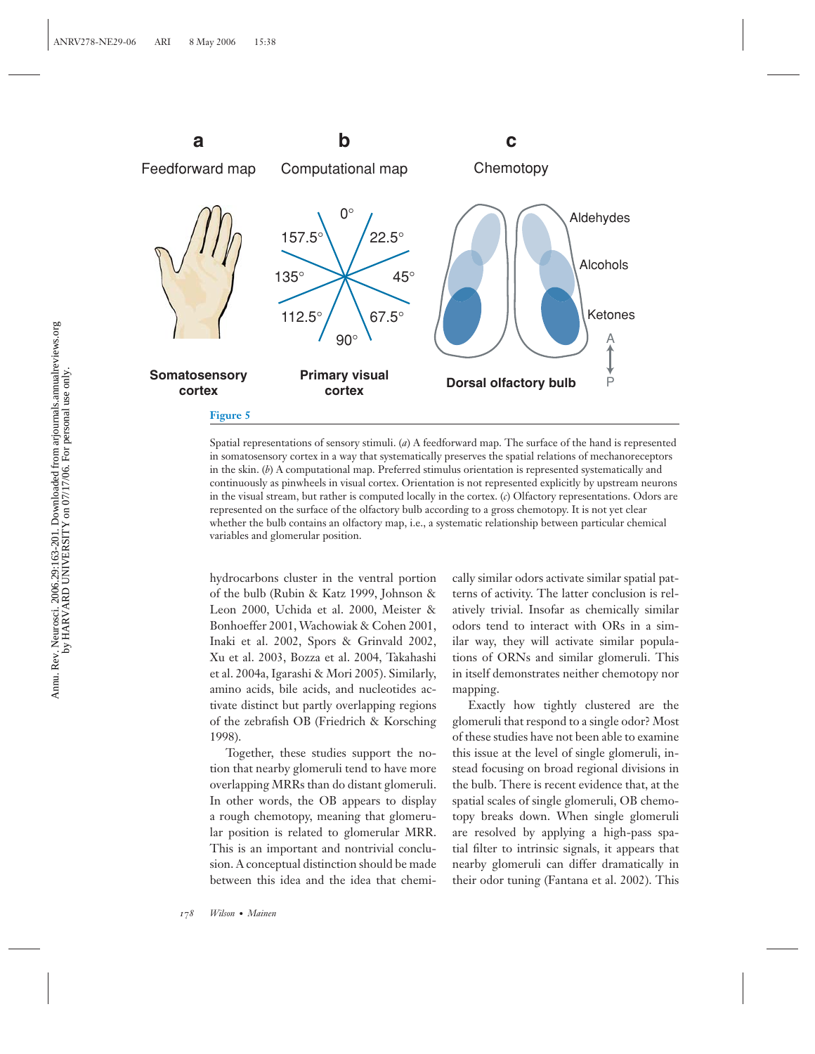

Spatial representations of sensory stimuli. (*a*) A feedforward map. The surface of the hand is represented in somatosensory cortex in a way that systematically preserves the spatial relations of mechanoreceptors in the skin. (*b*) A computational map. Preferred stimulus orientation is represented systematically and continuously as pinwheels in visual cortex. Orientation is not represented explicitly by upstream neurons in the visual stream, but rather is computed locally in the cortex. (*c*) Olfactory representations. Odors are represented on the surface of the olfactory bulb according to a gross chemotopy. It is not yet clear whether the bulb contains an olfactory map, i.e., a systematic relationship between particular chemical variables and glomerular position.

hydrocarbons cluster in the ventral portion of the bulb (Rubin & Katz 1999, Johnson & Leon 2000, Uchida et al. 2000, Meister & Bonhoeffer 2001, Wachowiak & Cohen 2001, Inaki et al. 2002, Spors & Grinvald 2002, Xu et al. 2003, Bozza et al. 2004, Takahashi et al. 2004a, Igarashi & Mori 2005). Similarly, amino acids, bile acids, and nucleotides activate distinct but partly overlapping regions of the zebrafish OB (Friedrich & Korsching 1998).

Together, these studies support the notion that nearby glomeruli tend to have more overlapping MRRs than do distant glomeruli. In other words, the OB appears to display a rough chemotopy, meaning that glomerular position is related to glomerular MRR. This is an important and nontrivial conclusion. A conceptual distinction should be made between this idea and the idea that chemically similar odors activate similar spatial patterns of activity. The latter conclusion is relatively trivial. Insofar as chemically similar odors tend to interact with ORs in a similar way, they will activate similar populations of ORNs and similar glomeruli. This in itself demonstrates neither chemotopy nor mapping.

Exactly how tightly clustered are the glomeruli that respond to a single odor? Most of these studies have not been able to examine this issue at the level of single glomeruli, instead focusing on broad regional divisions in the bulb. There is recent evidence that, at the spatial scales of single glomeruli, OB chemotopy breaks down. When single glomeruli are resolved by applying a high-pass spatial filter to intrinsic signals, it appears that nearby glomeruli can differ dramatically in their odor tuning (Fantana et al. 2002). This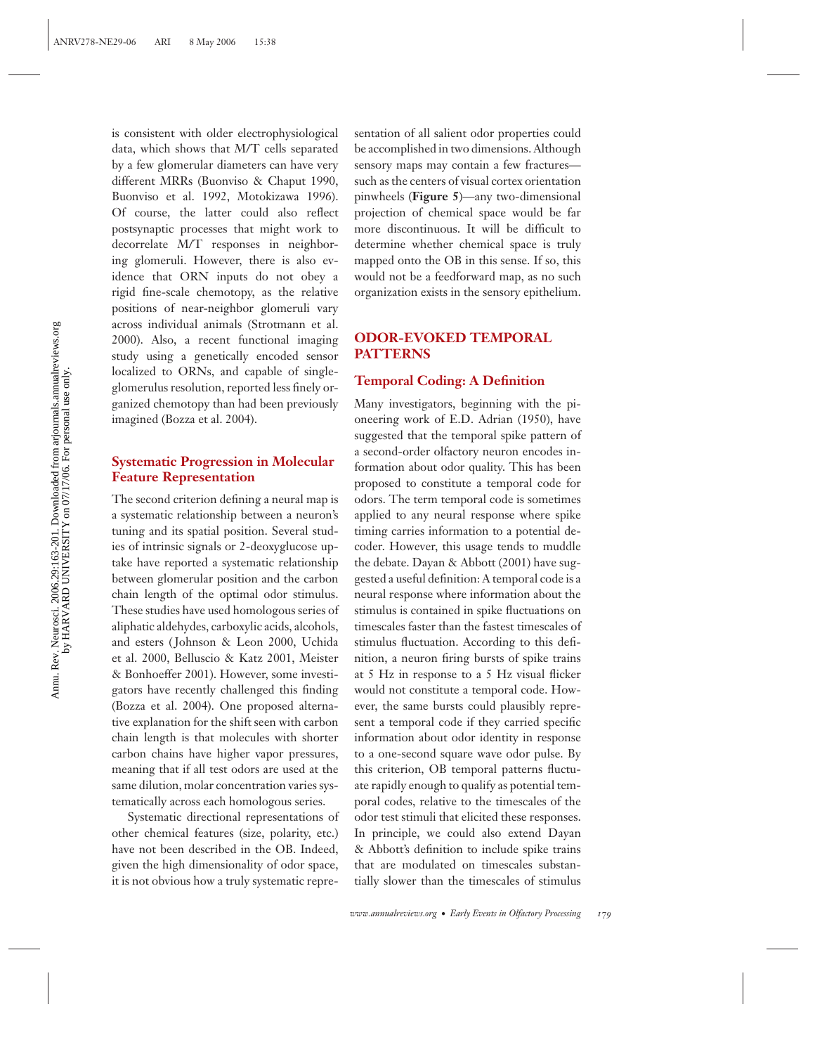Annu. Rev. Neurosci. 2006.29:163-201. Downloaded from arjournals.annualreviews.org<br>by HARVARD UNIVERSITY on 07/17/06. For personal use only. Annu. Rev. Neurosci. 2006.29:163-201. Downloaded from arjournals.annualreviews.org by HARVARD UNIVERSITY on 07/17/06. For personal use only. is consistent with older electrophysiological data, which shows that M/T cells separated by a few glomerular diameters can have very different MRRs (Buonviso & Chaput 1990, Buonviso et al. 1992, Motokizawa 1996). Of course, the latter could also reflect postsynaptic processes that might work to decorrelate M/T responses in neighboring glomeruli. However, there is also evidence that ORN inputs do not obey a rigid fine-scale chemotopy, as the relative positions of near-neighbor glomeruli vary across individual animals (Strotmann et al. 2000). Also, a recent functional imaging study using a genetically encoded sensor localized to ORNs, and capable of singleglomerulus resolution, reported less finely organized chemotopy than had been previously imagined (Bozza et al. 2004).

## **Systematic Progression in Molecular Feature Representation**

The second criterion defining a neural map is a systematic relationship between a neuron's tuning and its spatial position. Several studies of intrinsic signals or 2-deoxyglucose uptake have reported a systematic relationship between glomerular position and the carbon chain length of the optimal odor stimulus. These studies have used homologous series of aliphatic aldehydes, carboxylic acids, alcohols, and esters ( Johnson & Leon 2000, Uchida et al. 2000, Belluscio & Katz 2001, Meister & Bonhoeffer 2001). However, some investigators have recently challenged this finding (Bozza et al. 2004). One proposed alternative explanation for the shift seen with carbon chain length is that molecules with shorter carbon chains have higher vapor pressures, meaning that if all test odors are used at the same dilution, molar concentration varies systematically across each homologous series.

Systematic directional representations of other chemical features (size, polarity, etc.) have not been described in the OB. Indeed, given the high dimensionality of odor space, it is not obvious how a truly systematic representation of all salient odor properties could be accomplished in two dimensions. Although sensory maps may contain a few fractures such as the centers of visual cortex orientation pinwheels (**Figure 5**)—any two-dimensional projection of chemical space would be far more discontinuous. It will be difficult to determine whether chemical space is truly mapped onto the OB in this sense. If so, this would not be a feedforward map, as no such organization exists in the sensory epithelium.

## **ODOR-EVOKED TEMPORAL PATTERNS**

#### **Temporal Coding: A Definition**

Many investigators, beginning with the pioneering work of E.D. Adrian (1950), have suggested that the temporal spike pattern of a second-order olfactory neuron encodes information about odor quality. This has been proposed to constitute a temporal code for odors. The term temporal code is sometimes applied to any neural response where spike timing carries information to a potential decoder. However, this usage tends to muddle the debate. Dayan & Abbott (2001) have suggested a useful definition: A temporal code is a neural response where information about the stimulus is contained in spike fluctuations on timescales faster than the fastest timescales of stimulus fluctuation. According to this definition, a neuron firing bursts of spike trains at 5 Hz in response to a 5 Hz visual flicker would not constitute a temporal code. However, the same bursts could plausibly represent a temporal code if they carried specific information about odor identity in response to a one-second square wave odor pulse. By this criterion, OB temporal patterns fluctuate rapidly enough to qualify as potential temporal codes, relative to the timescales of the odor test stimuli that elicited these responses. In principle, we could also extend Dayan & Abbott's definition to include spike trains that are modulated on timescales substantially slower than the timescales of stimulus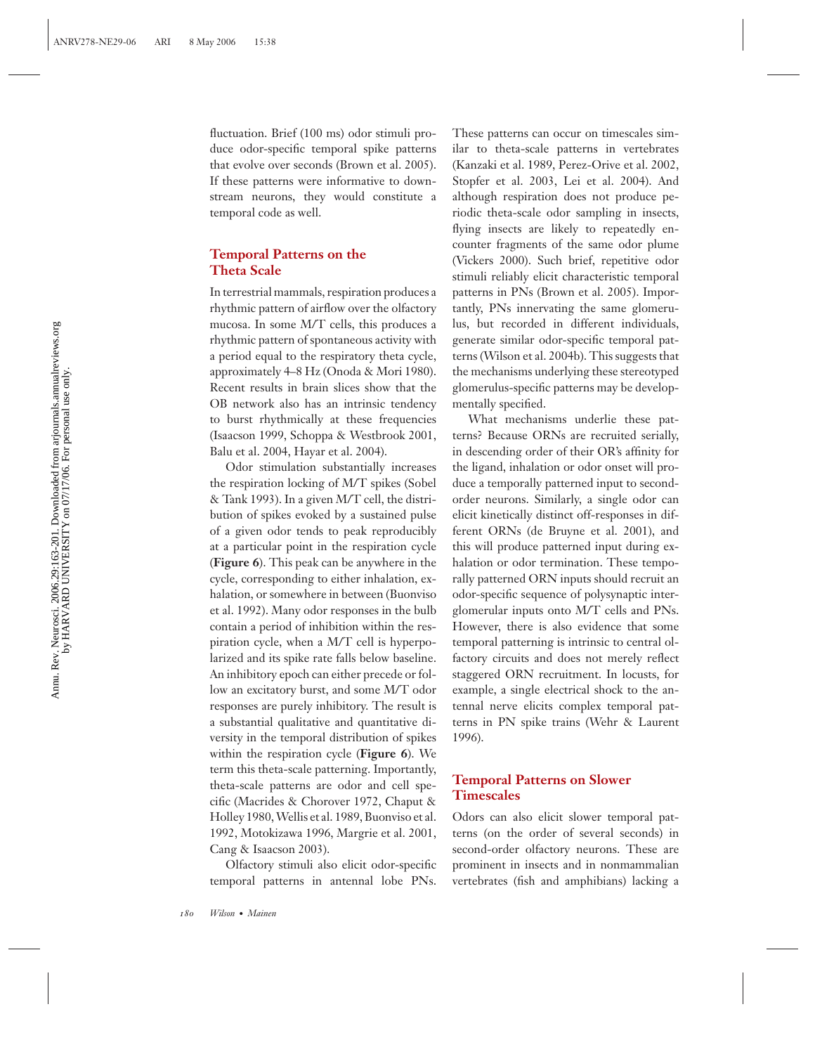fluctuation. Brief (100 ms) odor stimuli produce odor-specific temporal spike patterns that evolve over seconds (Brown et al. 2005). If these patterns were informative to downstream neurons, they would constitute a temporal code as well.

#### **Temporal Patterns on the Theta Scale**

In terrestrial mammals, respiration produces a rhythmic pattern of airflow over the olfactory mucosa. In some M/T cells, this produces a rhythmic pattern of spontaneous activity with a period equal to the respiratory theta cycle, approximately 4–8 Hz (Onoda & Mori 1980). Recent results in brain slices show that the OB network also has an intrinsic tendency to burst rhythmically at these frequencies (Isaacson 1999, Schoppa & Westbrook 2001, Balu et al. 2004, Hayar et al. 2004).

Odor stimulation substantially increases the respiration locking of M/T spikes (Sobel & Tank 1993). In a given M/T cell, the distribution of spikes evoked by a sustained pulse of a given odor tends to peak reproducibly at a particular point in the respiration cycle (**Figure 6**). This peak can be anywhere in the cycle, corresponding to either inhalation, exhalation, or somewhere in between (Buonviso et al. 1992). Many odor responses in the bulb contain a period of inhibition within the respiration cycle, when a M/T cell is hyperpolarized and its spike rate falls below baseline. An inhibitory epoch can either precede or follow an excitatory burst, and some M/T odor responses are purely inhibitory. The result is a substantial qualitative and quantitative diversity in the temporal distribution of spikes within the respiration cycle (**Figure 6**). We term this theta-scale patterning. Importantly, theta-scale patterns are odor and cell specific (Macrides & Chorover 1972, Chaput & Holley 1980, Wellis et al. 1989, Buonviso et al. 1992, Motokizawa 1996, Margrie et al. 2001, Cang & Isaacson 2003).

Olfactory stimuli also elicit odor-specific temporal patterns in antennal lobe PNs.

These patterns can occur on timescales similar to theta-scale patterns in vertebrates (Kanzaki et al. 1989, Perez-Orive et al. 2002, Stopfer et al. 2003, Lei et al. 2004). And although respiration does not produce periodic theta-scale odor sampling in insects, flying insects are likely to repeatedly encounter fragments of the same odor plume (Vickers 2000). Such brief, repetitive odor stimuli reliably elicit characteristic temporal patterns in PNs (Brown et al. 2005). Importantly, PNs innervating the same glomerulus, but recorded in different individuals, generate similar odor-specific temporal patterns (Wilson et al. 2004b). This suggests that the mechanisms underlying these stereotyped glomerulus-specific patterns may be developmentally specified.

What mechanisms underlie these patterns? Because ORNs are recruited serially, in descending order of their OR's affinity for the ligand, inhalation or odor onset will produce a temporally patterned input to secondorder neurons. Similarly, a single odor can elicit kinetically distinct off-responses in different ORNs (de Bruyne et al. 2001), and this will produce patterned input during exhalation or odor termination. These temporally patterned ORN inputs should recruit an odor-specific sequence of polysynaptic interglomerular inputs onto M/T cells and PNs. However, there is also evidence that some temporal patterning is intrinsic to central olfactory circuits and does not merely reflect staggered ORN recruitment. In locusts, for example, a single electrical shock to the antennal nerve elicits complex temporal patterns in PN spike trains (Wehr & Laurent 1996).

## **Temporal Patterns on Slower Timescales**

Odors can also elicit slower temporal patterns (on the order of several seconds) in second-order olfactory neurons. These are prominent in insects and in nonmammalian vertebrates (fish and amphibians) lacking a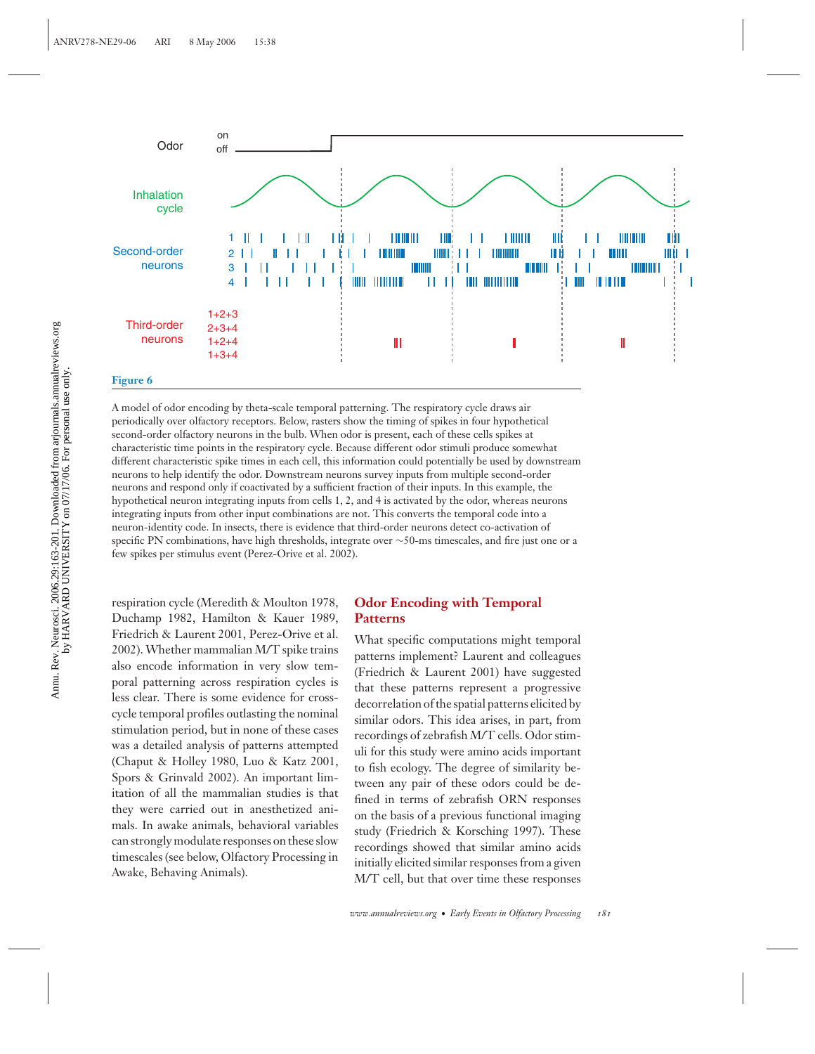

A model of odor encoding by theta-scale temporal patterning. The respiratory cycle draws air periodically over olfactory receptors. Below, rasters show the timing of spikes in four hypothetical second-order olfactory neurons in the bulb. When odor is present, each of these cells spikes at characteristic time points in the respiratory cycle. Because different odor stimuli produce somewhat different characteristic spike times in each cell, this information could potentially be used by downstream neurons to help identify the odor. Downstream neurons survey inputs from multiple second-order neurons and respond only if coactivated by a sufficient fraction of their inputs. In this example, the hypothetical neuron integrating inputs from cells 1, 2, and 4 is activated by the odor, whereas neurons integrating inputs from other input combinations are not. This converts the temporal code into a neuron-identity code. In insects, there is evidence that third-order neurons detect co-activation of specific PN combinations, have high thresholds, integrate over ∼50-ms timescales, and fire just one or a few spikes per stimulus event (Perez-Orive et al. 2002).

respiration cycle (Meredith & Moulton 1978, Duchamp 1982, Hamilton & Kauer 1989, Friedrich & Laurent 2001, Perez-Orive et al. 2002). Whether mammalian M/T spike trains also encode information in very slow temporal patterning across respiration cycles is less clear. There is some evidence for crosscycle temporal profiles outlasting the nominal stimulation period, but in none of these cases was a detailed analysis of patterns attempted (Chaput & Holley 1980, Luo & Katz 2001, Spors & Grinvald 2002). An important limitation of all the mammalian studies is that they were carried out in anesthetized animals. In awake animals, behavioral variables can strongly modulate responses on these slow timescales (see below, Olfactory Processing in Awake, Behaving Animals).

## **Odor Encoding with Temporal Patterns**

What specific computations might temporal patterns implement? Laurent and colleagues (Friedrich & Laurent 2001) have suggested that these patterns represent a progressive decorrelation of the spatial patterns elicited by similar odors. This idea arises, in part, from recordings of zebrafish M/T cells. Odor stimuli for this study were amino acids important to fish ecology. The degree of similarity between any pair of these odors could be defined in terms of zebrafish ORN responses on the basis of a previous functional imaging study (Friedrich & Korsching 1997). These recordings showed that similar amino acids initially elicited similar responses from a given M/T cell, but that over time these responses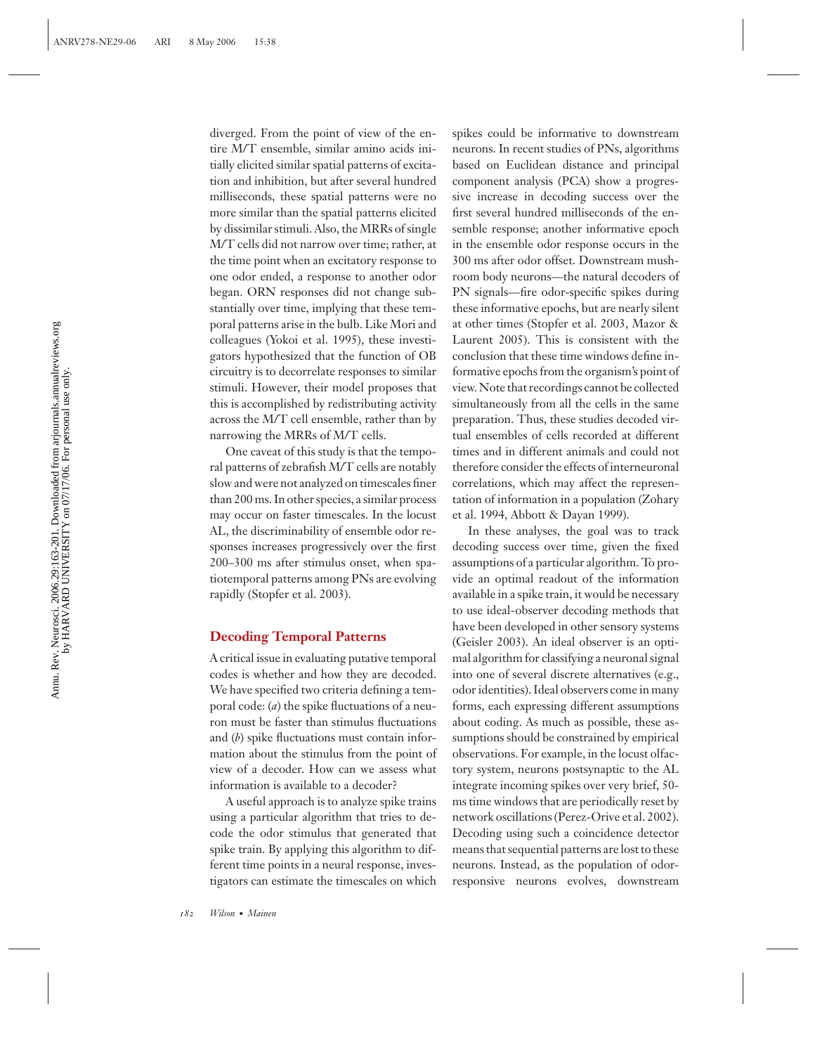diverged. From the point of view of the entire M/T ensemble, similar amino acids initially elicited similar spatial patterns of excitation and inhibition, but after several hundred milliseconds, these spatial patterns were no more similar than the spatial patterns elicited by dissimilar stimuli. Also, the MRRs of single M/T cells did not narrow over time; rather, at the time point when an excitatory response to one odor ended, a response to another odor began. ORN responses did not change substantially over time, implying that these temporal patterns arise in the bulb. Like Mori and colleagues (Yokoi et al. 1995), these investigators hypothesized that the function of OB circuitry is to decorrelate responses to similar stimuli. However, their model proposes that this is accomplished by redistributing activity across the M/T cell ensemble, rather than by narrowing the MRRs of M/T cells.

One caveat of this study is that the temporal patterns of zebrafish M/T cells are notably slow and were not analyzed on timescales finer than 200 ms. In other species, a similar process may occur on faster timescales. In the locust AL, the discriminability of ensemble odor responses increases progressively over the first 200–300 ms after stimulus onset, when spatiotemporal patterns among PNs are evolving rapidly (Stopfer et al. 2003).

#### **Decoding Temporal Patterns**

A critical issue in evaluating putative temporal codes is whether and how they are decoded. We have specified two criteria defining a temporal code: (*a*) the spike fluctuations of a neuron must be faster than stimulus fluctuations and (*b*) spike fluctuations must contain information about the stimulus from the point of view of a decoder. How can we assess what information is available to a decoder?

A useful approach is to analyze spike trains using a particular algorithm that tries to decode the odor stimulus that generated that spike train. By applying this algorithm to different time points in a neural response, investigators can estimate the timescales on which

spikes could be informative to downstream neurons. In recent studies of PNs, algorithms based on Euclidean distance and principal component analysis (PCA) show a progressive increase in decoding success over the first several hundred milliseconds of the ensemble response; another informative epoch in the ensemble odor response occurs in the 300 ms after odor offset. Downstream mushroom body neurons—the natural decoders of PN signals—fire odor-specific spikes during these informative epochs, but are nearly silent at other times (Stopfer et al. 2003, Mazor & Laurent 2005). This is consistent with the conclusion that these time windows define informative epochs from the organism's point of view. Note that recordings cannot be collected simultaneously from all the cells in the same preparation. Thus, these studies decoded virtual ensembles of cells recorded at different times and in different animals and could not therefore consider the effects of interneuronal correlations, which may affect the representation of information in a population (Zohary et al. 1994, Abbott & Dayan 1999).

In these analyses, the goal was to track decoding success over time, given the fixed assumptions of a particular algorithm. To provide an optimal readout of the information available in a spike train, it would be necessary to use ideal-observer decoding methods that have been developed in other sensory systems (Geisler 2003). An ideal observer is an optimal algorithm for classifying a neuronal signal into one of several discrete alternatives (e.g., odor identities). Ideal observers come in many forms, each expressing different assumptions about coding. As much as possible, these assumptions should be constrained by empirical observations. For example, in the locust olfactory system, neurons postsynaptic to the AL integrate incoming spikes over very brief, 50 ms time windows that are periodically reset by network oscillations (Perez-Orive et al. 2002). Decoding using such a coincidence detector means that sequential patterns are lost to these neurons. Instead, as the population of odorresponsive neurons evolves, downstream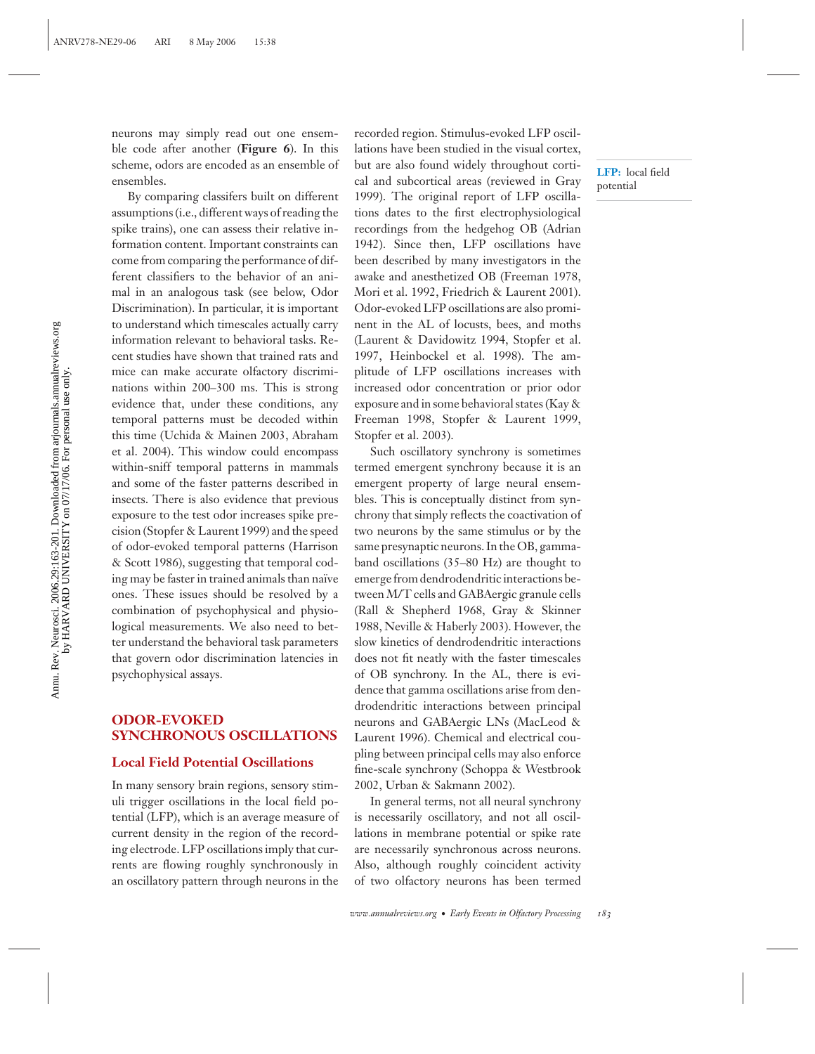neurons may simply read out one ensemble code after another (**Figure 6**). In this scheme, odors are encoded as an ensemble of ensembles.

By comparing classifers built on different assumptions (i.e., different ways of reading the spike trains), one can assess their relative information content. Important constraints can come from comparing the performance of different classifiers to the behavior of an animal in an analogous task (see below, Odor Discrimination). In particular, it is important to understand which timescales actually carry information relevant to behavioral tasks. Recent studies have shown that trained rats and mice can make accurate olfactory discriminations within 200–300 ms. This is strong evidence that, under these conditions, any temporal patterns must be decoded within this time (Uchida & Mainen 2003, Abraham et al. 2004). This window could encompass within-sniff temporal patterns in mammals and some of the faster patterns described in insects. There is also evidence that previous exposure to the test odor increases spike precision (Stopfer & Laurent 1999) and the speed of odor-evoked temporal patterns (Harrison & Scott 1986), suggesting that temporal coding may be faster in trained animals than naïve ones. These issues should be resolved by a combination of psychophysical and physiological measurements. We also need to better understand the behavioral task parameters that govern odor discrimination latencies in psychophysical assays.

## **ODOR-EVOKED SYNCHRONOUS OSCILLATIONS**

## **Local Field Potential Oscillations**

In many sensory brain regions, sensory stimuli trigger oscillations in the local field potential (LFP), which is an average measure of current density in the region of the recording electrode. LFP oscillations imply that currents are flowing roughly synchronously in an oscillatory pattern through neurons in the

recorded region. Stimulus-evoked LFP oscillations have been studied in the visual cortex, but are also found widely throughout cortical and subcortical areas (reviewed in Gray 1999). The original report of LFP oscillations dates to the first electrophysiological recordings from the hedgehog OB (Adrian 1942). Since then, LFP oscillations have been described by many investigators in the awake and anesthetized OB (Freeman 1978, Mori et al. 1992, Friedrich & Laurent 2001). Odor-evoked LFP oscillations are also prominent in the AL of locusts, bees, and moths (Laurent & Davidowitz 1994, Stopfer et al. 1997, Heinbockel et al. 1998). The amplitude of LFP oscillations increases with increased odor concentration or prior odor exposure and in some behavioral states (Kay & Freeman 1998, Stopfer & Laurent 1999, Stopfer et al. 2003).

Such oscillatory synchrony is sometimes termed emergent synchrony because it is an emergent property of large neural ensembles. This is conceptually distinct from synchrony that simply reflects the coactivation of two neurons by the same stimulus or by the same presynaptic neurons. In the OB, gammaband oscillations (35–80 Hz) are thought to emerge from dendrodendritic interactions between M/T cells and GABAergic granule cells (Rall & Shepherd 1968, Gray & Skinner 1988, Neville & Haberly 2003). However, the slow kinetics of dendrodendritic interactions does not fit neatly with the faster timescales of OB synchrony. In the AL, there is evidence that gamma oscillations arise from dendrodendritic interactions between principal neurons and GABAergic LNs (MacLeod & Laurent 1996). Chemical and electrical coupling between principal cells may also enforce fine-scale synchrony (Schoppa & Westbrook 2002, Urban & Sakmann 2002).

In general terms, not all neural synchrony is necessarily oscillatory, and not all oscillations in membrane potential or spike rate are necessarily synchronous across neurons. Also, although roughly coincident activity of two olfactory neurons has been termed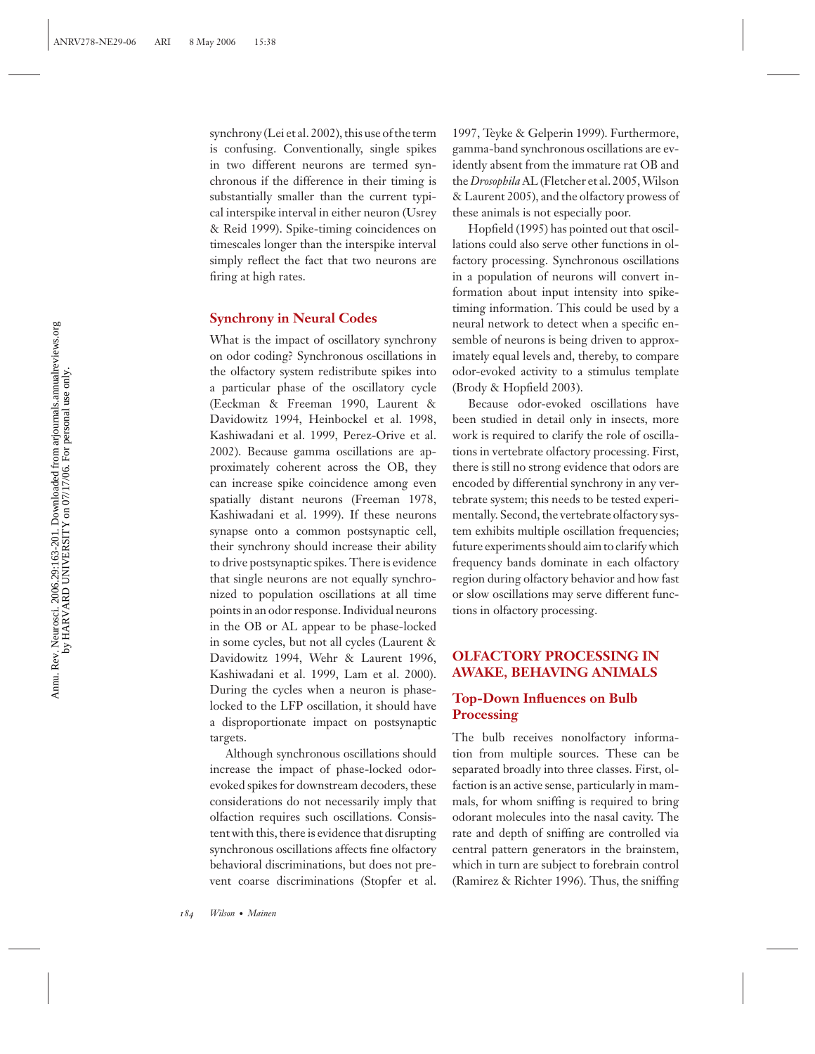synchrony (Lei et al. 2002), this use of the term is confusing. Conventionally, single spikes in two different neurons are termed synchronous if the difference in their timing is substantially smaller than the current typical interspike interval in either neuron (Usrey & Reid 1999). Spike-timing coincidences on timescales longer than the interspike interval simply reflect the fact that two neurons are firing at high rates.

#### **Synchrony in Neural Codes**

What is the impact of oscillatory synchrony on odor coding? Synchronous oscillations in the olfactory system redistribute spikes into a particular phase of the oscillatory cycle (Eeckman & Freeman 1990, Laurent & Davidowitz 1994, Heinbockel et al. 1998, Kashiwadani et al. 1999, Perez-Orive et al. 2002). Because gamma oscillations are approximately coherent across the OB, they can increase spike coincidence among even spatially distant neurons (Freeman 1978, Kashiwadani et al. 1999). If these neurons synapse onto a common postsynaptic cell, their synchrony should increase their ability to drive postsynaptic spikes. There is evidence that single neurons are not equally synchronized to population oscillations at all time points in an odor response. Individual neurons in the OB or AL appear to be phase-locked in some cycles, but not all cycles (Laurent & Davidowitz 1994, Wehr & Laurent 1996, Kashiwadani et al. 1999, Lam et al. 2000). During the cycles when a neuron is phaselocked to the LFP oscillation, it should have a disproportionate impact on postsynaptic targets.

Although synchronous oscillations should increase the impact of phase-locked odorevoked spikes for downstream decoders, these considerations do not necessarily imply that olfaction requires such oscillations. Consistent with this, there is evidence that disrupting synchronous oscillations affects fine olfactory behavioral discriminations, but does not prevent coarse discriminations (Stopfer et al.

1997, Teyke & Gelperin 1999). Furthermore, gamma-band synchronous oscillations are evidently absent from the immature rat OB and the*Drosophila*AL (Fletcher et al. 2005, Wilson & Laurent 2005), and the olfactory prowess of these animals is not especially poor.

Hopfield (1995) has pointed out that oscillations could also serve other functions in olfactory processing. Synchronous oscillations in a population of neurons will convert information about input intensity into spiketiming information. This could be used by a neural network to detect when a specific ensemble of neurons is being driven to approximately equal levels and, thereby, to compare odor-evoked activity to a stimulus template (Brody & Hopfield 2003).

Because odor-evoked oscillations have been studied in detail only in insects, more work is required to clarify the role of oscillations in vertebrate olfactory processing. First, there is still no strong evidence that odors are encoded by differential synchrony in any vertebrate system; this needs to be tested experimentally. Second, the vertebrate olfactory system exhibits multiple oscillation frequencies; future experiments should aim to clarify which frequency bands dominate in each olfactory region during olfactory behavior and how fast or slow oscillations may serve different functions in olfactory processing.

## **OLFACTORY PROCESSING IN AWAKE, BEHAVING ANIMALS**

## **Top-Down Influences on Bulb Processing**

The bulb receives nonolfactory information from multiple sources. These can be separated broadly into three classes. First, olfaction is an active sense, particularly in mammals, for whom sniffing is required to bring odorant molecules into the nasal cavity. The rate and depth of sniffing are controlled via central pattern generators in the brainstem, which in turn are subject to forebrain control (Ramirez & Richter 1996). Thus, the sniffing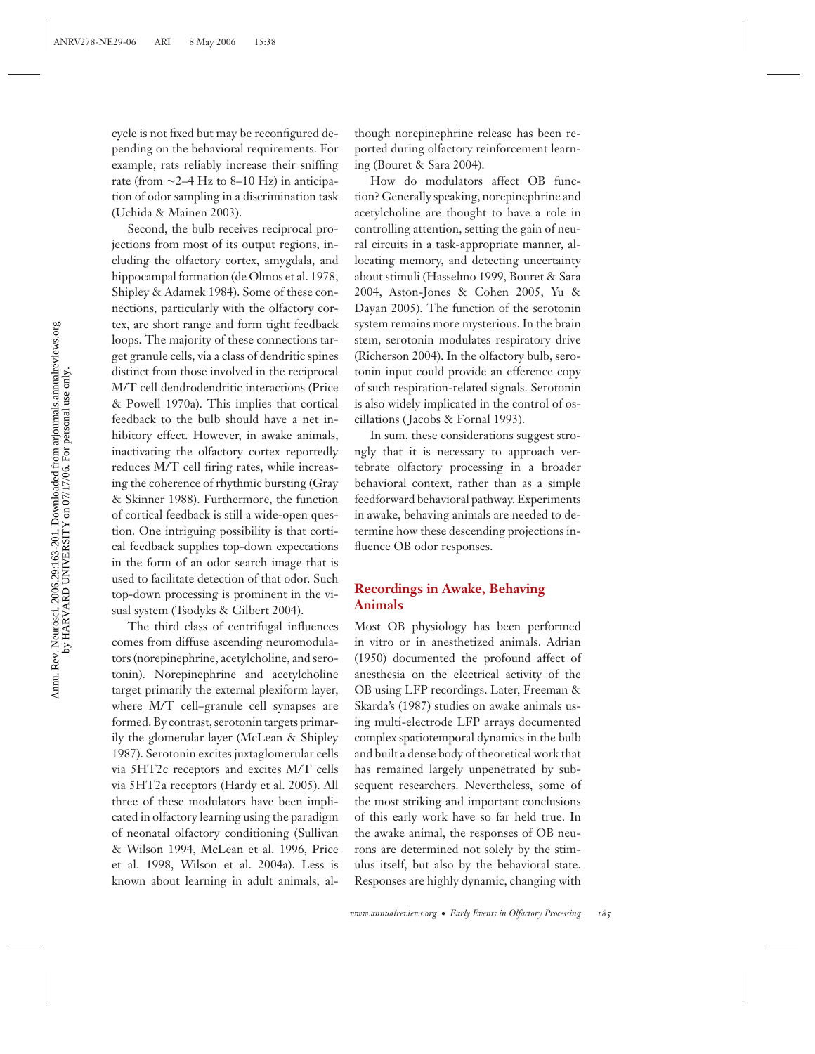cycle is not fixed but may be reconfigured depending on the behavioral requirements. For example, rats reliably increase their sniffing rate (from ∼2–4 Hz to 8–10 Hz) in anticipation of odor sampling in a discrimination task (Uchida & Mainen 2003).

Second, the bulb receives reciprocal projections from most of its output regions, including the olfactory cortex, amygdala, and hippocampal formation (de Olmos et al. 1978, Shipley & Adamek 1984). Some of these connections, particularly with the olfactory cortex, are short range and form tight feedback loops. The majority of these connections target granule cells, via a class of dendritic spines distinct from those involved in the reciprocal M/T cell dendrodendritic interactions (Price & Powell 1970a). This implies that cortical feedback to the bulb should have a net inhibitory effect. However, in awake animals, inactivating the olfactory cortex reportedly reduces M/T cell firing rates, while increasing the coherence of rhythmic bursting (Gray & Skinner 1988). Furthermore, the function of cortical feedback is still a wide-open question. One intriguing possibility is that cortical feedback supplies top-down expectations in the form of an odor search image that is used to facilitate detection of that odor. Such top-down processing is prominent in the visual system (Tsodyks & Gilbert 2004).

The third class of centrifugal influences comes from diffuse ascending neuromodulators (norepinephrine, acetylcholine, and serotonin). Norepinephrine and acetylcholine target primarily the external plexiform layer, where M/T cell–granule cell synapses are formed. By contrast, serotonin targets primarily the glomerular layer (McLean & Shipley 1987). Serotonin excites juxtaglomerular cells via 5HT2c receptors and excites M/T cells via 5HT2a receptors (Hardy et al. 2005). All three of these modulators have been implicated in olfactory learning using the paradigm of neonatal olfactory conditioning (Sullivan & Wilson 1994, McLean et al. 1996, Price et al. 1998, Wilson et al. 2004a). Less is known about learning in adult animals, although norepinephrine release has been reported during olfactory reinforcement learning (Bouret & Sara 2004).

How do modulators affect OB function? Generally speaking, norepinephrine and acetylcholine are thought to have a role in controlling attention, setting the gain of neural circuits in a task-appropriate manner, allocating memory, and detecting uncertainty about stimuli (Hasselmo 1999, Bouret & Sara 2004, Aston-Jones & Cohen 2005, Yu & Dayan 2005). The function of the serotonin system remains more mysterious. In the brain stem, serotonin modulates respiratory drive (Richerson 2004). In the olfactory bulb, serotonin input could provide an efference copy of such respiration-related signals. Serotonin is also widely implicated in the control of oscillations ( Jacobs & Fornal 1993).

In sum, these considerations suggest strongly that it is necessary to approach vertebrate olfactory processing in a broader behavioral context, rather than as a simple feedforward behavioral pathway. Experiments in awake, behaving animals are needed to determine how these descending projections influence OB odor responses.

## **Recordings in Awake, Behaving Animals**

Most OB physiology has been performed in vitro or in anesthetized animals. Adrian (1950) documented the profound affect of anesthesia on the electrical activity of the OB using LFP recordings. Later, Freeman & Skarda's (1987) studies on awake animals using multi-electrode LFP arrays documented complex spatiotemporal dynamics in the bulb and built a dense body of theoretical work that has remained largely unpenetrated by subsequent researchers. Nevertheless, some of the most striking and important conclusions of this early work have so far held true. In the awake animal, the responses of OB neurons are determined not solely by the stimulus itself, but also by the behavioral state. Responses are highly dynamic, changing with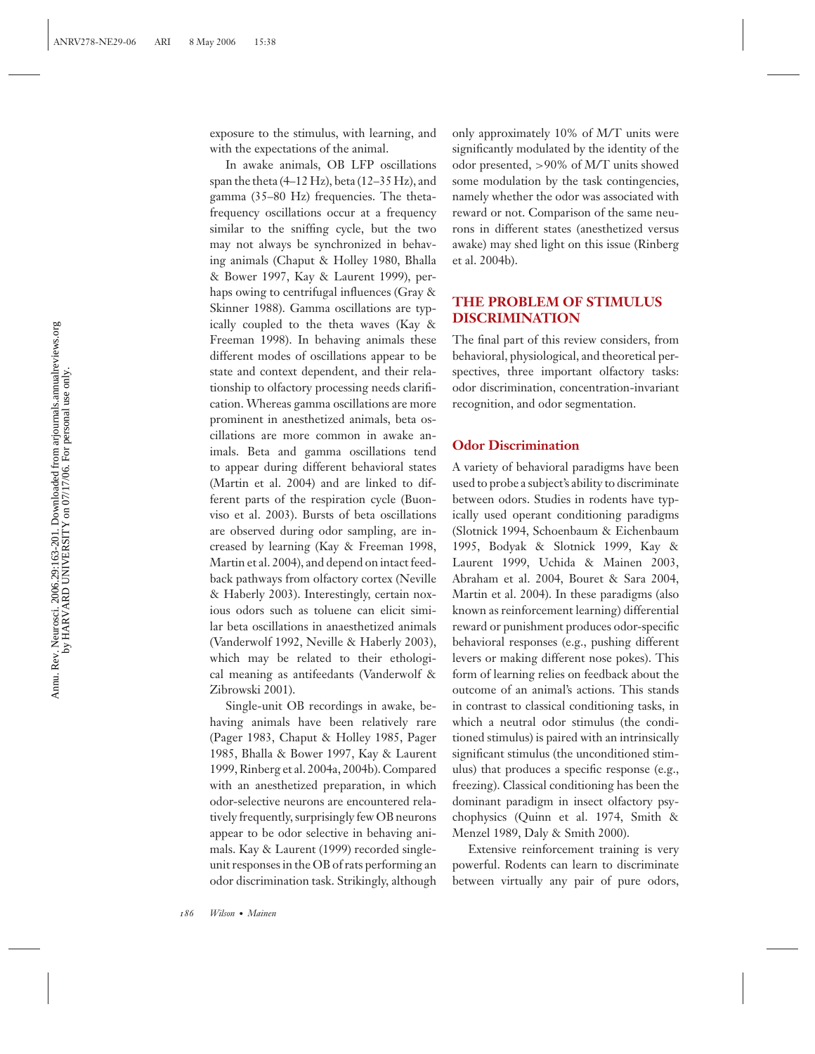exposure to the stimulus, with learning, and with the expectations of the animal.

In awake animals, OB LFP oscillations span the theta (4–12 Hz), beta (12–35 Hz), and gamma (35–80 Hz) frequencies. The thetafrequency oscillations occur at a frequency similar to the sniffing cycle, but the two may not always be synchronized in behaving animals (Chaput & Holley 1980, Bhalla & Bower 1997, Kay & Laurent 1999), perhaps owing to centrifugal influences (Gray & Skinner 1988). Gamma oscillations are typically coupled to the theta waves (Kay & Freeman 1998). In behaving animals these different modes of oscillations appear to be state and context dependent, and their relationship to olfactory processing needs clarification. Whereas gamma oscillations are more prominent in anesthetized animals, beta oscillations are more common in awake animals. Beta and gamma oscillations tend to appear during different behavioral states (Martin et al. 2004) and are linked to different parts of the respiration cycle (Buonviso et al. 2003). Bursts of beta oscillations are observed during odor sampling, are increased by learning (Kay & Freeman 1998, Martin et al. 2004), and depend on intact feedback pathways from olfactory cortex (Neville & Haberly 2003). Interestingly, certain noxious odors such as toluene can elicit similar beta oscillations in anaesthetized animals (Vanderwolf 1992, Neville & Haberly 2003), which may be related to their ethological meaning as antifeedants (Vanderwolf & Zibrowski 2001).

Single-unit OB recordings in awake, behaving animals have been relatively rare (Pager 1983, Chaput & Holley 1985, Pager 1985, Bhalla & Bower 1997, Kay & Laurent 1999, Rinberg et al. 2004a, 2004b). Compared with an anesthetized preparation, in which odor-selective neurons are encountered relatively frequently, surprisingly few OB neurons appear to be odor selective in behaving animals. Kay & Laurent (1999) recorded singleunit responses in the OB of rats performing an odor discrimination task. Strikingly, although only approximately 10% of M/T units were significantly modulated by the identity of the odor presented, >90% of M/T units showed some modulation by the task contingencies, namely whether the odor was associated with reward or not. Comparison of the same neurons in different states (anesthetized versus awake) may shed light on this issue (Rinberg et al. 2004b).

## **THE PROBLEM OF STIMULUS DISCRIMINATION**

The final part of this review considers, from behavioral, physiological, and theoretical perspectives, three important olfactory tasks: odor discrimination, concentration-invariant recognition, and odor segmentation.

#### **Odor Discrimination**

A variety of behavioral paradigms have been used to probe a subject's ability to discriminate between odors. Studies in rodents have typically used operant conditioning paradigms (Slotnick 1994, Schoenbaum & Eichenbaum 1995, Bodyak & Slotnick 1999, Kay & Laurent 1999, Uchida & Mainen 2003, Abraham et al. 2004, Bouret & Sara 2004, Martin et al. 2004). In these paradigms (also known as reinforcement learning) differential reward or punishment produces odor-specific behavioral responses (e.g., pushing different levers or making different nose pokes). This form of learning relies on feedback about the outcome of an animal's actions. This stands in contrast to classical conditioning tasks, in which a neutral odor stimulus (the conditioned stimulus) is paired with an intrinsically significant stimulus (the unconditioned stimulus) that produces a specific response (e.g., freezing). Classical conditioning has been the dominant paradigm in insect olfactory psychophysics (Quinn et al. 1974, Smith & Menzel 1989, Daly & Smith 2000).

Extensive reinforcement training is very powerful. Rodents can learn to discriminate between virtually any pair of pure odors,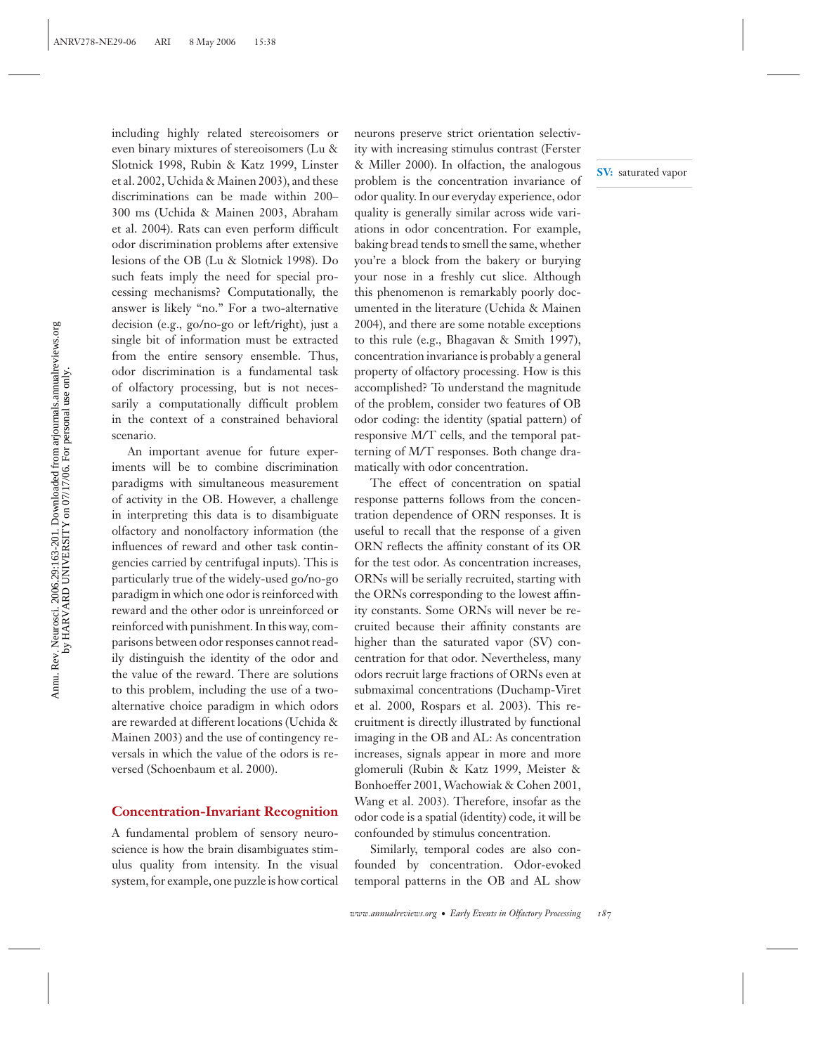including highly related stereoisomers or even binary mixtures of stereoisomers (Lu & Slotnick 1998, Rubin & Katz 1999, Linster et al. 2002, Uchida & Mainen 2003), and these discriminations can be made within 200– 300 ms (Uchida & Mainen 2003, Abraham et al. 2004). Rats can even perform difficult odor discrimination problems after extensive lesions of the OB (Lu & Slotnick 1998). Do such feats imply the need for special processing mechanisms? Computationally, the answer is likely "no." For a two-alternative decision (e.g., go/no-go or left/right), just a single bit of information must be extracted from the entire sensory ensemble. Thus, odor discrimination is a fundamental task of olfactory processing, but is not necessarily a computationally difficult problem in the context of a constrained behavioral scenario.

An important avenue for future experiments will be to combine discrimination paradigms with simultaneous measurement of activity in the OB. However, a challenge in interpreting this data is to disambiguate olfactory and nonolfactory information (the influences of reward and other task contingencies carried by centrifugal inputs). This is particularly true of the widely-used go/no-go paradigm in which one odor is reinforced with reward and the other odor is unreinforced or reinforced with punishment. In this way, comparisons between odor responses cannot readily distinguish the identity of the odor and the value of the reward. There are solutions to this problem, including the use of a twoalternative choice paradigm in which odors are rewarded at different locations (Uchida & Mainen 2003) and the use of contingency reversals in which the value of the odors is reversed (Schoenbaum et al. 2000).

#### **Concentration-Invariant Recognition**

A fundamental problem of sensory neuroscience is how the brain disambiguates stimulus quality from intensity. In the visual system, for example, one puzzle is how cortical neurons preserve strict orientation selectivity with increasing stimulus contrast (Ferster & Miller 2000). In olfaction, the analogous problem is the concentration invariance of odor quality. In our everyday experience, odor quality is generally similar across wide variations in odor concentration. For example, baking bread tends to smell the same, whether you're a block from the bakery or burying your nose in a freshly cut slice. Although this phenomenon is remarkably poorly documented in the literature (Uchida & Mainen 2004), and there are some notable exceptions to this rule (e.g., Bhagavan & Smith 1997), concentration invariance is probably a general property of olfactory processing. How is this accomplished? To understand the magnitude of the problem, consider two features of OB odor coding: the identity (spatial pattern) of responsive M/T cells, and the temporal patterning of M/T responses. Both change dramatically with odor concentration.

The effect of concentration on spatial response patterns follows from the concentration dependence of ORN responses. It is useful to recall that the response of a given ORN reflects the affinity constant of its OR for the test odor. As concentration increases, ORNs will be serially recruited, starting with the ORNs corresponding to the lowest affinity constants. Some ORNs will never be recruited because their affinity constants are higher than the saturated vapor (SV) concentration for that odor. Nevertheless, many odors recruit large fractions of ORNs even at submaximal concentrations (Duchamp-Viret et al. 2000, Rospars et al. 2003). This recruitment is directly illustrated by functional imaging in the OB and AL: As concentration increases, signals appear in more and more glomeruli (Rubin & Katz 1999, Meister & Bonhoeffer 2001, Wachowiak & Cohen 2001, Wang et al. 2003). Therefore, insofar as the odor code is a spatial (identity) code, it will be confounded by stimulus concentration.

Similarly, temporal codes are also confounded by concentration. Odor-evoked temporal patterns in the OB and AL show

#### **SV:** saturated vapor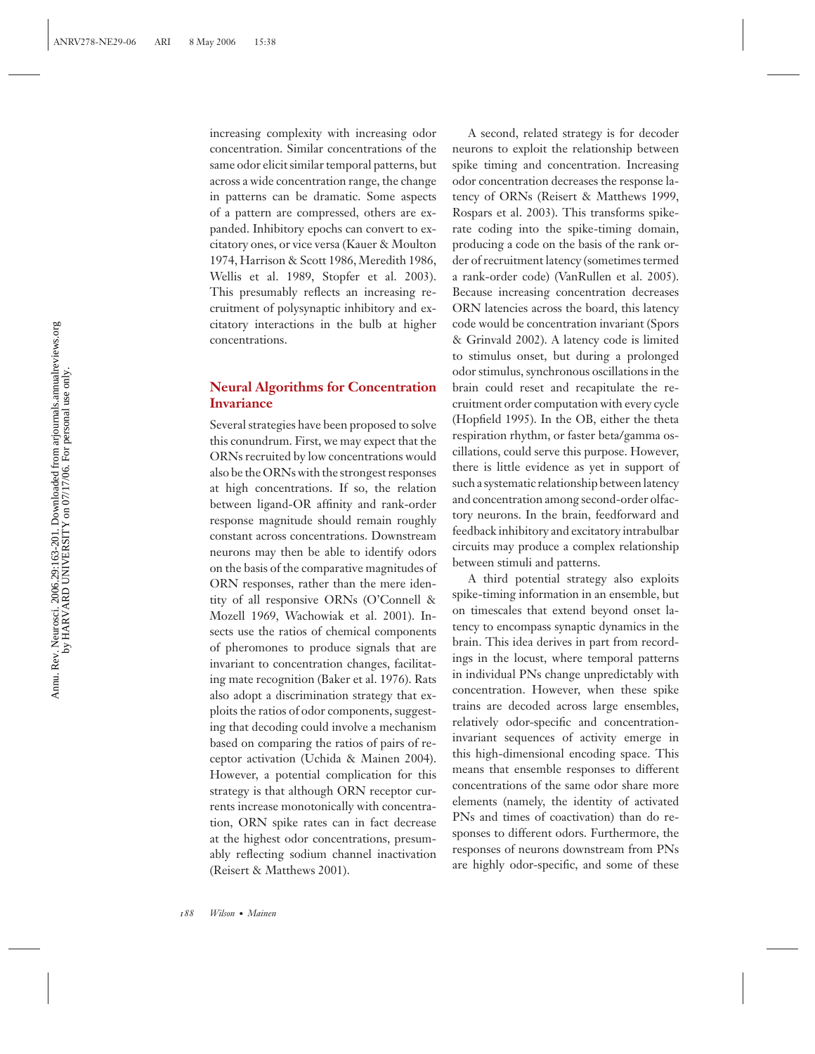increasing complexity with increasing odor concentration. Similar concentrations of the same odor elicit similar temporal patterns, but across a wide concentration range, the change in patterns can be dramatic. Some aspects of a pattern are compressed, others are expanded. Inhibitory epochs can convert to excitatory ones, or vice versa (Kauer & Moulton 1974, Harrison & Scott 1986, Meredith 1986, Wellis et al. 1989, Stopfer et al. 2003). This presumably reflects an increasing recruitment of polysynaptic inhibitory and excitatory interactions in the bulb at higher concentrations.

## **Neural Algorithms for Concentration Invariance**

Several strategies have been proposed to solve this conundrum. First, we may expect that the ORNs recruited by low concentrations would also be the ORNs with the strongest responses at high concentrations. If so, the relation between ligand-OR affinity and rank-order response magnitude should remain roughly constant across concentrations. Downstream neurons may then be able to identify odors on the basis of the comparative magnitudes of ORN responses, rather than the mere identity of all responsive ORNs (O'Connell & Mozell 1969, Wachowiak et al. 2001). Insects use the ratios of chemical components of pheromones to produce signals that are invariant to concentration changes, facilitating mate recognition (Baker et al. 1976). Rats also adopt a discrimination strategy that exploits the ratios of odor components, suggesting that decoding could involve a mechanism based on comparing the ratios of pairs of receptor activation (Uchida & Mainen 2004). However, a potential complication for this strategy is that although ORN receptor currents increase monotonically with concentration, ORN spike rates can in fact decrease at the highest odor concentrations, presumably reflecting sodium channel inactivation (Reisert & Matthews 2001).

A second, related strategy is for decoder neurons to exploit the relationship between spike timing and concentration. Increasing odor concentration decreases the response latency of ORNs (Reisert & Matthews 1999, Rospars et al. 2003). This transforms spikerate coding into the spike-timing domain, producing a code on the basis of the rank order of recruitment latency (sometimes termed a rank-order code) (VanRullen et al. 2005). Because increasing concentration decreases ORN latencies across the board, this latency code would be concentration invariant (Spors & Grinvald 2002). A latency code is limited to stimulus onset, but during a prolonged odor stimulus, synchronous oscillations in the brain could reset and recapitulate the recruitment order computation with every cycle (Hopfield 1995). In the OB, either the theta respiration rhythm, or faster beta/gamma oscillations, could serve this purpose. However, there is little evidence as yet in support of such a systematic relationship between latency and concentration among second-order olfactory neurons. In the brain, feedforward and feedback inhibitory and excitatory intrabulbar circuits may produce a complex relationship between stimuli and patterns.

A third potential strategy also exploits spike-timing information in an ensemble, but on timescales that extend beyond onset latency to encompass synaptic dynamics in the brain. This idea derives in part from recordings in the locust, where temporal patterns in individual PNs change unpredictably with concentration. However, when these spike trains are decoded across large ensembles, relatively odor-specific and concentrationinvariant sequences of activity emerge in this high-dimensional encoding space. This means that ensemble responses to different concentrations of the same odor share more elements (namely, the identity of activated PNs and times of coactivation) than do responses to different odors. Furthermore, the responses of neurons downstream from PNs are highly odor-specific, and some of these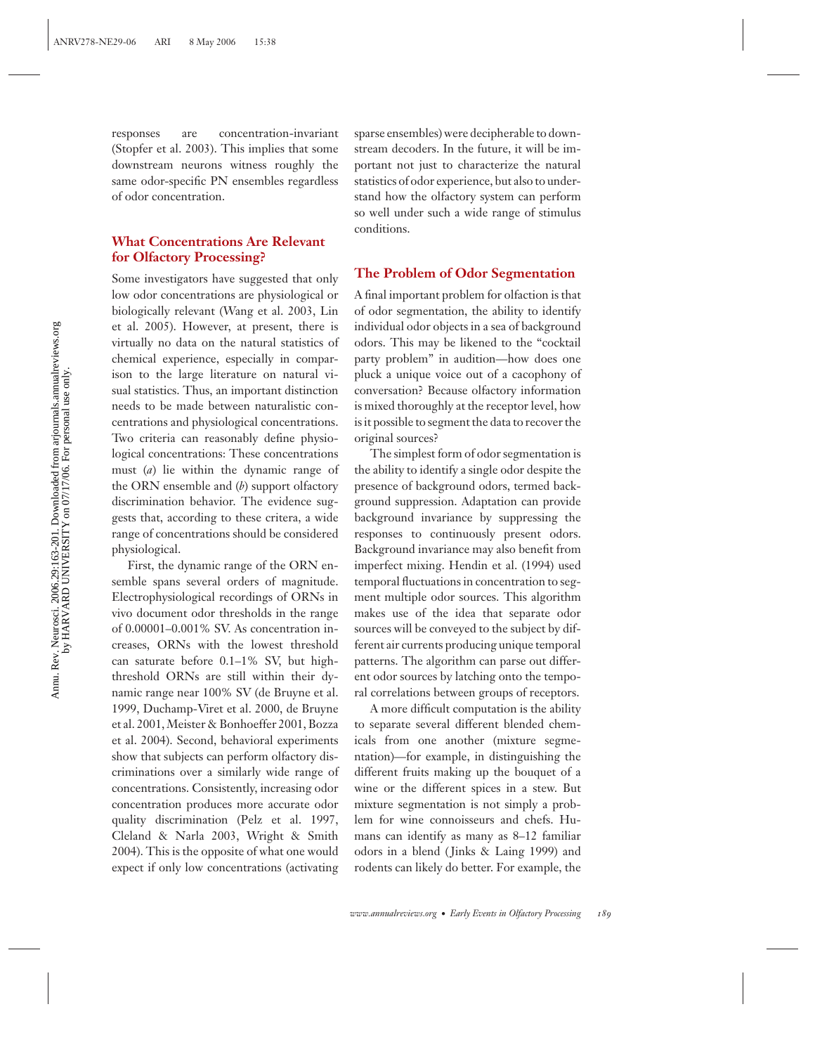responses are concentration-invariant (Stopfer et al. 2003). This implies that some downstream neurons witness roughly the same odor-specific PN ensembles regardless of odor concentration.

## **What Concentrations Are Relevant for Olfactory Processing?**

Some investigators have suggested that only low odor concentrations are physiological or biologically relevant (Wang et al. 2003, Lin et al. 2005). However, at present, there is virtually no data on the natural statistics of chemical experience, especially in comparison to the large literature on natural visual statistics. Thus, an important distinction needs to be made between naturalistic concentrations and physiological concentrations. Two criteria can reasonably define physiological concentrations: These concentrations must (*a*) lie within the dynamic range of the ORN ensemble and (*b*) support olfactory discrimination behavior. The evidence suggests that, according to these critera, a wide range of concentrations should be considered physiological.

First, the dynamic range of the ORN ensemble spans several orders of magnitude. Electrophysiological recordings of ORNs in vivo document odor thresholds in the range of 0.00001–0.001% SV. As concentration increases, ORNs with the lowest threshold can saturate before 0.1–1% SV, but highthreshold ORNs are still within their dynamic range near 100% SV (de Bruyne et al. 1999, Duchamp-Viret et al. 2000, de Bruyne et al. 2001, Meister & Bonhoeffer 2001, Bozza et al. 2004). Second, behavioral experiments show that subjects can perform olfactory discriminations over a similarly wide range of concentrations. Consistently, increasing odor concentration produces more accurate odor quality discrimination (Pelz et al. 1997, Cleland & Narla 2003, Wright & Smith 2004). This is the opposite of what one would expect if only low concentrations (activating sparse ensembles) were decipherable to downstream decoders. In the future, it will be important not just to characterize the natural statistics of odor experience, but also to understand how the olfactory system can perform so well under such a wide range of stimulus conditions.

## **The Problem of Odor Segmentation**

A final important problem for olfaction is that of odor segmentation, the ability to identify individual odor objects in a sea of background odors. This may be likened to the "cocktail party problem" in audition—how does one pluck a unique voice out of a cacophony of conversation? Because olfactory information is mixed thoroughly at the receptor level, how is it possible to segment the data to recover the original sources?

The simplest form of odor segmentation is the ability to identify a single odor despite the presence of background odors, termed background suppression. Adaptation can provide background invariance by suppressing the responses to continuously present odors. Background invariance may also benefit from imperfect mixing. Hendin et al. (1994) used temporal fluctuations in concentration to segment multiple odor sources. This algorithm makes use of the idea that separate odor sources will be conveyed to the subject by different air currents producing unique temporal patterns. The algorithm can parse out different odor sources by latching onto the temporal correlations between groups of receptors.

A more difficult computation is the ability to separate several different blended chemicals from one another (mixture segmentation)—for example, in distinguishing the different fruits making up the bouquet of a wine or the different spices in a stew. But mixture segmentation is not simply a problem for wine connoisseurs and chefs. Humans can identify as many as 8–12 familiar odors in a blend ( Jinks & Laing 1999) and rodents can likely do better. For example, the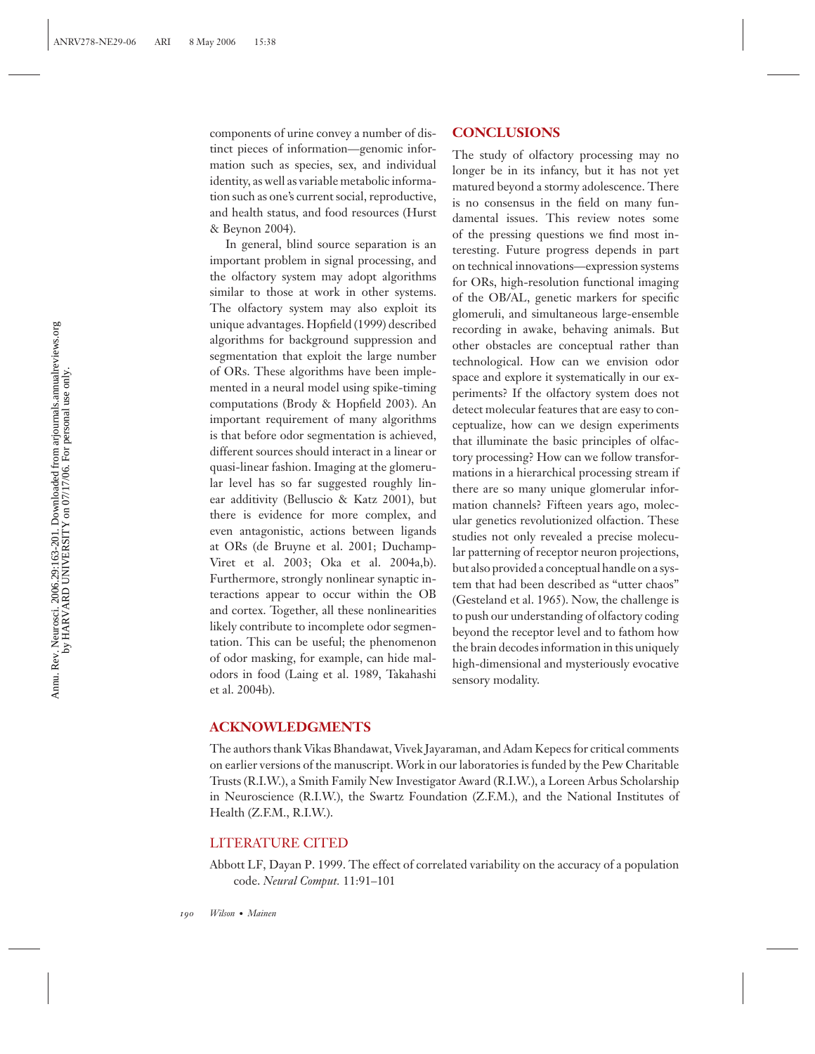components of urine convey a number of distinct pieces of information—genomic information such as species, sex, and individual identity, as well as variable metabolic information such as one's current social, reproductive, and health status, and food resources (Hurst & Beynon 2004).

In general, blind source separation is an important problem in signal processing, and the olfactory system may adopt algorithms similar to those at work in other systems. The olfactory system may also exploit its unique advantages. Hopfield (1999) described algorithms for background suppression and segmentation that exploit the large number of ORs. These algorithms have been implemented in a neural model using spike-timing computations (Brody & Hopfield 2003). An important requirement of many algorithms is that before odor segmentation is achieved, different sources should interact in a linear or quasi-linear fashion. Imaging at the glomerular level has so far suggested roughly linear additivity (Belluscio & Katz 2001), but there is evidence for more complex, and even antagonistic, actions between ligands at ORs (de Bruyne et al. 2001; Duchamp-Viret et al. 2003; Oka et al. 2004a,b). Furthermore, strongly nonlinear synaptic interactions appear to occur within the OB and cortex. Together, all these nonlinearities likely contribute to incomplete odor segmentation. This can be useful; the phenomenon of odor masking, for example, can hide malodors in food (Laing et al. 1989, Takahashi et al. 2004b).

#### **CONCLUSIONS**

The study of olfactory processing may no longer be in its infancy, but it has not yet matured beyond a stormy adolescence. There is no consensus in the field on many fundamental issues. This review notes some of the pressing questions we find most interesting. Future progress depends in part on technical innovations—expression systems for ORs, high-resolution functional imaging of the OB/AL, genetic markers for specific glomeruli, and simultaneous large-ensemble recording in awake, behaving animals. But other obstacles are conceptual rather than technological. How can we envision odor space and explore it systematically in our experiments? If the olfactory system does not detect molecular features that are easy to conceptualize, how can we design experiments that illuminate the basic principles of olfactory processing? How can we follow transformations in a hierarchical processing stream if there are so many unique glomerular information channels? Fifteen years ago, molecular genetics revolutionized olfaction. These studies not only revealed a precise molecular patterning of receptor neuron projections, but also provided a conceptual handle on a system that had been described as "utter chaos" (Gesteland et al. 1965). Now, the challenge is to push our understanding of olfactory coding beyond the receptor level and to fathom how the brain decodes information in this uniquely high-dimensional and mysteriously evocative sensory modality.

#### **ACKNOWLEDGMENTS**

The authors thank Vikas Bhandawat, Vivek Jayaraman, and Adam Kepecs for critical comments on earlier versions of the manuscript. Work in our laboratories is funded by the Pew Charitable Trusts (R.I.W.), a Smith Family New Investigator Award (R.I.W.), a Loreen Arbus Scholarship in Neuroscience (R.I.W.), the Swartz Foundation (Z.F.M.), and the National Institutes of Health (Z.F.M., R.I.W.).

## LITERATURE CITED

Abbott LF, Dayan P. 1999. The effect of correlated variability on the accuracy of a population code. *Neural Comput.* 11:91–101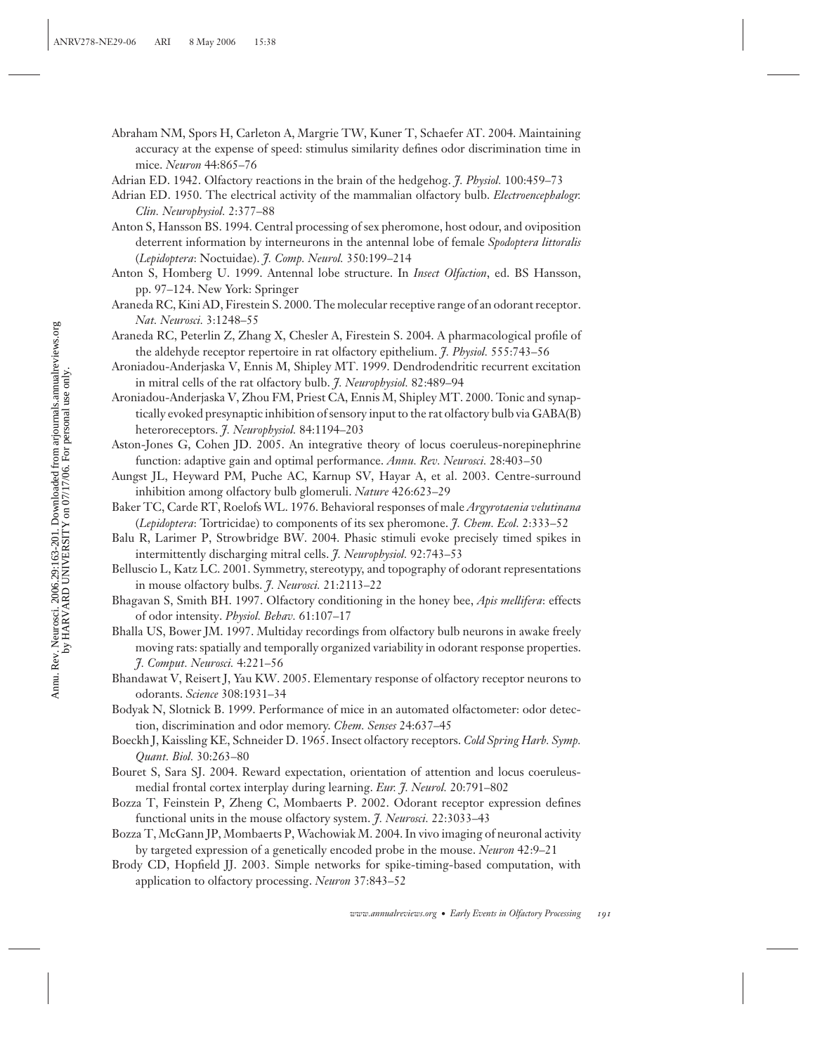- Abraham NM, Spors H, Carleton A, Margrie TW, Kuner T, Schaefer AT. 2004. Maintaining accuracy at the expense of speed: stimulus similarity defines odor discrimination time in mice. *Neuron* 44:865–76
- Adrian ED. 1942. Olfactory reactions in the brain of the hedgehog. *J. Physiol.* 100:459–73
- Adrian ED. 1950. The electrical activity of the mammalian olfactory bulb. *Electroencephalogr. Clin. Neurophysiol.* 2:377–88
- Anton S, Hansson BS. 1994. Central processing of sex pheromone, host odour, and oviposition deterrent information by interneurons in the antennal lobe of female *Spodoptera littoralis* (*Lepidoptera*: Noctuidae). *J. Comp. Neurol.* 350:199–214
- Anton S, Homberg U. 1999. Antennal lobe structure. In *Insect Olfaction*, ed. BS Hansson, pp. 97–124. New York: Springer
- Araneda RC, Kini AD, Firestein S. 2000. The molecular receptive range of an odorant receptor. *Nat. Neurosci.* 3:1248–55
- Araneda RC, Peterlin Z, Zhang X, Chesler A, Firestein S. 2004. A pharmacological profile of the aldehyde receptor repertoire in rat olfactory epithelium. *J. Physiol.* 555:743–56
- Aroniadou-Anderjaska V, Ennis M, Shipley MT. 1999. Dendrodendritic recurrent excitation in mitral cells of the rat olfactory bulb. *J. Neurophysiol.* 82:489–94
- Aroniadou-Anderjaska V, Zhou FM, Priest CA, Ennis M, Shipley MT. 2000. Tonic and synaptically evoked presynaptic inhibition of sensory input to the rat olfactory bulb via GABA(B) heteroreceptors. *J. Neurophysiol.* 84:1194–203
- Aston-Jones G, Cohen JD. 2005. An integrative theory of locus coeruleus-norepinephrine function: adaptive gain and optimal performance. *Annu. Rev. Neurosci.* 28:403–50
- Aungst JL, Heyward PM, Puche AC, Karnup SV, Hayar A, et al. 2003. Centre-surround inhibition among olfactory bulb glomeruli. *Nature* 426:623–29
- Baker TC, Carde RT, Roelofs WL. 1976. Behavioral responses of male *Argyrotaenia velutinana* (*Lepidoptera*: Tortricidae) to components of its sex pheromone. *J. Chem. Ecol.* 2:333–52
- Balu R, Larimer P, Strowbridge BW. 2004. Phasic stimuli evoke precisely timed spikes in intermittently discharging mitral cells. *J. Neurophysiol.* 92:743–53
- Belluscio L, Katz LC. 2001. Symmetry, stereotypy, and topography of odorant representations in mouse olfactory bulbs. *J. Neurosci.* 21:2113–22
- Bhagavan S, Smith BH. 1997. Olfactory conditioning in the honey bee, *Apis mellifera*: effects of odor intensity. *Physiol. Behav.* 61:107–17
- Bhalla US, Bower JM. 1997. Multiday recordings from olfactory bulb neurons in awake freely moving rats: spatially and temporally organized variability in odorant response properties. *J. Comput. Neurosci.* 4:221–56
- Bhandawat V, Reisert J, Yau KW. 2005. Elementary response of olfactory receptor neurons to odorants. *Science* 308:1931–34
- Bodyak N, Slotnick B. 1999. Performance of mice in an automated olfactometer: odor detection, discrimination and odor memory. *Chem. Senses* 24:637–45
- Boeckh J, Kaissling KE, Schneider D. 1965. Insect olfactory receptors. *Cold Spring Harb. Symp. Quant. Biol.* 30:263–80
- Bouret S, Sara SJ. 2004. Reward expectation, orientation of attention and locus coeruleusmedial frontal cortex interplay during learning. *Eur. J. Neurol.* 20:791–802
- Bozza T, Feinstein P, Zheng C, Mombaerts P. 2002. Odorant receptor expression defines functional units in the mouse olfactory system. *J. Neurosci.* 22:3033–43
- Bozza T, McGann JP, Mombaerts P, Wachowiak M. 2004. In vivo imaging of neuronal activity by targeted expression of a genetically encoded probe in the mouse. *Neuron* 42:9–21
- Brody CD, Hopfield JJ. 2003. Simple networks for spike-timing-based computation, with application to olfactory processing. *Neuron* 37:843–52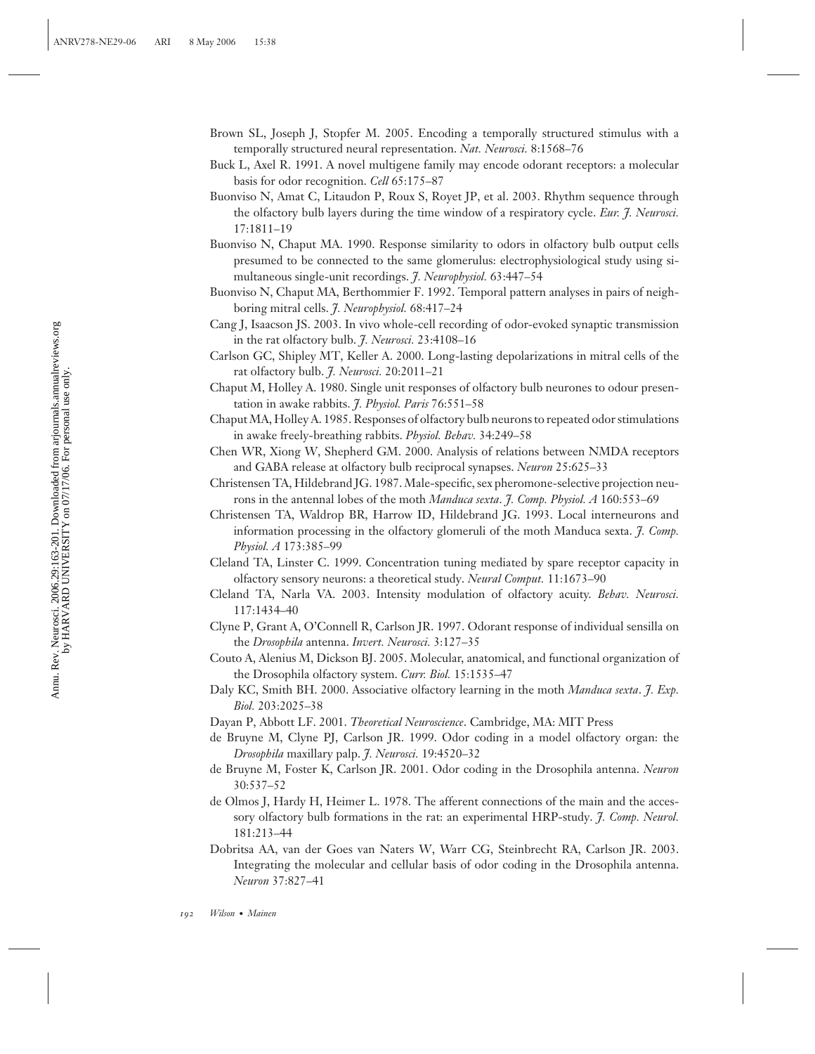- Brown SL, Joseph J, Stopfer M. 2005. Encoding a temporally structured stimulus with a temporally structured neural representation. *Nat. Neurosci.* 8:1568–76
- Buck L, Axel R. 1991. A novel multigene family may encode odorant receptors: a molecular basis for odor recognition. *Cell* 65:175–87
- Buonviso N, Amat C, Litaudon P, Roux S, Royet JP, et al. 2003. Rhythm sequence through the olfactory bulb layers during the time window of a respiratory cycle. *Eur. J. Neurosci.* 17:1811–19
- Buonviso N, Chaput MA. 1990. Response similarity to odors in olfactory bulb output cells presumed to be connected to the same glomerulus: electrophysiological study using simultaneous single-unit recordings. *J. Neurophysiol.* 63:447–54
- Buonviso N, Chaput MA, Berthommier F. 1992. Temporal pattern analyses in pairs of neighboring mitral cells. *J. Neurophysiol.* 68:417–24
- Cang J, Isaacson JS. 2003. In vivo whole-cell recording of odor-evoked synaptic transmission in the rat olfactory bulb. *J. Neurosci.* 23:4108–16
- Carlson GC, Shipley MT, Keller A. 2000. Long-lasting depolarizations in mitral cells of the rat olfactory bulb. *J. Neurosci.* 20:2011–21
- Chaput M, Holley A. 1980. Single unit responses of olfactory bulb neurones to odour presentation in awake rabbits. *J. Physiol. Paris* 76:551–58
- Chaput MA, Holley A. 1985. Responses of olfactory bulb neurons to repeated odor stimulations in awake freely-breathing rabbits. *Physiol. Behav.* 34:249–58
- Chen WR, Xiong W, Shepherd GM. 2000. Analysis of relations between NMDA receptors and GABA release at olfactory bulb reciprocal synapses. *Neuron* 25:625–33
- Christensen TA, Hildebrand JG. 1987. Male-specific, sex pheromone-selective projection neurons in the antennal lobes of the moth *Manduca sexta*. *J. Comp. Physiol. A* 160:553–69
- Christensen TA, Waldrop BR, Harrow ID, Hildebrand JG. 1993. Local interneurons and information processing in the olfactory glomeruli of the moth Manduca sexta. *J. Comp. Physiol. A* 173:385–99
- Cleland TA, Linster C. 1999. Concentration tuning mediated by spare receptor capacity in olfactory sensory neurons: a theoretical study. *Neural Comput.* 11:1673–90
- Cleland TA, Narla VA. 2003. Intensity modulation of olfactory acuity. *Behav. Neurosci.* 117:1434–40
- Clyne P, Grant A, O'Connell R, Carlson JR. 1997. Odorant response of individual sensilla on the *Drosophila* antenna. *Invert. Neurosci.* 3:127–35
- Couto A, Alenius M, Dickson BJ. 2005. Molecular, anatomical, and functional organization of the Drosophila olfactory system. *Curr. Biol.* 15:1535–47
- Daly KC, Smith BH. 2000. Associative olfactory learning in the moth *Manduca sexta*. *J. Exp. Biol.* 203:2025–38
- Dayan P, Abbott LF. 2001. *Theoretical Neuroscience*. Cambridge, MA: MIT Press
- de Bruyne M, Clyne PJ, Carlson JR. 1999. Odor coding in a model olfactory organ: the *Drosophila* maxillary palp. *J. Neurosci.* 19:4520–32
- de Bruyne M, Foster K, Carlson JR. 2001. Odor coding in the Drosophila antenna. *Neuron* 30:537–52
- de Olmos J, Hardy H, Heimer L. 1978. The afferent connections of the main and the accessory olfactory bulb formations in the rat: an experimental HRP-study. *J. Comp. Neurol.* 181:213–44
- Dobritsa AA, van der Goes van Naters W, Warr CG, Steinbrecht RA, Carlson JR. 2003. Integrating the molecular and cellular basis of odor coding in the Drosophila antenna. *Neuron* 37:827–41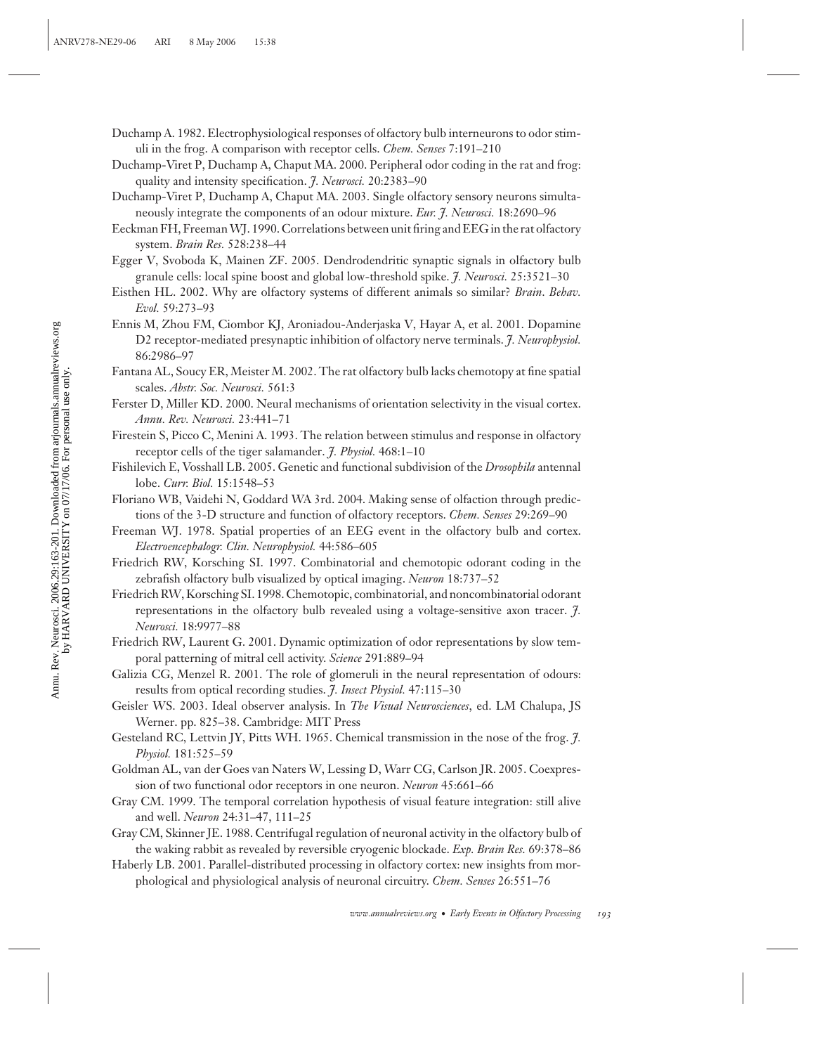- Duchamp A. 1982. Electrophysiological responses of olfactory bulb interneurons to odor stimuli in the frog. A comparison with receptor cells. *Chem. Senses* 7:191–210
- Duchamp-Viret P, Duchamp A, Chaput MA. 2000. Peripheral odor coding in the rat and frog: quality and intensity specification. *J. Neurosci.* 20:2383–90
- Duchamp-Viret P, Duchamp A, Chaput MA. 2003. Single olfactory sensory neurons simultaneously integrate the components of an odour mixture. *Eur. J. Neurosci.* 18:2690–96
- Eeckman FH, Freeman WJ. 1990. Correlations between unit firing and EEG in the rat olfactory system. *Brain Res.* 528:238–44
- Egger V, Svoboda K, Mainen ZF. 2005. Dendrodendritic synaptic signals in olfactory bulb granule cells: local spine boost and global low-threshold spike. *J. Neurosci.* 25:3521–30
- Eisthen HL. 2002. Why are olfactory systems of different animals so similar? *Brain*. *Behav. Evol.* 59:273–93
- Ennis M, Zhou FM, Ciombor KJ, Aroniadou-Anderjaska V, Hayar A, et al. 2001. Dopamine D2 receptor-mediated presynaptic inhibition of olfactory nerve terminals. *J. Neurophysiol.* 86:2986–97
- Fantana AL, Soucy ER, Meister M. 2002. The rat olfactory bulb lacks chemotopy at fine spatial scales. *Abstr. Soc. Neurosci.* 561:3
- Ferster D, Miller KD. 2000. Neural mechanisms of orientation selectivity in the visual cortex. *Annu. Rev. Neurosci.* 23:441–71
- Firestein S, Picco C, Menini A. 1993. The relation between stimulus and response in olfactory receptor cells of the tiger salamander. *J. Physiol.* 468:1–10
- Fishilevich E, Vosshall LB. 2005. Genetic and functional subdivision of the *Drosophila* antennal lobe. *Curr. Biol.* 15:1548–53
- Floriano WB, Vaidehi N, Goddard WA 3rd. 2004. Making sense of olfaction through predictions of the 3-D structure and function of olfactory receptors. *Chem. Senses* 29:269–90
- Freeman WJ. 1978. Spatial properties of an EEG event in the olfactory bulb and cortex. *Electroencephalogr. Clin. Neurophysiol.* 44:586–605
- Friedrich RW, Korsching SI. 1997. Combinatorial and chemotopic odorant coding in the zebrafish olfactory bulb visualized by optical imaging. *Neuron* 18:737–52
- Friedrich RW, Korsching SI. 1998. Chemotopic, combinatorial, and noncombinatorial odorant representations in the olfactory bulb revealed using a voltage-sensitive axon tracer. *J. Neurosci.* 18:9977–88
- Friedrich RW, Laurent G. 2001. Dynamic optimization of odor representations by slow temporal patterning of mitral cell activity. *Science* 291:889–94
- Galizia CG, Menzel R. 2001. The role of glomeruli in the neural representation of odours: results from optical recording studies. *J. Insect Physiol.* 47:115–30
- Geisler WS. 2003. Ideal observer analysis. In *The Visual Neurosciences*, ed. LM Chalupa, JS Werner. pp. 825–38. Cambridge: MIT Press
- Gesteland RC, Lettvin JY, Pitts WH. 1965. Chemical transmission in the nose of the frog. *J. Physiol.* 181:525–59
- Goldman AL, van der Goes van Naters W, Lessing D, Warr CG, Carlson JR. 2005. Coexpression of two functional odor receptors in one neuron. *Neuron* 45:661–66
- Gray CM. 1999. The temporal correlation hypothesis of visual feature integration: still alive and well. *Neuron* 24:31–47, 111–25
- Gray CM, Skinner JE. 1988. Centrifugal regulation of neuronal activity in the olfactory bulb of the waking rabbit as revealed by reversible cryogenic blockade. *Exp. Brain Res.* 69:378–86
- Haberly LB. 2001. Parallel-distributed processing in olfactory cortex: new insights from morphological and physiological analysis of neuronal circuitry. *Chem. Senses* 26:551–76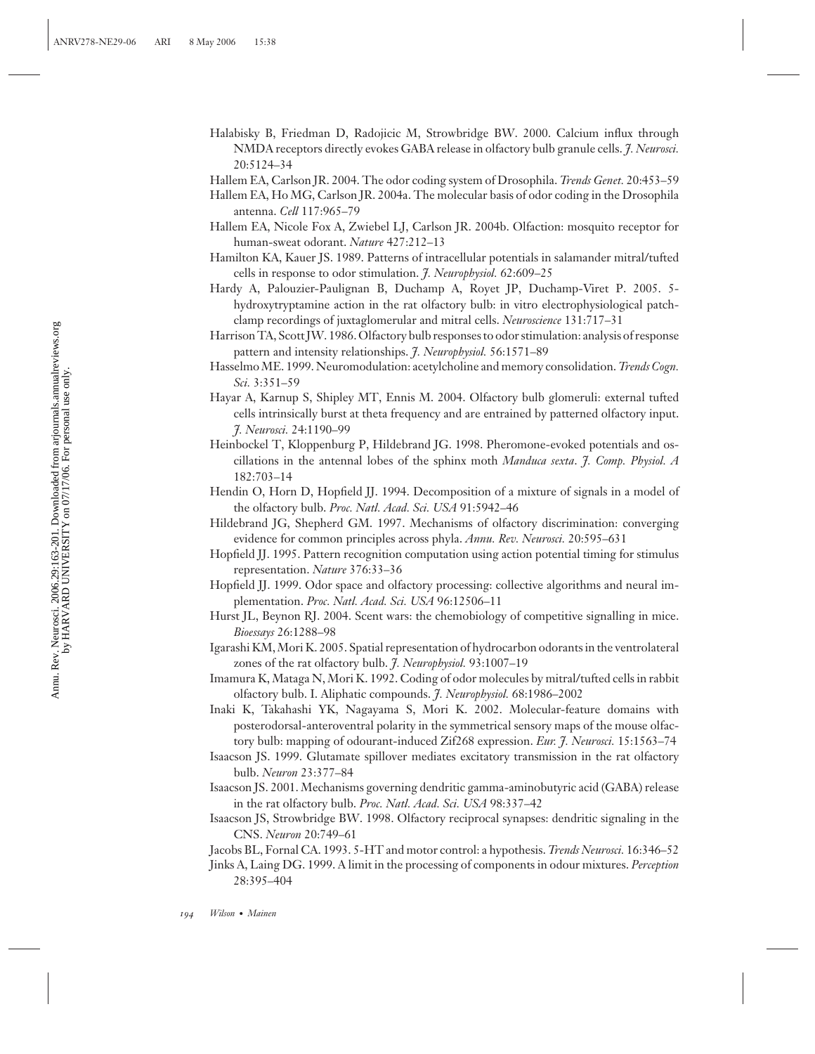- Halabisky B, Friedman D, Radojicic M, Strowbridge BW. 2000. Calcium influx through NMDA receptors directly evokes GABA release in olfactory bulb granule cells. *J. Neurosci.* 20:5124–34
- Hallem EA, Carlson JR. 2004. The odor coding system of Drosophila. *Trends Genet.* 20:453–59
- Hallem EA, Ho MG, Carlson JR. 2004a. The molecular basis of odor coding in the Drosophila antenna. *Cell* 117:965–79
- Hallem EA, Nicole Fox A, Zwiebel LJ, Carlson JR. 2004b. Olfaction: mosquito receptor for human-sweat odorant. *Nature* 427:212–13
- Hamilton KA, Kauer JS. 1989. Patterns of intracellular potentials in salamander mitral/tufted cells in response to odor stimulation. *J. Neurophysiol.* 62:609–25
- Hardy A, Palouzier-Paulignan B, Duchamp A, Royet JP, Duchamp-Viret P. 2005. 5 hydroxytryptamine action in the rat olfactory bulb: in vitro electrophysiological patchclamp recordings of juxtaglomerular and mitral cells. *Neuroscience* 131:717–31
- Harrison TA, Scott JW. 1986. Olfactory bulb responses to odor stimulation: analysis of response pattern and intensity relationships. *J. Neurophysiol.* 56:1571–89
- Hasselmo ME. 1999. Neuromodulation: acetylcholine and memory consolidation. *Trends Cogn. Sci.* 3:351–59
- Hayar A, Karnup S, Shipley MT, Ennis M. 2004. Olfactory bulb glomeruli: external tufted cells intrinsically burst at theta frequency and are entrained by patterned olfactory input. *J. Neurosci.* 24:1190–99
- Heinbockel T, Kloppenburg P, Hildebrand JG. 1998. Pheromone-evoked potentials and oscillations in the antennal lobes of the sphinx moth *Manduca sexta*. *J. Comp. Physiol. A* 182:703–14
- Hendin O, Horn D, Hopfield JJ. 1994. Decomposition of a mixture of signals in a model of the olfactory bulb. *Proc. Natl. Acad. Sci. USA* 91:5942–46
- Hildebrand JG, Shepherd GM. 1997. Mechanisms of olfactory discrimination: converging evidence for common principles across phyla. *Annu. Rev. Neurosci.* 20:595–631
- Hopfield JJ. 1995. Pattern recognition computation using action potential timing for stimulus representation. *Nature* 376:33–36
- Hopfield JJ. 1999. Odor space and olfactory processing: collective algorithms and neural implementation. *Proc. Natl. Acad. Sci. USA* 96:12506–11
- Hurst JL, Beynon RJ. 2004. Scent wars: the chemobiology of competitive signalling in mice. *Bioessays* 26:1288–98
- Igarashi KM, Mori K. 2005. Spatial representation of hydrocarbon odorants in the ventrolateral zones of the rat olfactory bulb. *J. Neurophysiol.* 93:1007–19
- Imamura K, Mataga N, Mori K. 1992. Coding of odor molecules by mitral/tufted cells in rabbit olfactory bulb. I. Aliphatic compounds. *J. Neurophysiol.* 68:1986–2002
- Inaki K, Takahashi YK, Nagayama S, Mori K. 2002. Molecular-feature domains with posterodorsal-anteroventral polarity in the symmetrical sensory maps of the mouse olfactory bulb: mapping of odourant-induced Zif268 expression. *Eur. J. Neurosci.* 15:1563–74
- Isaacson JS. 1999. Glutamate spillover mediates excitatory transmission in the rat olfactory bulb. *Neuron* 23:377–84
- Isaacson JS. 2001. Mechanisms governing dendritic gamma-aminobutyric acid (GABA) release in the rat olfactory bulb. *Proc. Natl. Acad. Sci. USA* 98:337–42
- Isaacson JS, Strowbridge BW. 1998. Olfactory reciprocal synapses: dendritic signaling in the CNS. *Neuron* 20:749–61
- Jacobs BL, Fornal CA. 1993. 5-HT and motor control: a hypothesis. *Trends Neurosci.* 16:346–52
- Jinks A, Laing DG. 1999. A limit in the processing of components in odour mixtures. *Perception* 28:395–404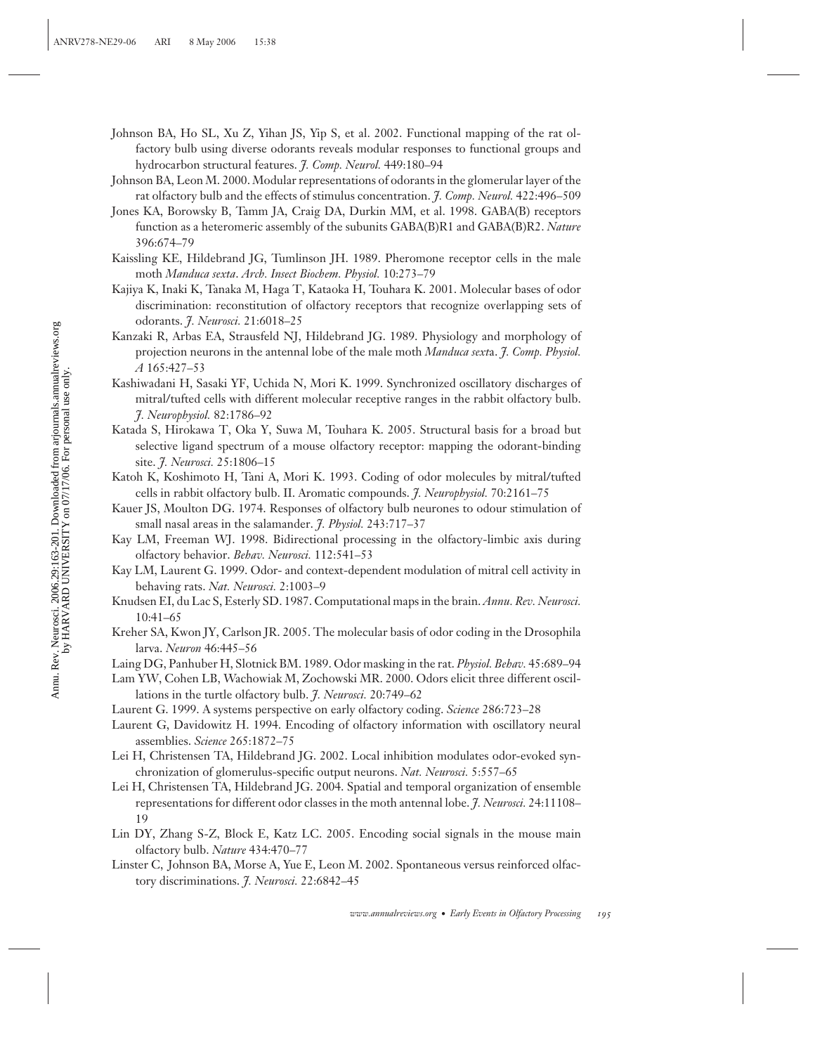- Johnson BA, Ho SL, Xu Z, Yihan JS, Yip S, et al. 2002. Functional mapping of the rat olfactory bulb using diverse odorants reveals modular responses to functional groups and hydrocarbon structural features. *J. Comp. Neurol.* 449:180–94
- Johnson BA, Leon M. 2000. Modular representations of odorants in the glomerular layer of the rat olfactory bulb and the effects of stimulus concentration. *J. Comp. Neurol.* 422:496–509
- Jones KA, Borowsky B, Tamm JA, Craig DA, Durkin MM, et al. 1998. GABA(B) receptors function as a heteromeric assembly of the subunits GABA(B)R1 and GABA(B)R2. *Nature* 396:674–79
- Kaissling KE, Hildebrand JG, Tumlinson JH. 1989. Pheromone receptor cells in the male moth *Manduca sexta*. *Arch. Insect Biochem. Physiol.* 10:273–79
- Kajiya K, Inaki K, Tanaka M, Haga T, Kataoka H, Touhara K. 2001. Molecular bases of odor discrimination: reconstitution of olfactory receptors that recognize overlapping sets of odorants. *J. Neurosci.* 21:6018–25
- Kanzaki R, Arbas EA, Strausfeld NJ, Hildebrand JG. 1989. Physiology and morphology of projection neurons in the antennal lobe of the male moth *Manduca sext*a. *J. Comp. Physiol. A* 165:427–53
- Kashiwadani H, Sasaki YF, Uchida N, Mori K. 1999. Synchronized oscillatory discharges of mitral/tufted cells with different molecular receptive ranges in the rabbit olfactory bulb. *J. Neurophysiol.* 82:1786–92
- Katada S, Hirokawa T, Oka Y, Suwa M, Touhara K. 2005. Structural basis for a broad but selective ligand spectrum of a mouse olfactory receptor: mapping the odorant-binding site. *J. Neurosci.* 25:1806–15
- Katoh K, Koshimoto H, Tani A, Mori K. 1993. Coding of odor molecules by mitral/tufted cells in rabbit olfactory bulb. II. Aromatic compounds. *J. Neurophysiol.* 70:2161–75
- Kauer JS, Moulton DG. 1974. Responses of olfactory bulb neurones to odour stimulation of small nasal areas in the salamander. *J. Physiol.* 243:717–37
- Kay LM, Freeman WJ. 1998. Bidirectional processing in the olfactory-limbic axis during olfactory behavior. *Behav. Neurosci.* 112:541–53
- Kay LM, Laurent G. 1999. Odor- and context-dependent modulation of mitral cell activity in behaving rats. *Nat. Neurosci.* 2:1003–9
- Knudsen EI, du Lac S, Esterly SD. 1987. Computational maps in the brain. *Annu. Rev. Neurosci.* 10:41–65
- Kreher SA, Kwon JY, Carlson JR. 2005. The molecular basis of odor coding in the Drosophila larva. *Neuron* 46:445–56
- Laing DG, Panhuber H, Slotnick BM. 1989. Odor masking in the rat. *Physiol. Behav.* 45:689–94
- Lam YW, Cohen LB, Wachowiak M, Zochowski MR. 2000. Odors elicit three different oscillations in the turtle olfactory bulb. *J. Neurosci.* 20:749–62
- Laurent G. 1999. A systems perspective on early olfactory coding. *Science* 286:723–28
- Laurent G, Davidowitz H. 1994. Encoding of olfactory information with oscillatory neural assemblies. *Science* 265:1872–75
- Lei H, Christensen TA, Hildebrand JG. 2002. Local inhibition modulates odor-evoked synchronization of glomerulus-specific output neurons. *Nat. Neurosci.* 5:557–65
- Lei H, Christensen TA, Hildebrand JG. 2004. Spatial and temporal organization of ensemble representations for different odor classes in the moth antennal lobe. *J. Neurosci.* 24:11108– 19
- Lin DY, Zhang S-Z, Block E, Katz LC. 2005. Encoding social signals in the mouse main olfactory bulb. *Nature* 434:470–77
- Linster C, Johnson BA, Morse A, Yue E, Leon M. 2002. Spontaneous versus reinforced olfactory discriminations. *J. Neurosci.* 22:6842–45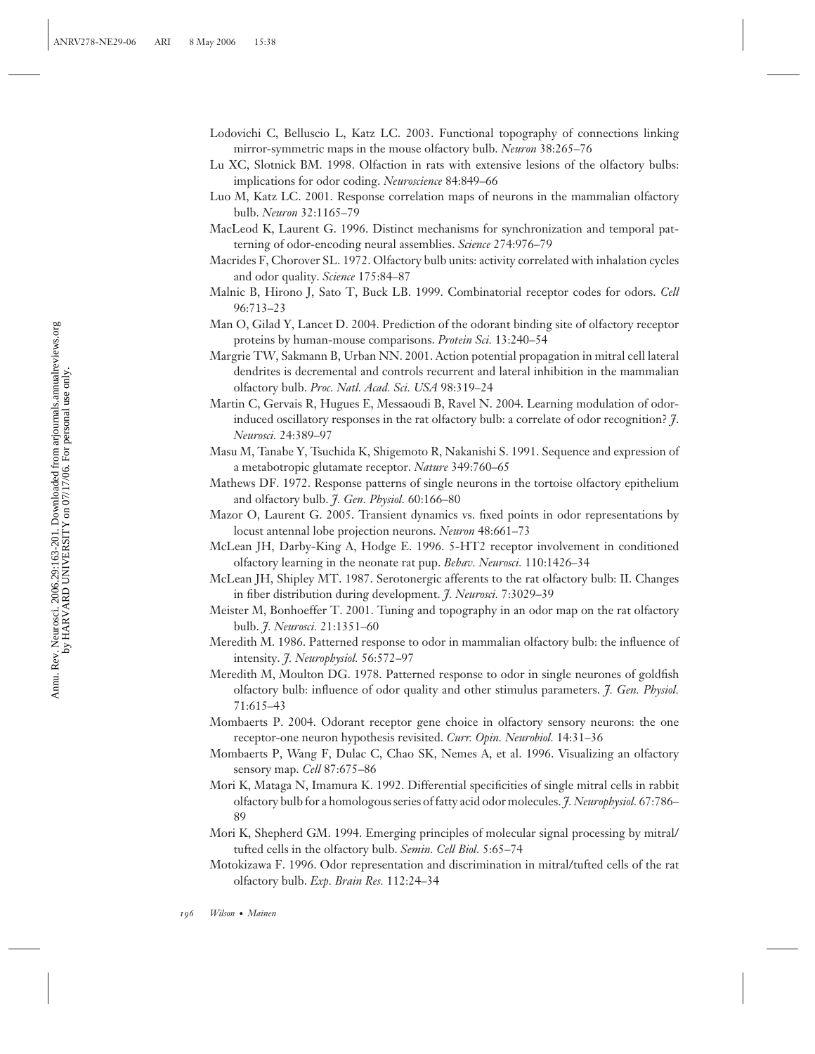- Lodovichi C, Belluscio L, Katz LC. 2003. Functional topography of connections linking mirror-symmetric maps in the mouse olfactory bulb. *Neuron* 38:265–76
- Lu XC, Slotnick BM. 1998. Olfaction in rats with extensive lesions of the olfactory bulbs: implications for odor coding. *Neuroscience* 84:849–66
- Luo M, Katz LC. 2001. Response correlation maps of neurons in the mammalian olfactory bulb. *Neuron* 32:1165–79
- MacLeod K, Laurent G. 1996. Distinct mechanisms for synchronization and temporal patterning of odor-encoding neural assemblies. *Science* 274:976–79
- Macrides F, Chorover SL. 1972. Olfactory bulb units: activity correlated with inhalation cycles and odor quality. *Science* 175:84–87
- Malnic B, Hirono J, Sato T, Buck LB. 1999. Combinatorial receptor codes for odors. *Cell* 96:713–23
- Man O, Gilad Y, Lancet D. 2004. Prediction of the odorant binding site of olfactory receptor proteins by human-mouse comparisons. *Protein Sci.* 13:240–54
- Margrie TW, Sakmann B, Urban NN. 2001. Action potential propagation in mitral cell lateral dendrites is decremental and controls recurrent and lateral inhibition in the mammalian olfactory bulb. *Proc. Natl. Acad. Sci. USA* 98:319–24
- Martin C, Gervais R, Hugues E, Messaoudi B, Ravel N. 2004. Learning modulation of odorinduced oscillatory responses in the rat olfactory bulb: a correlate of odor recognition? *J*. *Neurosci.* 24:389–97
- Masu M, Tanabe Y, Tsuchida K, Shigemoto R, Nakanishi S. 1991. Sequence and expression of a metabotropic glutamate receptor. *Nature* 349:760–65
- Mathews DF. 1972. Response patterns of single neurons in the tortoise olfactory epithelium and olfactory bulb. *J. Gen. Physiol.* 60:166–80
- Mazor O, Laurent G. 2005. Transient dynamics vs. fixed points in odor representations by locust antennal lobe projection neurons. *Neuron* 48:661–73
- McLean JH, Darby-King A, Hodge E. 1996. 5-HT2 receptor involvement in conditioned olfactory learning in the neonate rat pup. *Behav. Neurosci.* 110:1426–34
- McLean JH, Shipley MT. 1987. Serotonergic afferents to the rat olfactory bulb: II. Changes in fiber distribution during development. *J. Neurosci.* 7:3029–39
- Meister M, Bonhoeffer T. 2001. Tuning and topography in an odor map on the rat olfactory bulb. *J. Neurosci.* 21:1351–60
- Meredith M. 1986. Patterned response to odor in mammalian olfactory bulb: the influence of intensity. *J. Neurophysiol.* 56:572–97
- Meredith M, Moulton DG. 1978. Patterned response to odor in single neurones of goldfish olfactory bulb: influence of odor quality and other stimulus parameters. *J. Gen. Physiol.* 71:615–43
- Mombaerts P. 2004. Odorant receptor gene choice in olfactory sensory neurons: the one receptor-one neuron hypothesis revisited. *Curr. Opin. Neurobiol.* 14:31–36
- Mombaerts P, Wang F, Dulac C, Chao SK, Nemes A, et al. 1996. Visualizing an olfactory sensory map. *Cell* 87:675–86
- Mori K, Mataga N, Imamura K. 1992. Differential specificities of single mitral cells in rabbit olfactory bulb for a homologous series of fatty acid odor molecules. *J. Neurophysiol.* 67:786– 89
- Mori K, Shepherd GM. 1994. Emerging principles of molecular signal processing by mitral/ tufted cells in the olfactory bulb. *Semin. Cell Biol.* 5:65–74
- Motokizawa F. 1996. Odor representation and discrimination in mitral/tufted cells of the rat olfactory bulb. *Exp. Brain Res.* 112:24–34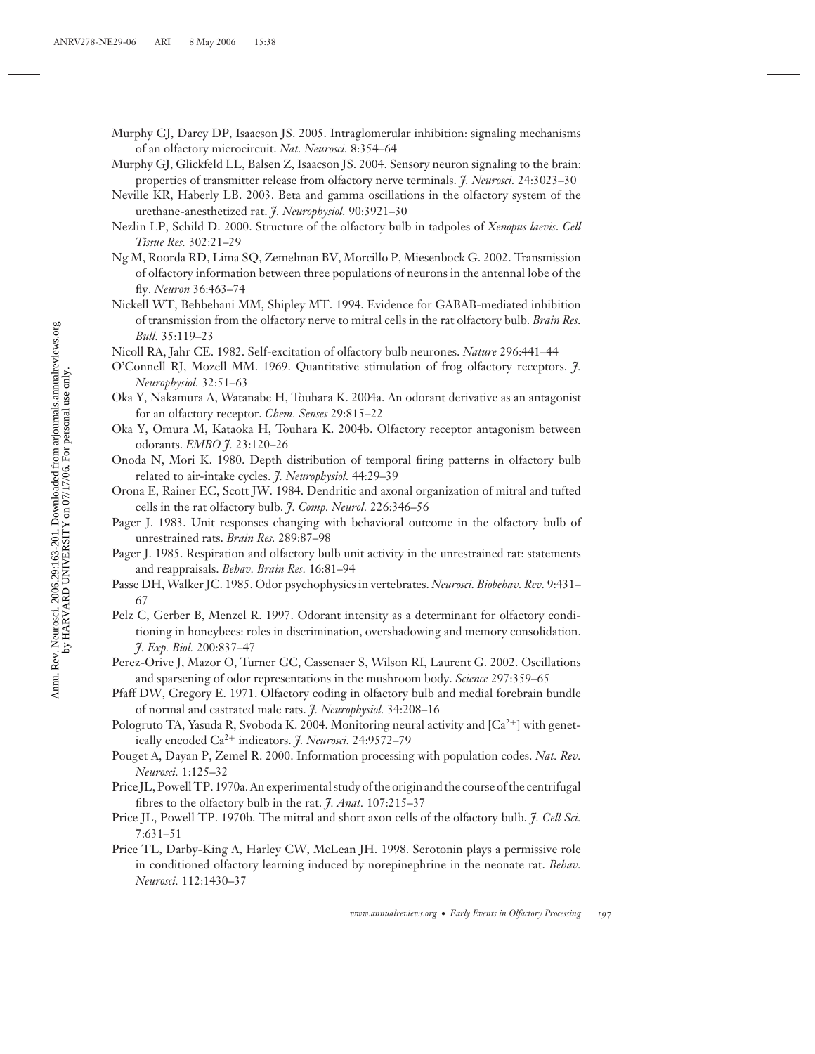- Murphy GJ, Darcy DP, Isaacson JS. 2005. Intraglomerular inhibition: signaling mechanisms of an olfactory microcircuit. *Nat. Neurosci.* 8:354–64
- Murphy GJ, Glickfeld LL, Balsen Z, Isaacson JS. 2004. Sensory neuron signaling to the brain: properties of transmitter release from olfactory nerve terminals. *J. Neurosci.* 24:3023–30
- Neville KR, Haberly LB. 2003. Beta and gamma oscillations in the olfactory system of the urethane-anesthetized rat. *J. Neurophysiol.* 90:3921–30
- Nezlin LP, Schild D. 2000. Structure of the olfactory bulb in tadpoles of *Xenopus laevis*. *Cell Tissue Res.* 302:21–29
- Ng M, Roorda RD, Lima SQ, Zemelman BV, Morcillo P, Miesenbock G. 2002. Transmission of olfactory information between three populations of neurons in the antennal lobe of the fly. *Neuron* 36:463–74
- Nickell WT, Behbehani MM, Shipley MT. 1994. Evidence for GABAB-mediated inhibition of transmission from the olfactory nerve to mitral cells in the rat olfactory bulb. *Brain Res. Bull.* 35:119–23
- Nicoll RA, Jahr CE. 1982. Self-excitation of olfactory bulb neurones. *Nature* 296:441–44
- O'Connell RJ, Mozell MM. 1969. Quantitative stimulation of frog olfactory receptors. *J. Neurophysiol.* 32:51–63
- Oka Y, Nakamura A, Watanabe H, Touhara K. 2004a. An odorant derivative as an antagonist for an olfactory receptor. *Chem. Senses* 29:815–22
- Oka Y, Omura M, Kataoka H, Touhara K. 2004b. Olfactory receptor antagonism between odorants. *EMBO J.* 23:120–26
- Onoda N, Mori K. 1980. Depth distribution of temporal firing patterns in olfactory bulb related to air-intake cycles. *J. Neurophysiol.* 44:29–39
- Orona E, Rainer EC, Scott JW. 1984. Dendritic and axonal organization of mitral and tufted cells in the rat olfactory bulb. *J. Comp. Neurol.* 226:346–56
- Pager J. 1983. Unit responses changing with behavioral outcome in the olfactory bulb of unrestrained rats. *Brain Res.* 289:87–98
- Pager J. 1985. Respiration and olfactory bulb unit activity in the unrestrained rat: statements and reappraisals. *Behav. Brain Res.* 16:81–94
- Passe DH, Walker JC. 1985. Odor psychophysics in vertebrates. *Neurosci. Biobehav. Rev.* 9:431– 67
- Pelz C, Gerber B, Menzel R. 1997. Odorant intensity as a determinant for olfactory conditioning in honeybees: roles in discrimination, overshadowing and memory consolidation. *J. Exp. Biol.* 200:837–47
- Perez-Orive J, Mazor O, Turner GC, Cassenaer S, Wilson RI, Laurent G. 2002. Oscillations and sparsening of odor representations in the mushroom body. *Science* 297:359–65
- Pfaff DW, Gregory E. 1971. Olfactory coding in olfactory bulb and medial forebrain bundle of normal and castrated male rats. *J. Neurophysiol.* 34:208–16
- Pologruto TA, Yasuda R, Svoboda K. 2004. Monitoring neural activity and  $[Ca^{2+}]$  with genetically encoded Ca<sup>2</sup><sup>+</sup> indicators. *J. Neurosci.* 24:9572–79
- Pouget A, Dayan P, Zemel R. 2000. Information processing with population codes. *Nat. Rev. Neurosci.* 1:125–32
- Price JL, Powell TP. 1970a. An experimental study of the origin and the course of the centrifugal fibres to the olfactory bulb in the rat. *J. Anat.* 107:215–37
- Price JL, Powell TP. 1970b. The mitral and short axon cells of the olfactory bulb. *J. Cell Sci.* 7:631–51
- Price TL, Darby-King A, Harley CW, McLean JH. 1998. Serotonin plays a permissive role in conditioned olfactory learning induced by norepinephrine in the neonate rat. *Behav. Neurosci.* 112:1430–37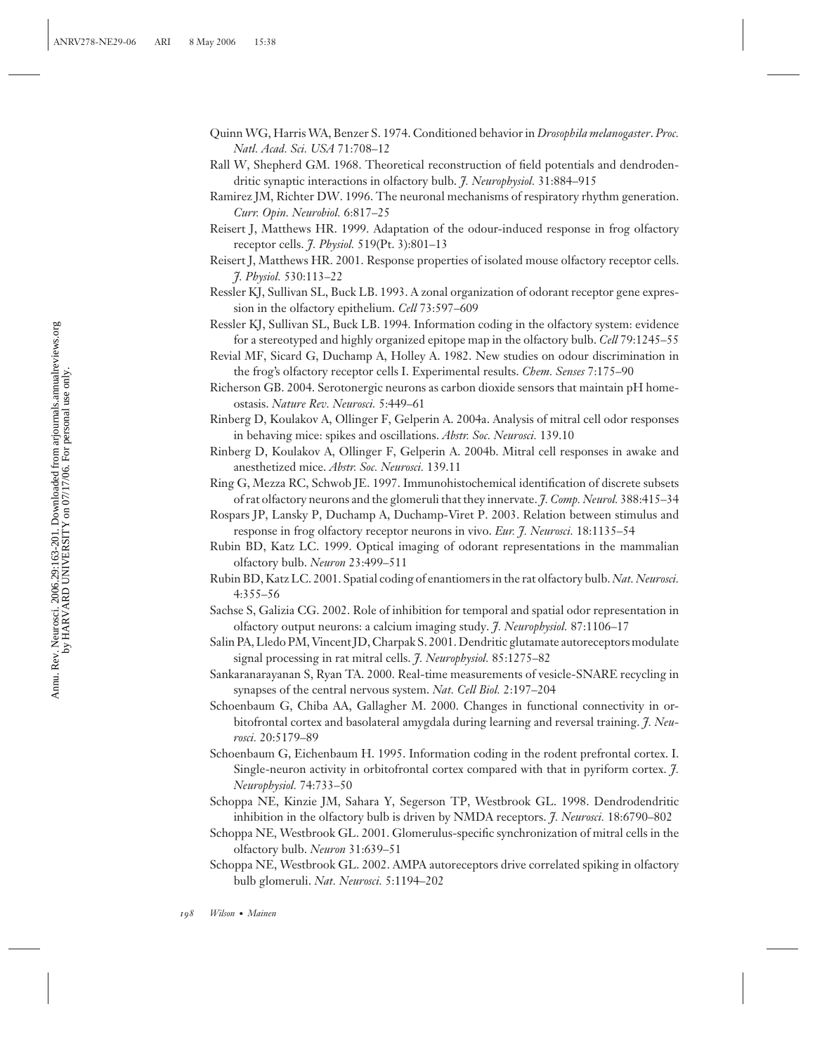- Quinn WG, Harris WA, Benzer S. 1974. Conditioned behavior in *Drosophila melanogaster*. *Proc. Natl. Acad. Sci. USA* 71:708–12
- Rall W, Shepherd GM. 1968. Theoretical reconstruction of field potentials and dendrodendritic synaptic interactions in olfactory bulb. *J. Neurophysiol.* 31:884–915
- Ramirez JM, Richter DW. 1996. The neuronal mechanisms of respiratory rhythm generation. *Curr. Opin. Neurobiol.* 6:817–25
- Reisert J, Matthews HR. 1999. Adaptation of the odour-induced response in frog olfactory receptor cells. *J. Physiol.* 519(Pt. 3):801–13
- Reisert J, Matthews HR. 2001. Response properties of isolated mouse olfactory receptor cells. *J. Physiol.* 530:113–22
- Ressler KJ, Sullivan SL, Buck LB. 1993. A zonal organization of odorant receptor gene expression in the olfactory epithelium. *Cell* 73:597–609
- Ressler KJ, Sullivan SL, Buck LB. 1994. Information coding in the olfactory system: evidence for a stereotyped and highly organized epitope map in the olfactory bulb. *Cell* 79:1245–55
- Revial MF, Sicard G, Duchamp A, Holley A. 1982. New studies on odour discrimination in the frog's olfactory receptor cells I. Experimental results. *Chem. Senses* 7:175–90
- Richerson GB. 2004. Serotonergic neurons as carbon dioxide sensors that maintain pH homeostasis. *Nature Rev. Neurosci.* 5:449–61
- Rinberg D, Koulakov A, Ollinger F, Gelperin A. 2004a. Analysis of mitral cell odor responses in behaving mice: spikes and oscillations. *Abstr. Soc. Neurosci.* 139.10
- Rinberg D, Koulakov A, Ollinger F, Gelperin A. 2004b. Mitral cell responses in awake and anesthetized mice. *Abstr. Soc. Neurosci.* 139.11
- Ring G, Mezza RC, Schwob JE. 1997. Immunohistochemical identification of discrete subsets of rat olfactory neurons and the glomeruli that they innervate. *J. Comp. Neurol.* 388:415–34
- Rospars JP, Lansky P, Duchamp A, Duchamp-Viret P. 2003. Relation between stimulus and response in frog olfactory receptor neurons in vivo. *Eur. J. Neurosci.* 18:1135–54
- Rubin BD, Katz LC. 1999. Optical imaging of odorant representations in the mammalian olfactory bulb. *Neuron* 23:499–511
- Rubin BD, Katz LC. 2001. Spatial coding of enantiomers in the rat olfactory bulb. *Nat. Neurosci.* 4:355–56
- Sachse S, Galizia CG. 2002. Role of inhibition for temporal and spatial odor representation in olfactory output neurons: a calcium imaging study. *J. Neurophysiol.* 87:1106–17
- Salin PA, Lledo PM, Vincent JD, Charpak S. 2001. Dendritic glutamate autoreceptors modulate signal processing in rat mitral cells. *J. Neurophysiol.* 85:1275–82
- Sankaranarayanan S, Ryan TA. 2000. Real-time measurements of vesicle-SNARE recycling in synapses of the central nervous system. *Nat. Cell Biol.* 2:197–204
- Schoenbaum G, Chiba AA, Gallagher M. 2000. Changes in functional connectivity in orbitofrontal cortex and basolateral amygdala during learning and reversal training. *J. Neurosci.* 20:5179–89
- Schoenbaum G, Eichenbaum H. 1995. Information coding in the rodent prefrontal cortex. I. Single-neuron activity in orbitofrontal cortex compared with that in pyriform cortex. *J. Neurophysiol.* 74:733–50
- Schoppa NE, Kinzie JM, Sahara Y, Segerson TP, Westbrook GL. 1998. Dendrodendritic inhibition in the olfactory bulb is driven by NMDA receptors. *J. Neurosci.* 18:6790–802
- Schoppa NE, Westbrook GL. 2001. Glomerulus-specific synchronization of mitral cells in the olfactory bulb. *Neuron* 31:639–51
- Schoppa NE, Westbrook GL. 2002. AMPA autoreceptors drive correlated spiking in olfactory bulb glomeruli. *Nat. Neurosci.* 5:1194–202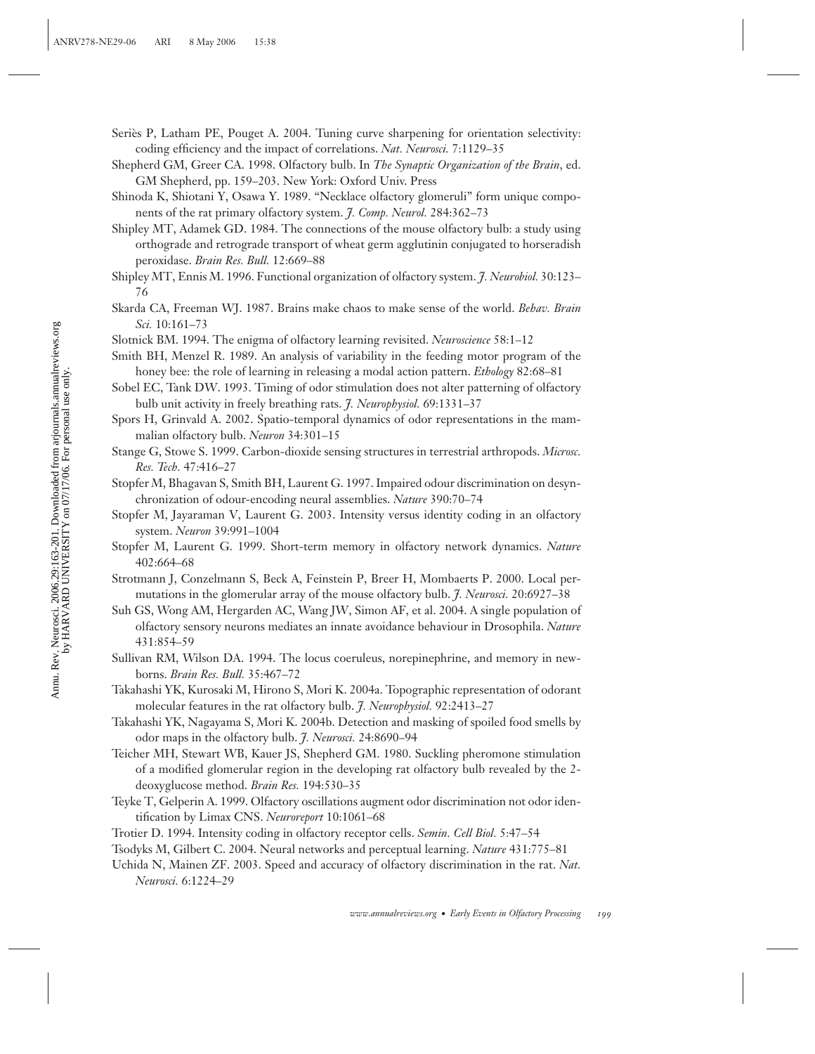- Seriès P, Latham PE, Pouget A. 2004. Tuning curve sharpening for orientation selectivity: coding efficiency and the impact of correlations. *Nat. Neurosci.* 7:1129–35
- Shepherd GM, Greer CA. 1998. Olfactory bulb. In *The Synaptic Organization of the Brain*, ed. GM Shepherd, pp. 159–203. New York: Oxford Univ. Press
- Shinoda K, Shiotani Y, Osawa Y. 1989. "Necklace olfactory glomeruli" form unique components of the rat primary olfactory system. *J. Comp. Neurol.* 284:362–73
- Shipley MT, Adamek GD. 1984. The connections of the mouse olfactory bulb: a study using orthograde and retrograde transport of wheat germ agglutinin conjugated to horseradish peroxidase. *Brain Res. Bull.* 12:669–88
- Shipley MT, Ennis M. 1996. Functional organization of olfactory system. *J. Neurobiol.* 30:123– 76
- Skarda CA, Freeman WJ. 1987. Brains make chaos to make sense of the world. *Behav. Brain Sci.* 10:161–73
- Slotnick BM. 1994. The enigma of olfactory learning revisited. *Neuroscience* 58:1–12
- Smith BH, Menzel R. 1989. An analysis of variability in the feeding motor program of the honey bee: the role of learning in releasing a modal action pattern. *Ethology* 82:68–81
- Sobel EC, Tank DW. 1993. Timing of odor stimulation does not alter patterning of olfactory bulb unit activity in freely breathing rats. *J. Neurophysiol.* 69:1331–37
- Spors H, Grinvald A. 2002. Spatio-temporal dynamics of odor representations in the mammalian olfactory bulb. *Neuron* 34:301–15
- Stange G, Stowe S. 1999. Carbon-dioxide sensing structures in terrestrial arthropods. *Microsc. Res. Tech.* 47:416–27
- Stopfer M, Bhagavan S, Smith BH, Laurent G. 1997. Impaired odour discrimination on desynchronization of odour-encoding neural assemblies. *Nature* 390:70–74
- Stopfer M, Jayaraman V, Laurent G. 2003. Intensity versus identity coding in an olfactory system. *Neuron* 39:991–1004
- Stopfer M, Laurent G. 1999. Short-term memory in olfactory network dynamics. *Nature* 402:664–68
- Strotmann J, Conzelmann S, Beck A, Feinstein P, Breer H, Mombaerts P. 2000. Local permutations in the glomerular array of the mouse olfactory bulb. *J. Neurosci.* 20:6927–38
- Suh GS, Wong AM, Hergarden AC, Wang JW, Simon AF, et al. 2004. A single population of olfactory sensory neurons mediates an innate avoidance behaviour in Drosophila. *Nature* 431:854–59
- Sullivan RM, Wilson DA. 1994. The locus coeruleus, norepinephrine, and memory in newborns. *Brain Res. Bull.* 35:467–72
- Takahashi YK, Kurosaki M, Hirono S, Mori K. 2004a. Topographic representation of odorant molecular features in the rat olfactory bulb. *J. Neurophysiol.* 92:2413–27
- Takahashi YK, Nagayama S, Mori K. 2004b. Detection and masking of spoiled food smells by odor maps in the olfactory bulb. *J. Neurosci.* 24:8690–94
- Teicher MH, Stewart WB, Kauer JS, Shepherd GM. 1980. Suckling pheromone stimulation of a modified glomerular region in the developing rat olfactory bulb revealed by the 2 deoxyglucose method. *Brain Res.* 194:530–35
- Teyke T, Gelperin A. 1999. Olfactory oscillations augment odor discrimination not odor identification by Limax CNS. *Neuroreport* 10:1061–68
- Trotier D. 1994. Intensity coding in olfactory receptor cells. *Semin. Cell Biol.* 5:47–54
- Tsodyks M, Gilbert C. 2004. Neural networks and perceptual learning. *Nature* 431:775–81
- Uchida N, Mainen ZF. 2003. Speed and accuracy of olfactory discrimination in the rat. *Nat. Neurosci.* 6:1224–29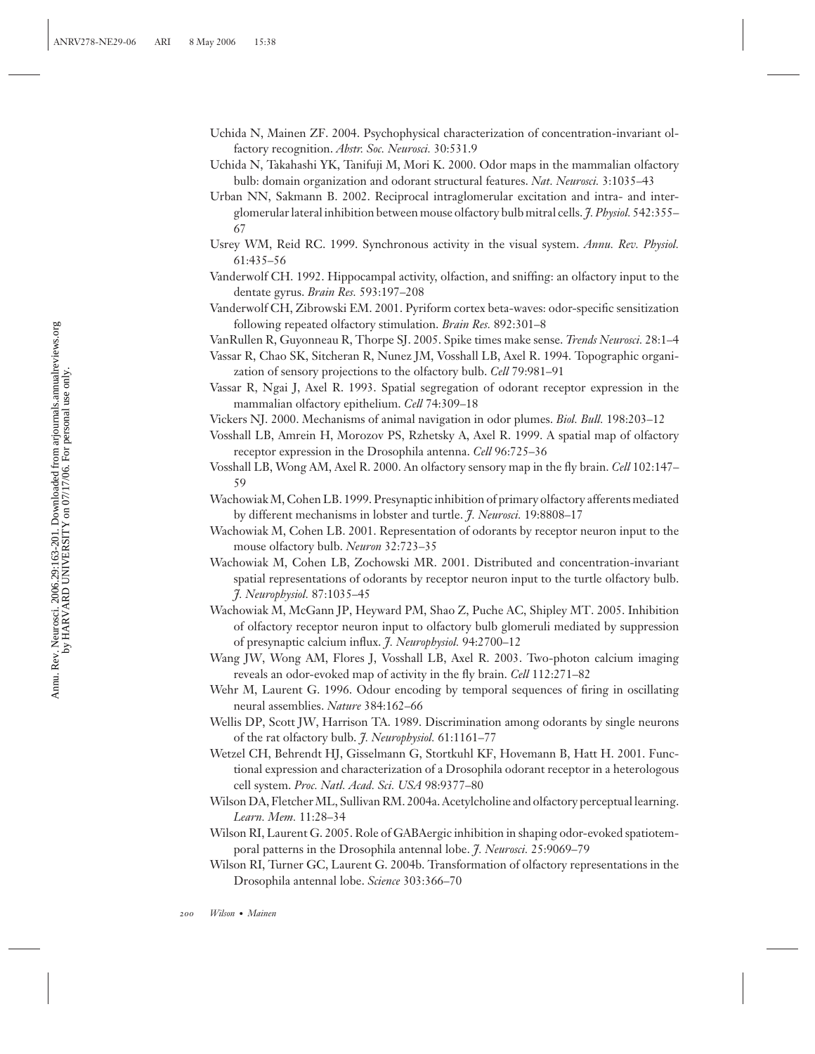- Uchida N, Mainen ZF. 2004. Psychophysical characterization of concentration-invariant olfactory recognition. *Abstr. Soc. Neurosci.* 30:531.9
- Uchida N, Takahashi YK, Tanifuji M, Mori K. 2000. Odor maps in the mammalian olfactory bulb: domain organization and odorant structural features. *Nat. Neurosci.* 3:1035–43
- Urban NN, Sakmann B. 2002. Reciprocal intraglomerular excitation and intra- and interglomerular lateral inhibition between mouse olfactory bulb mitral cells. *J. Physiol.* 542:355– 67
- Usrey WM, Reid RC. 1999. Synchronous activity in the visual system. *Annu. Rev. Physiol.* 61:435–56
- Vanderwolf CH. 1992. Hippocampal activity, olfaction, and sniffing: an olfactory input to the dentate gyrus. *Brain Res.* 593:197–208
- Vanderwolf CH, Zibrowski EM. 2001. Pyriform cortex beta-waves: odor-specific sensitization following repeated olfactory stimulation. *Brain Res.* 892:301–8

VanRullen R, Guyonneau R, Thorpe SJ. 2005. Spike times make sense. *Trends Neurosci.* 28:1–4

- Vassar R, Chao SK, Sitcheran R, Nunez JM, Vosshall LB, Axel R. 1994. Topographic organization of sensory projections to the olfactory bulb. *Cell* 79:981–91
- Vassar R, Ngai J, Axel R. 1993. Spatial segregation of odorant receptor expression in the mammalian olfactory epithelium. *Cell* 74:309–18
- Vickers NJ. 2000. Mechanisms of animal navigation in odor plumes. *Biol. Bull.* 198:203–12
- Vosshall LB, Amrein H, Morozov PS, Rzhetsky A, Axel R. 1999. A spatial map of olfactory receptor expression in the Drosophila antenna. *Cell* 96:725–36
- Vosshall LB, Wong AM, Axel R. 2000. An olfactory sensory map in the fly brain. *Cell* 102:147– 59
- Wachowiak M, Cohen LB. 1999. Presynaptic inhibition of primary olfactory afferents mediated by different mechanisms in lobster and turtle. *J. Neurosci.* 19:8808–17
- Wachowiak M, Cohen LB. 2001. Representation of odorants by receptor neuron input to the mouse olfactory bulb. *Neuron* 32:723–35
- Wachowiak M, Cohen LB, Zochowski MR. 2001. Distributed and concentration-invariant spatial representations of odorants by receptor neuron input to the turtle olfactory bulb. *J. Neurophysiol.* 87:1035–45
- Wachowiak M, McGann JP, Heyward PM, Shao Z, Puche AC, Shipley MT. 2005. Inhibition of olfactory receptor neuron input to olfactory bulb glomeruli mediated by suppression of presynaptic calcium influx. *J. Neurophysiol.* 94:2700–12
- Wang JW, Wong AM, Flores J, Vosshall LB, Axel R. 2003. Two-photon calcium imaging reveals an odor-evoked map of activity in the fly brain. *Cell* 112:271–82
- Wehr M, Laurent G. 1996. Odour encoding by temporal sequences of firing in oscillating neural assemblies. *Nature* 384:162–66
- Wellis DP, Scott JW, Harrison TA. 1989. Discrimination among odorants by single neurons of the rat olfactory bulb. *J. Neurophysiol.* 61:1161–77
- Wetzel CH, Behrendt HJ, Gisselmann G, Stortkuhl KF, Hovemann B, Hatt H. 2001. Functional expression and characterization of a Drosophila odorant receptor in a heterologous cell system. *Proc. Natl. Acad. Sci. USA* 98:9377–80
- Wilson DA, Fletcher ML, Sullivan RM. 2004a. Acetylcholine and olfactory perceptual learning. *Learn. Mem.* 11:28–34
- Wilson RI, Laurent G. 2005. Role of GABAergic inhibition in shaping odor-evoked spatiotemporal patterns in the Drosophila antennal lobe. *J. Neurosci.* 25:9069–79
- Wilson RI, Turner GC, Laurent G. 2004b. Transformation of olfactory representations in the Drosophila antennal lobe. *Science* 303:366–70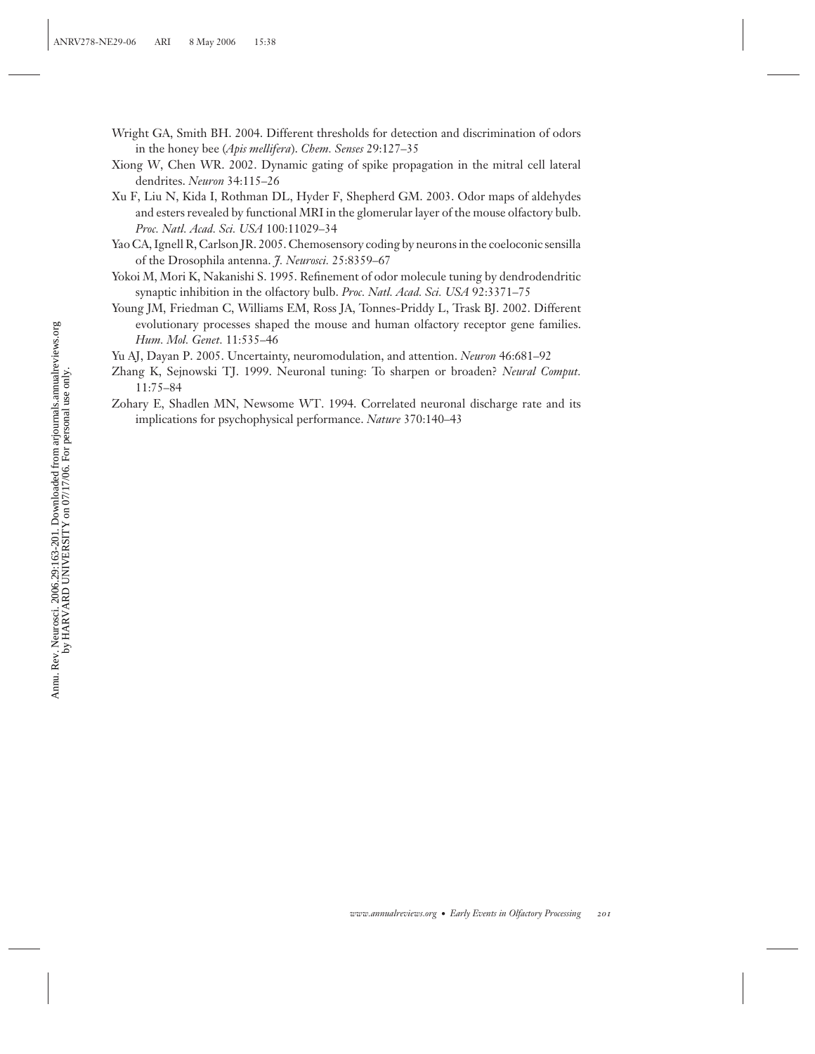- Wright GA, Smith BH. 2004. Different thresholds for detection and discrimination of odors in the honey bee (*Apis mellifera*). *Chem. Senses* 29:127–35
- Xiong W, Chen WR. 2002. Dynamic gating of spike propagation in the mitral cell lateral dendrites. *Neuron* 34:115–26
- Xu F, Liu N, Kida I, Rothman DL, Hyder F, Shepherd GM. 2003. Odor maps of aldehydes and esters revealed by functional MRI in the glomerular layer of the mouse olfactory bulb. *Proc. Natl. Acad. Sci. USA* 100:11029–34
- Yao CA, Ignell R, Carlson JR. 2005. Chemosensory coding by neurons in the coeloconic sensilla of the Drosophila antenna. *J. Neurosci.* 25:8359–67
- Yokoi M, Mori K, Nakanishi S. 1995. Refinement of odor molecule tuning by dendrodendritic synaptic inhibition in the olfactory bulb. *Proc. Natl. Acad. Sci. USA* 92:3371–75
- Young JM, Friedman C, Williams EM, Ross JA, Tonnes-Priddy L, Trask BJ. 2002. Different evolutionary processes shaped the mouse and human olfactory receptor gene families. *Hum. Mol. Genet.* 11:535–46
- Yu AJ, Dayan P. 2005. Uncertainty, neuromodulation, and attention. *Neuron* 46:681–92
- Zhang K, Sejnowski TJ. 1999. Neuronal tuning: To sharpen or broaden? *Neural Comput.* 11:75–84
- Zohary E, Shadlen MN, Newsome WT. 1994. Correlated neuronal discharge rate and its implications for psychophysical performance. *Nature* 370:140–43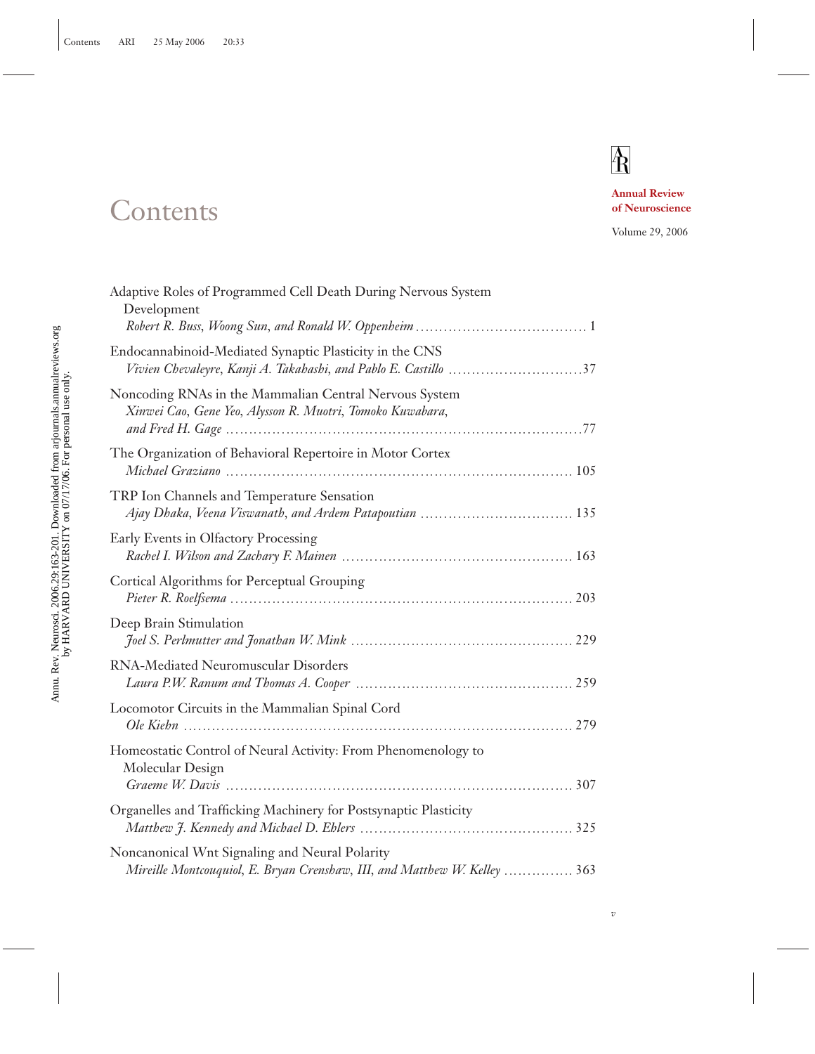# **Contents**

*v*

**Annual Review of Neuroscience**

| Adaptive Roles of Programmed Cell Death During Nervous System<br>Development                                                |  |
|-----------------------------------------------------------------------------------------------------------------------------|--|
| Endocannabinoid-Mediated Synaptic Plasticity in the CNS<br>Vivien Chevaleyre, Kanji A. Takahashi, and Pablo E. Castillo 37  |  |
| Noncoding RNAs in the Mammalian Central Nervous System<br>Xinwei Cao, Gene Yeo, Alysson R. Muotri, Tomoko Kuwabara,         |  |
| The Organization of Behavioral Repertoire in Motor Cortex                                                                   |  |
| TRP Ion Channels and Temperature Sensation                                                                                  |  |
| Early Events in Olfactory Processing                                                                                        |  |
| Cortical Algorithms for Perceptual Grouping                                                                                 |  |
| Deep Brain Stimulation                                                                                                      |  |
| RNA-Mediated Neuromuscular Disorders                                                                                        |  |
| Locomotor Circuits in the Mammalian Spinal Cord                                                                             |  |
| Homeostatic Control of Neural Activity: From Phenomenology to<br>Molecular Design                                           |  |
| Organelles and Trafficking Machinery for Postsynaptic Plasticity                                                            |  |
| Noncanonical Wnt Signaling and Neural Polarity<br>Mireille Montcouquiol, E. Bryan Crenshaw, III, and Matthew W. Kelley  363 |  |
|                                                                                                                             |  |